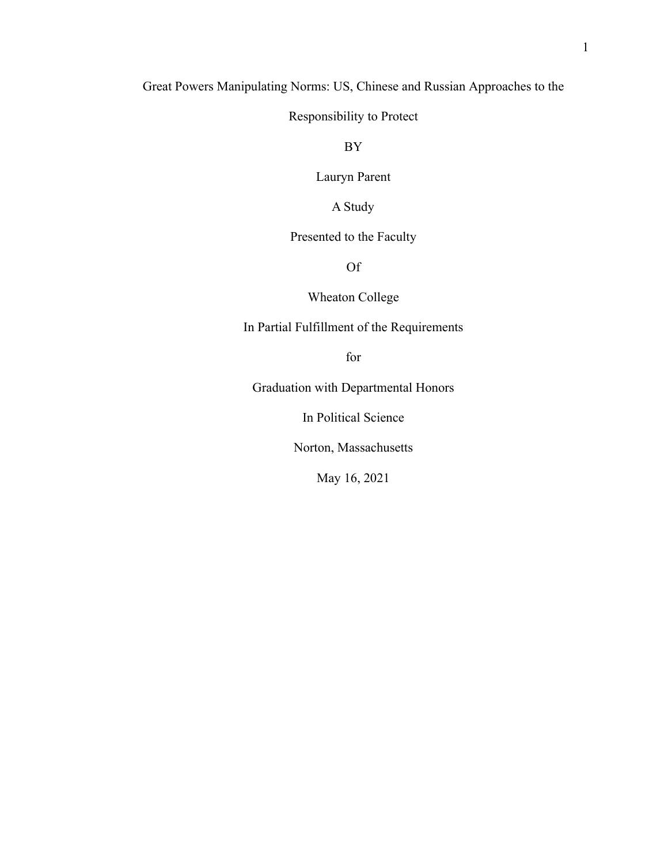## Great Powers Manipulating Norms: US, Chinese and Russian Approaches to the

Responsibility to Protect

BY

Lauryn Parent

A Study

## Presented to the Faculty

Of

## Wheaton College

In Partial Fulfillment of the Requirements

for

Graduation with Departmental Honors

In Political Science

Norton, Massachusetts

May 16, 2021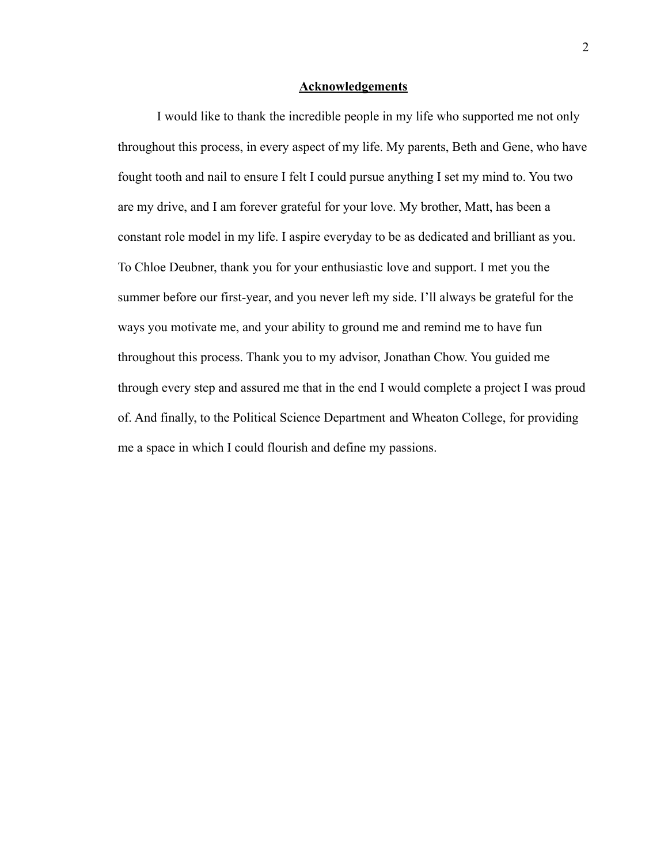### **Acknowledgements**

I would like to thank the incredible people in my life who supported me not only throughout this process, in every aspect of my life. My parents, Beth and Gene, who have fought tooth and nail to ensure I felt I could pursue anything I set my mind to. You two are my drive, and I am forever grateful for your love. My brother, Matt, has been a constant role model in my life. I aspire everyday to be as dedicated and brilliant as you. To Chloe Deubner, thank you for your enthusiastic love and support. I met you the summer before our first-year, and you never left my side. I'll always be grateful for the ways you motivate me, and your ability to ground me and remind me to have fun throughout this process. Thank you to my advisor, Jonathan Chow. You guided me through every step and assured me that in the end I would complete a project I was proud of. And finally, to the Political Science Department and Wheaton College, for providing me a space in which I could flourish and define my passions.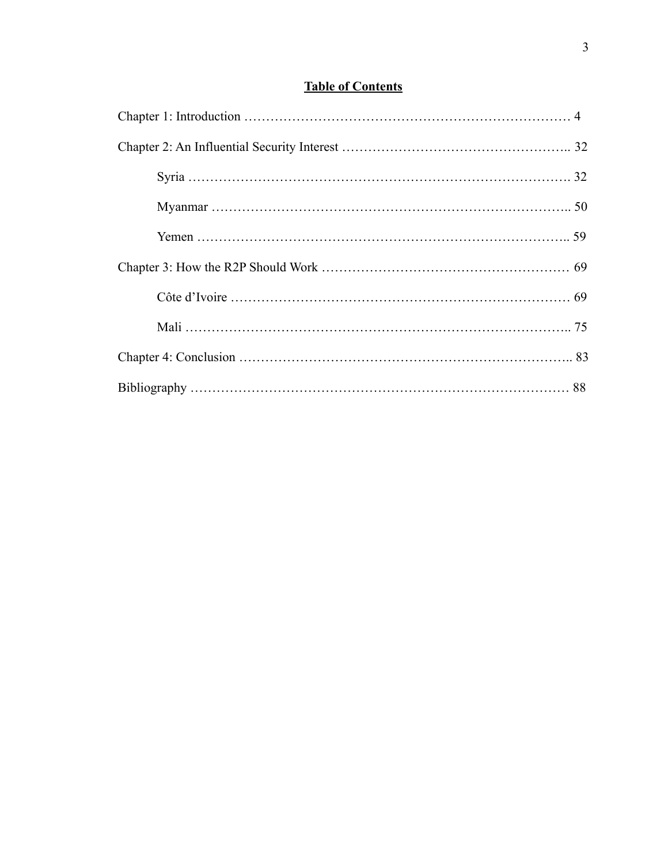# **Table of Contents**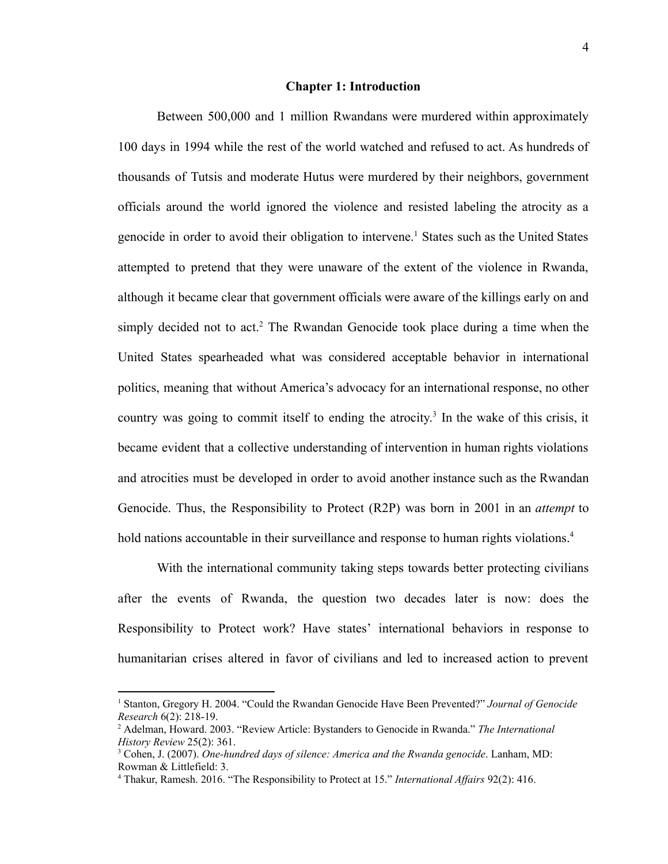#### **Chapter 1: Introduction**

Between 500,000 and 1 million Rwandans were murdered within approximately 100 days in 1994 while the rest of the world watched and refused to act. As hundreds of thousands of Tutsis and moderate Hutus were murdered by their neighbors, government officials around the world ignored the violence and resisted labeling the atrocity as a genocide in order to avoid their obligation to intervene.<sup>1</sup> States such as the United States attempted to pretend that they were unaware of the extent of the violence in Rwanda, although it became clear that government officials were aware of the killings early on and simply decided not to act.<sup>2</sup> The Rwandan Genocide took place during a time when the United States spearheaded what was considered acceptable behavior in international politics, meaning that without America's advocacy for an international response, no other country was going to commit itself to ending the atrocity. 3 In the wake of this crisis, it became evident that a collective understanding of intervention in human rights violations and atrocities must be developed in order to avoid another instance such as the Rwandan Genocide. Thus, the Responsibility to Protect (R2P) was born in 2001 in an *attempt* to hold nations accountable in their surveillance and response to human rights violations.<sup>4</sup>

With the international community taking steps towards better protecting civilians after the events of Rwanda, the question two decades later is now: does the Responsibility to Protect work? Have states' international behaviors in response to humanitarian crises altered in favor of civilians and led to increased action to prevent

<sup>1</sup> Stanton, Gregory H. 2004. "Could the Rwandan Genocide Have Been Prevented?" *Journal of Genocide Research* 6(2): 218-19.

<sup>2</sup> Adelman, Howard. 2003. "Review Article: Bystanders to Genocide in Rwanda." *The International History Review* 25(2): 361.

<sup>3</sup> Cohen, J. (2007). *One-hundred days of silence: America and the Rwanda genocide*. Lanham, MD: Rowman & Littlefield: 3.

<sup>4</sup> Thakur, Ramesh. 2016. "The Responsibility to Protect at 15." *International Af airs* 92(2): 416.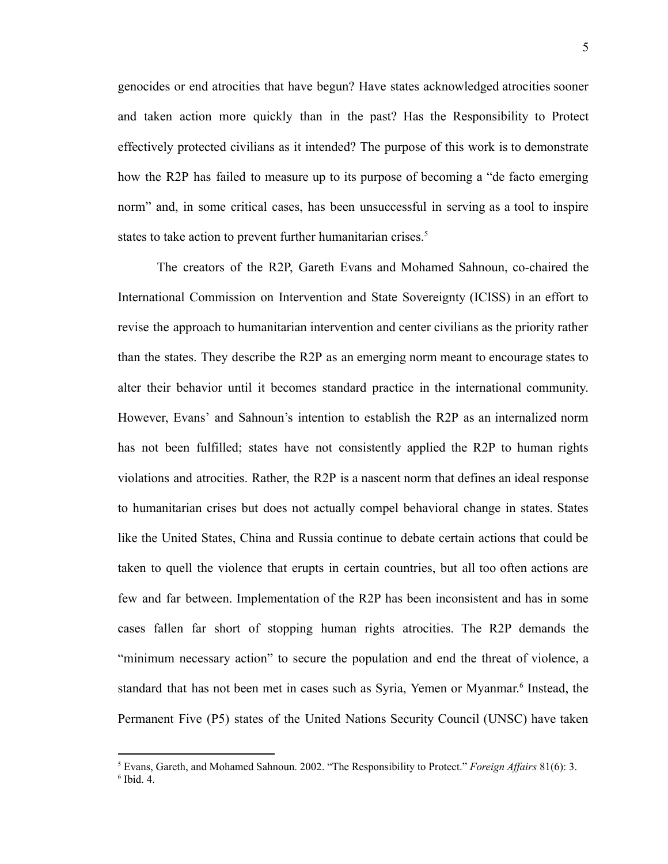genocides or end atrocities that have begun? Have states acknowledged atrocities sooner and taken action more quickly than in the past? Has the Responsibility to Protect effectively protected civilians as it intended? The purpose of this work is to demonstrate how the R2P has failed to measure up to its purpose of becoming a "de facto emerging norm" and, in some critical cases, has been unsuccessful in serving as a tool to inspire states to take action to prevent further humanitarian crises.<sup>5</sup>

The creators of the R2P, Gareth Evans and Mohamed Sahnoun, co-chaired the International Commission on Intervention and State Sovereignty (ICISS) in an effort to revise the approach to humanitarian intervention and center civilians as the priority rather than the states. They describe the R2P as an emerging norm meant to encourage states to alter their behavior until it becomes standard practice in the international community. However, Evans' and Sahnoun's intention to establish the R2P as an internalized norm has not been fulfilled; states have not consistently applied the R2P to human rights violations and atrocities. Rather, the R2P is a nascent norm that defines an ideal response to humanitarian crises but does not actually compel behavioral change in states. States like the United States, China and Russia continue to debate certain actions that could be taken to quell the violence that erupts in certain countries, but all too often actions are few and far between. Implementation of the R2P has been inconsistent and has in some cases fallen far short of stopping human rights atrocities. The R2P demands the "minimum necessary action" to secure the population and end the threat of violence, a standard that has not been met in cases such as Syria, Yemen or Myanmar. 6 Instead, the Permanent Five (P5) states of the United Nations Security Council (UNSC) have taken

<sup>6</sup> Ibid. 4. <sup>5</sup> Evans, Gareth, and Mohamed Sahnoun. 2002. "The Responsibility to Protect." *Foreign Af airs* 81(6): 3.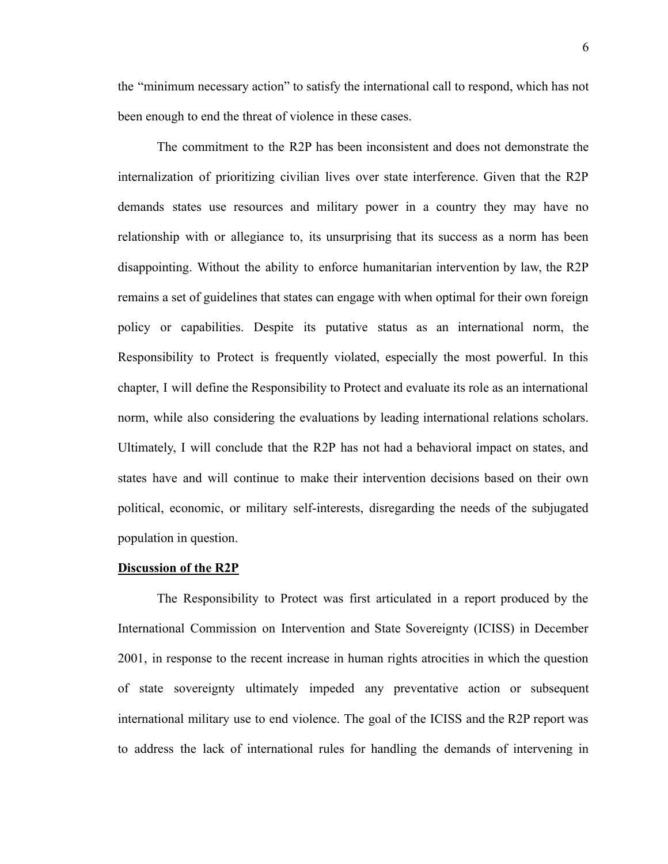the "minimum necessary action" to satisfy the international call to respond, which has not been enough to end the threat of violence in these cases.

The commitment to the R2P has been inconsistent and does not demonstrate the internalization of prioritizing civilian lives over state interference. Given that the R2P demands states use resources and military power in a country they may have no relationship with or allegiance to, its unsurprising that its success as a norm has been disappointing. Without the ability to enforce humanitarian intervention by law, the R2P remains a set of guidelines that states can engage with when optimal for their own foreign policy or capabilities. Despite its putative status as an international norm, the Responsibility to Protect is frequently violated, especially the most powerful. In this chapter, I will define the Responsibility to Protect and evaluate its role as an international norm, while also considering the evaluations by leading international relations scholars. Ultimately, I will conclude that the R2P has not had a behavioral impact on states, and states have and will continue to make their intervention decisions based on their own political, economic, or military self-interests, disregarding the needs of the subjugated population in question.

#### **Discussion of the R2P**

The Responsibility to Protect was first articulated in a report produced by the International Commission on Intervention and State Sovereignty (ICISS) in December 2001, in response to the recent increase in human rights atrocities in which the question of state sovereignty ultimately impeded any preventative action or subsequent international military use to end violence. The goal of the ICISS and the R2P report was to address the lack of international rules for handling the demands of intervening in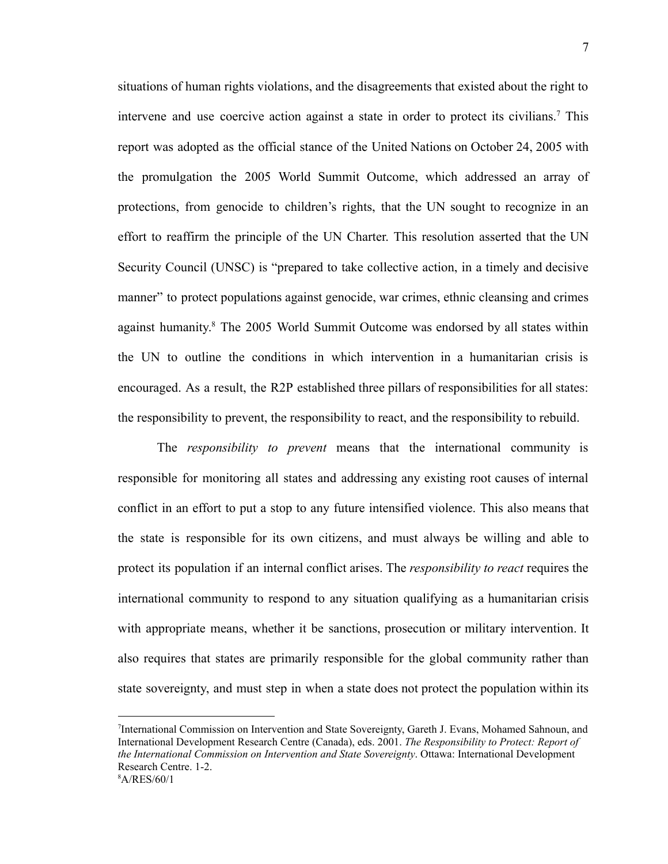situations of human rights violations, and the disagreements that existed about the right to intervene and use coercive action against a state in order to protect its civilians.<sup>7</sup> This report was adopted as the official stance of the United Nations on October 24, 2005 with the promulgation the 2005 World Summit Outcome, which addressed an array of protections, from genocide to children's rights, that the UN sought to recognize in an effort to reaffirm the principle of the UN Charter. This resolution asserted that the UN Security Council (UNSC) is "prepared to take collective action, in a timely and decisive manner" to protect populations against genocide, war crimes, ethnic cleansing and crimes against humanity.<sup>8</sup> The 2005 World Summit Outcome was endorsed by all states within the UN to outline the conditions in which intervention in a humanitarian crisis is encouraged. As a result, the R2P established three pillars of responsibilities for all states: the responsibility to prevent, the responsibility to react, and the responsibility to rebuild.

The *responsibility to prevent* means that the international community is responsible for monitoring all states and addressing any existing root causes of internal conflict in an effort to put a stop to any future intensified violence. This also means that the state is responsible for its own citizens, and must always be willing and able to protect its population if an internal conflict arises. The *responsibility to react* requires the international community to respond to any situation qualifying as a humanitarian crisis with appropriate means, whether it be sanctions, prosecution or military intervention. It also requires that states are primarily responsible for the global community rather than state sovereignty, and must step in when a state does not protect the population within its

<sup>8</sup>A/RES/60/1 7 International Commission on Intervention and State Sovereignty, Gareth J. Evans, Mohamed Sahnoun, and International Development Research Centre (Canada), eds. 2001. *The Responsibility to Protect: Report of the International Commission on Intervention and State Sovereignty*. Ottawa: International Development Research Centre. 1-2.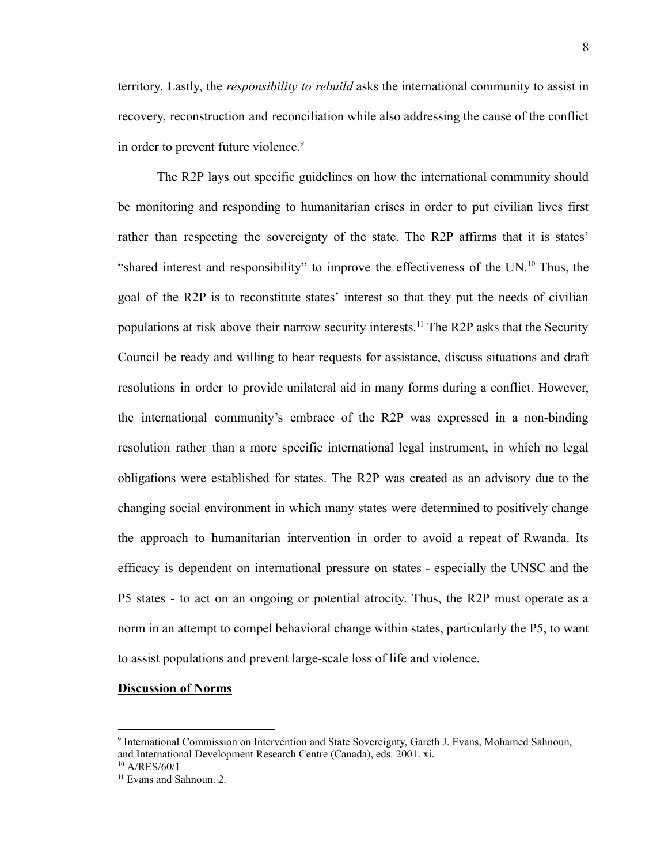territory. Lastly, the *responsibility to rebuild* asks the international community to assist in recovery, reconstruction and reconciliation while also addressing the cause of the conflict in order to prevent future violence.<sup>9</sup>

The R2P lays out specific guidelines on how the international community should be monitoring and responding to humanitarian crises in order to put civilian lives first rather than respecting the sovereignty of the state. The R2P affirms that it is states' "shared interest and responsibility" to improve the effectiveness of the UN.<sup>10</sup> Thus, the goal of the R2P is to reconstitute states' interest so that they put the needs of civilian populations at risk above their narrow security interests.<sup>11</sup> The R2P asks that the Security Council be ready and willing to hear requests for assistance, discuss situations and draft resolutions in order to provide unilateral aid in many forms during a conflict. However, the international community's embrace of the R2P was expressed in a non-binding resolution rather than a more specific international legal instrument, in which no legal obligations were established for states. The R2P was created as an advisory due to the changing social environment in which many states were determined to positively change the approach to humanitarian intervention in order to avoid a repeat of Rwanda. Its efficacy is dependent on international pressure on states - especially the UNSC and the P5 states - to act on an ongoing or potential atrocity. Thus, the R2P must operate as a norm in an attempt to compel behavioral change within states, particularly the P5, to want to assist populations and prevent large-scale loss of life and violence.

#### **Discussion of Norms**

<sup>9</sup> International Commission on Intervention and State Sovereignty, Gareth J. Evans, Mohamed Sahnoun, and International Development Research Centre (Canada), eds. 2001. xi.

 $10$  A/RES/60/1

<sup>&</sup>lt;sup>11</sup> Evans and Sahnoun. 2.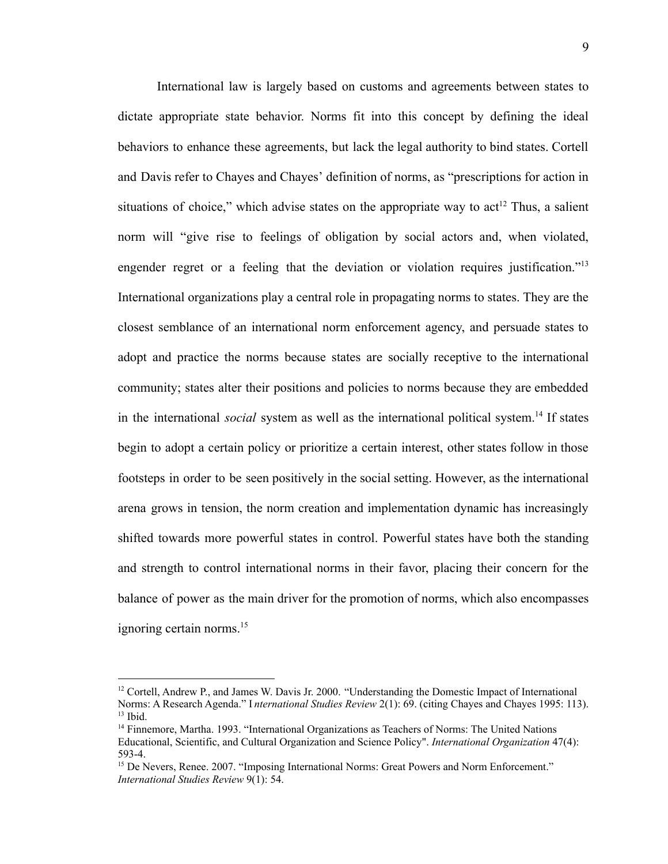International law is largely based on customs and agreements between states to dictate appropriate state behavior. Norms fit into this concept by defining the ideal behaviors to enhance these agreements, but lack the legal authority to bind states. Cortell and Davis refer to Chayes and Chayes' definition of norms, as "prescriptions for action in situations of choice," which advise states on the appropriate way to  $act<sup>12</sup>$  Thus, a salient norm will "give rise to feelings of obligation by social actors and, when violated, engender regret or a feeling that the deviation or violation requires justification."<sup>13</sup> International organizations play a central role in propagating norms to states. They are the closest semblance of an international norm enforcement agency, and persuade states to adopt and practice the norms because states are socially receptive to the international community; states alter their positions and policies to norms because they are embedded in the international *social* system as well as the international political system.<sup>14</sup> If states begin to adopt a certain policy or prioritize a certain interest, other states follow in those footsteps in order to be seen positively in the social setting. However, as the international arena grows in tension, the norm creation and implementation dynamic has increasingly shifted towards more powerful states in control. Powerful states have both the standing and strength to control international norms in their favor, placing their concern for the balance of power as the main driver for the promotion of norms, which also encompasses ignoring certain norms. $15$ 

 $13$  Ibid.  $12$  Cortell, Andrew P., and James W. Davis Jr. 2000. "Understanding the Domestic Impact of International Norms: A Research Agenda." I *nternational Studies Review* 2(1): 69. (citing Chayes and Chayes 1995: 113).

<sup>&</sup>lt;sup>14</sup> Finnemore, Martha. 1993. "International Organizations as Teachers of Norms: The United Nations Educational, Scientific, and Cultural Organization and Science Policy". *International Organization* 47(4): 593-4.

<sup>&</sup>lt;sup>15</sup> De Nevers, Renee. 2007. "Imposing International Norms: Great Powers and Norm Enforcement." *International Studies Review* 9(1): 54.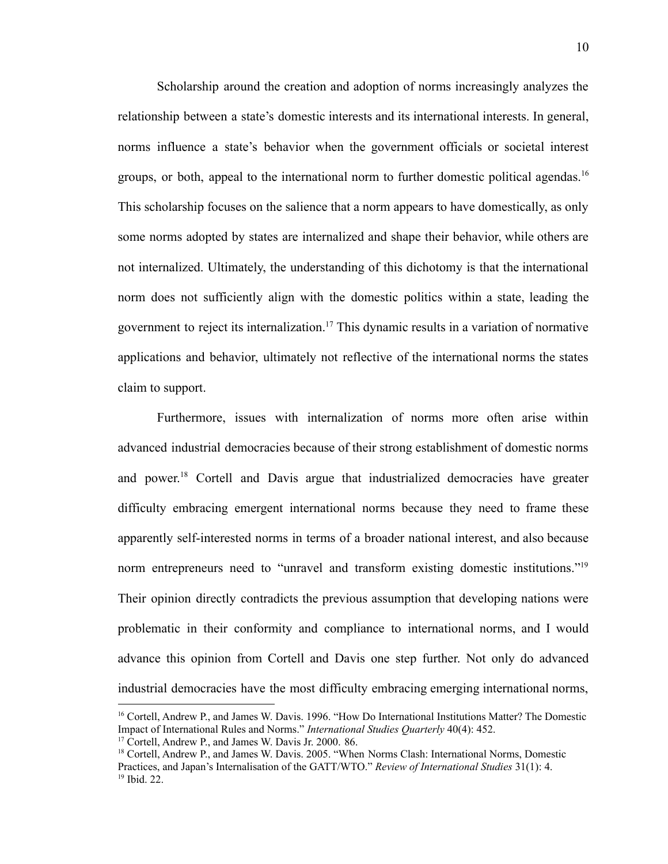Scholarship around the creation and adoption of norms increasingly analyzes the relationship between a state's domestic interests and its international interests. In general, norms influence a state's behavior when the government officials or societal interest groups, or both, appeal to the international norm to further domestic political agendas.<sup>16</sup> This scholarship focuses on the salience that a norm appears to have domestically, as only some norms adopted by states are internalized and shape their behavior, while others are not internalized. Ultimately, the understanding of this dichotomy is that the international norm does not sufficiently align with the domestic politics within a state, leading the government to reject its internalization.<sup>17</sup> This dynamic results in a variation of normative applications and behavior, ultimately not reflective of the international norms the states claim to support.

Furthermore, issues with internalization of norms more often arise within advanced industrial democracies because of their strong establishment of domestic norms and power. <sup>18</sup> Cortell and Davis argue that industrialized democracies have greater difficulty embracing emergent international norms because they need to frame these apparently self-interested norms in terms of a broader national interest, and also because norm entrepreneurs need to "unravel and transform existing domestic institutions."<sup>19</sup> Their opinion directly contradicts the previous assumption that developing nations were problematic in their conformity and compliance to international norms, and I would advance this opinion from Cortell and Davis one step further. Not only do advanced industrial democracies have the most difficulty embracing emerging international norms,

<sup>&</sup>lt;sup>16</sup> Cortell, Andrew P., and James W. Davis. 1996. "How Do International Institutions Matter? The Domestic Impact of International Rules and Norms." *International Studies Quarterly* 40(4): 452.

<sup>17</sup> Cortell, Andrew P., and James W. Davis Jr. 2000. 86.

<sup>19</sup> Ibid. 22. <sup>18</sup> Cortell, Andrew P., and James W. Davis. 2005. "When Norms Clash: International Norms, Domestic Practices, and Japan's Internalisation of the GATT/WTO." *Review of International Studies* 31(1): 4.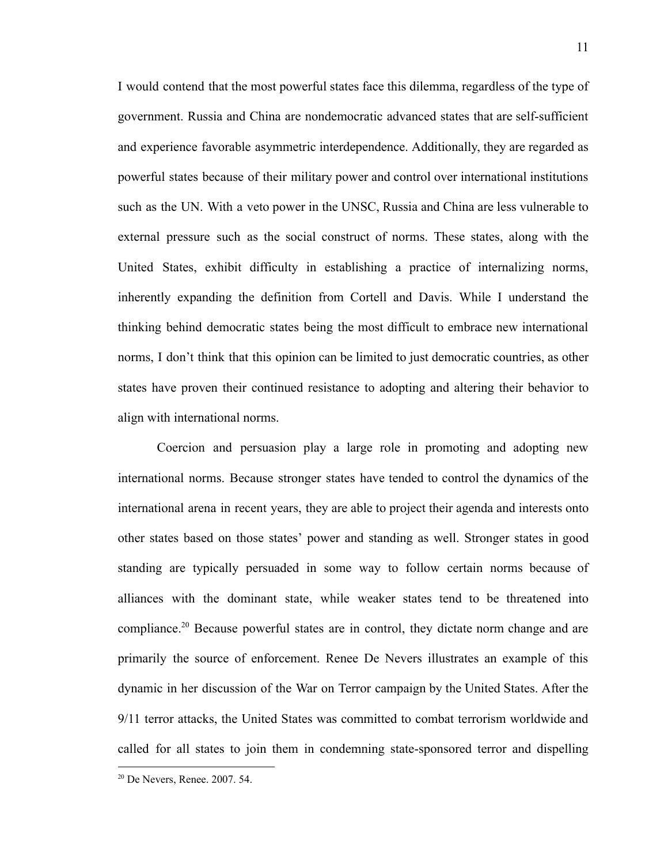I would contend that the most powerful states face this dilemma, regardless of the type of government. Russia and China are nondemocratic advanced states that are self-sufficient and experience favorable asymmetric interdependence. Additionally, they are regarded as powerful states because of their military power and control over international institutions such as the UN. With a veto power in the UNSC, Russia and China are less vulnerable to external pressure such as the social construct of norms. These states, along with the United States, exhibit difficulty in establishing a practice of internalizing norms, inherently expanding the definition from Cortell and Davis. While I understand the thinking behind democratic states being the most difficult to embrace new international norms, I don't think that this opinion can be limited to just democratic countries, as other states have proven their continued resistance to adopting and altering their behavior to align with international norms.

Coercion and persuasion play a large role in promoting and adopting new international norms. Because stronger states have tended to control the dynamics of the international arena in recent years, they are able to project their agenda and interests onto other states based on those states' power and standing as well. Stronger states in good standing are typically persuaded in some way to follow certain norms because of alliances with the dominant state, while weaker states tend to be threatened into compliance.<sup>20</sup> Because powerful states are in control, they dictate norm change and are primarily the source of enforcement. Renee De Nevers illustrates an example of this dynamic in her discussion of the War on Terror campaign by the United States. After the 9/11 terror attacks, the United States was committed to combat terrorism worldwide and called for all states to join them in condemning state-sponsored terror and dispelling

<sup>20</sup> De Nevers, Renee. 2007. 54.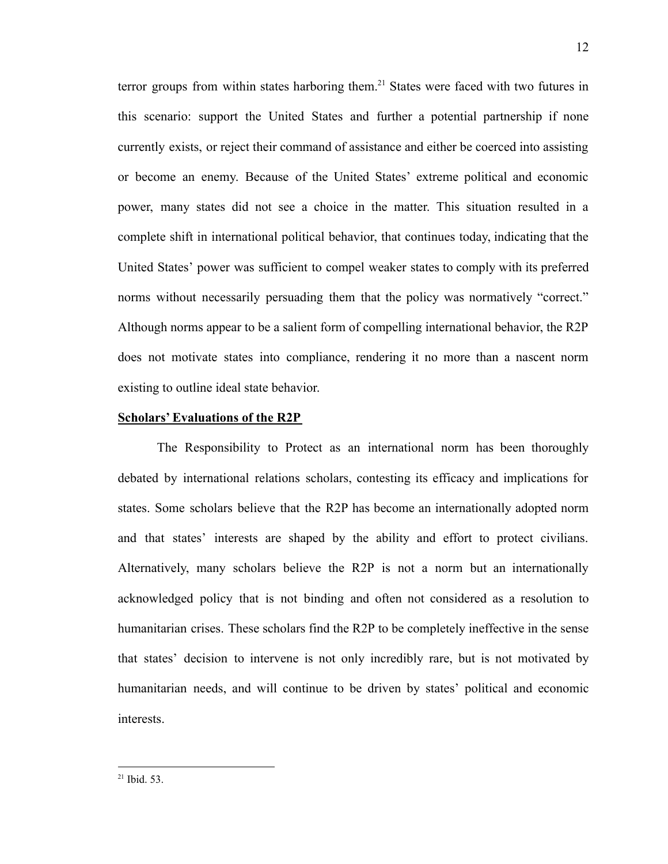terror groups from within states harboring them.<sup>21</sup> States were faced with two futures in this scenario: support the United States and further a potential partnership if none currently exists, or reject their command of assistance and either be coerced into assisting or become an enemy. Because of the United States' extreme political and economic power, many states did not see a choice in the matter. This situation resulted in a complete shift in international political behavior, that continues today, indicating that the United States' power was sufficient to compel weaker states to comply with its preferred norms without necessarily persuading them that the policy was normatively "correct." Although norms appear to be a salient form of compelling international behavior, the R2P does not motivate states into compliance, rendering it no more than a nascent norm existing to outline ideal state behavior.

#### **Scholars' Evaluations of the R2P**

The Responsibility to Protect as an international norm has been thoroughly debated by international relations scholars, contesting its efficacy and implications for states. Some scholars believe that the R2P has become an internationally adopted norm and that states' interests are shaped by the ability and effort to protect civilians. Alternatively, many scholars believe the R2P is not a norm but an internationally acknowledged policy that is not binding and often not considered as a resolution to humanitarian crises. These scholars find the R2P to be completely ineffective in the sense that states' decision to intervene is not only incredibly rare, but is not motivated by humanitarian needs, and will continue to be driven by states' political and economic interests.

 $21$  Ibid. 53.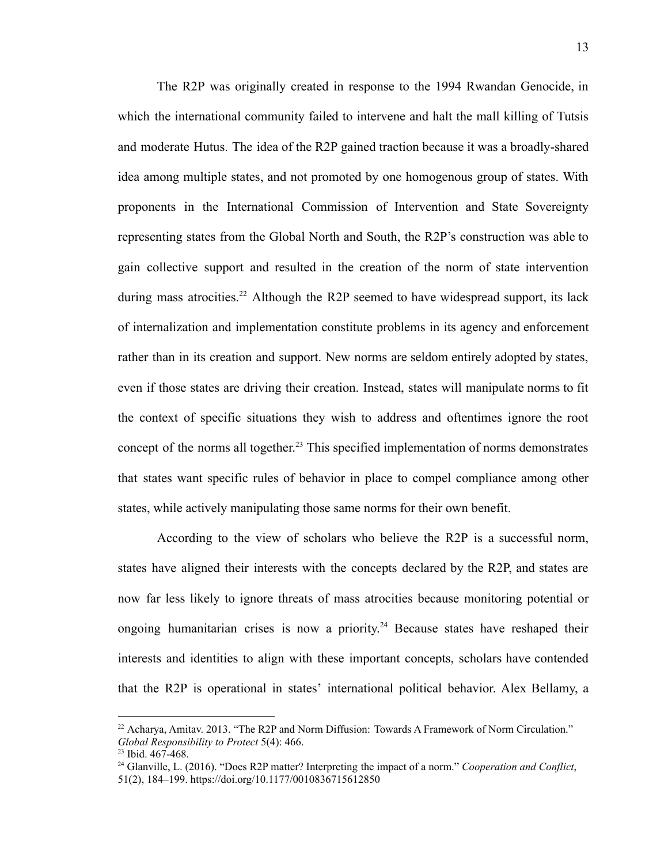The R2P was originally created in response to the 1994 Rwandan Genocide, in which the international community failed to intervene and halt the mall killing of Tutsis and moderate Hutus. The idea of the R2P gained traction because it was a broadly-shared idea among multiple states, and not promoted by one homogenous group of states. With proponents in the International Commission of Intervention and State Sovereignty representing states from the Global North and South, the R2P's construction was able to gain collective support and resulted in the creation of the norm of state intervention during mass atrocities.<sup>22</sup> Although the R2P seemed to have widespread support, its lack of internalization and implementation constitute problems in its agency and enforcement rather than in its creation and support. New norms are seldom entirely adopted by states, even if those states are driving their creation. Instead, states will manipulate norms to fit the context of specific situations they wish to address and oftentimes ignore the root concept of the norms all together. <sup>23</sup> This specified implementation of norms demonstrates that states want specific rules of behavior in place to compel compliance among other states, while actively manipulating those same norms for their own benefit.

According to the view of scholars who believe the R2P is a successful norm, states have aligned their interests with the concepts declared by the R2P, and states are now far less likely to ignore threats of mass atrocities because monitoring potential or ongoing humanitarian crises is now a priority. <sup>24</sup> Because states have reshaped their interests and identities to align with these important concepts, scholars have contended that the R2P is operational in states' international political behavior. Alex Bellamy, a

<sup>&</sup>lt;sup>22</sup> Acharya, Amitav. 2013. "The R2P and Norm Diffusion: Towards A Framework of Norm Circulation." *Global Responsibility to Protect* 5(4): 466.

 $23$  Ibid.  $467 - 468$ .

<sup>24</sup> Glanville, L. (2016). "Does R2P matter? Interpreting the impact of a norm." *Cooperation and Conflict*, 51(2), 184–199. https://doi.org/10.1177/0010836715612850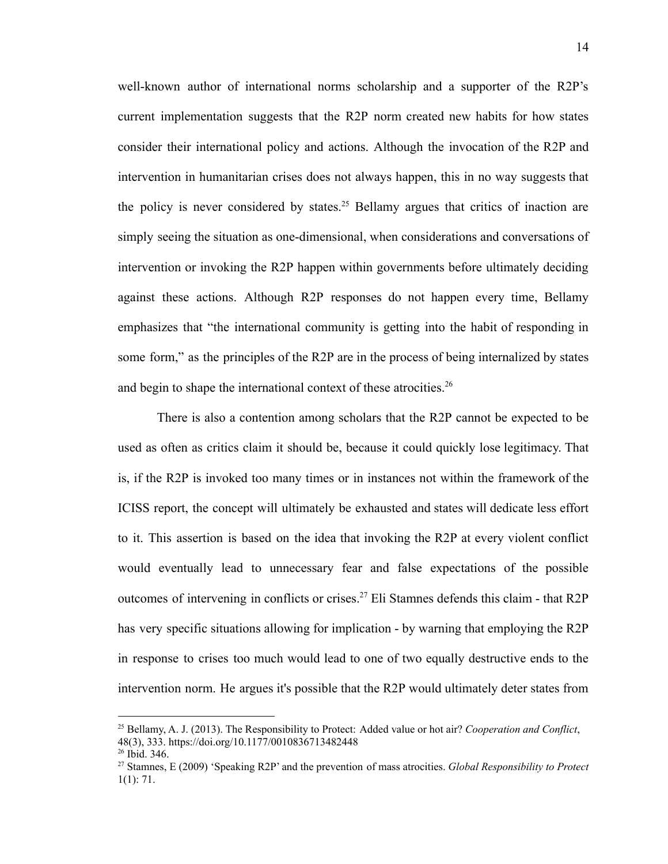well-known author of international norms scholarship and a supporter of the R2P's current implementation suggests that the R2P norm created new habits for how states consider their international policy and actions. Although the invocation of the R2P and intervention in humanitarian crises does not always happen, this in no way suggests that the policy is never considered by states.<sup>25</sup> Bellamy argues that critics of inaction are simply seeing the situation as one-dimensional, when considerations and conversations of intervention or invoking the R2P happen within governments before ultimately deciding against these actions. Although R2P responses do not happen every time, Bellamy emphasizes that "the international community is getting into the habit of responding in some form," as the principles of the R2P are in the process of being internalized by states and begin to shape the international context of these atrocities.<sup>26</sup>

There is also a contention among scholars that the R2P cannot be expected to be used as often as critics claim it should be, because it could quickly lose legitimacy. That is, if the R2P is invoked too many times or in instances not within the framework of the ICISS report, the concept will ultimately be exhausted and states will dedicate less effort to it. This assertion is based on the idea that invoking the R2P at every violent conflict would eventually lead to unnecessary fear and false expectations of the possible outcomes of intervening in conflicts or crises.<sup>27</sup> Eli Stamnes defends this claim - that R2P has very specific situations allowing for implication - by warning that employing the R2P in response to crises too much would lead to one of two equally destructive ends to the intervention norm. He argues it's possible that the R2P would ultimately deter states from

<sup>25</sup> Bellamy, A. J. (2013). The Responsibility to Protect: Added value or hot air? *Cooperation and Conflict*, 48(3), 333. https://doi.org/10.1177/0010836713482448

<sup>26</sup> Ibid. 346.

<sup>27</sup> Stamnes, E (2009) 'Speaking R2P' and the prevention of mass atrocities. *Global Responsibility to Protect* 1(1): 71.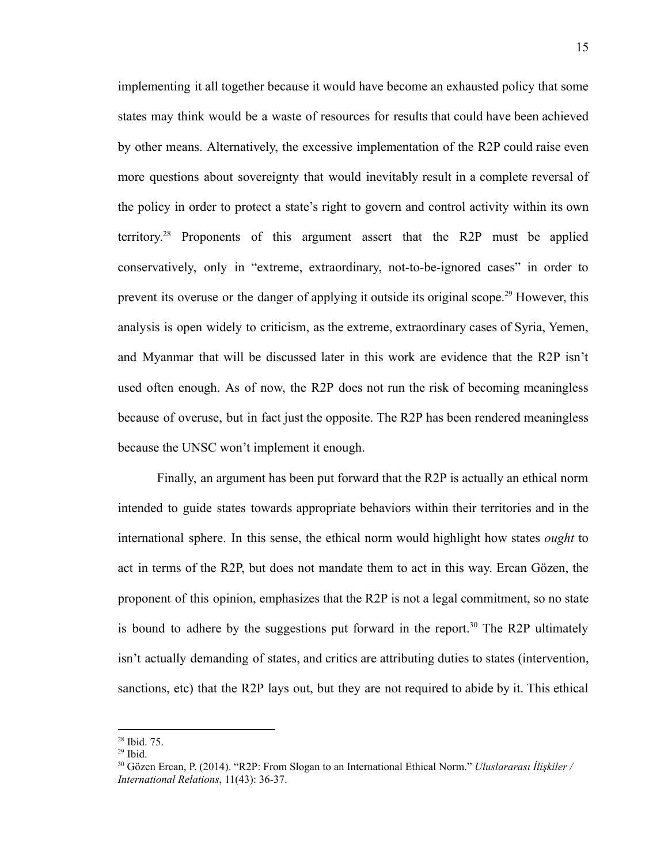implementing it all together because it would have become an exhausted policy that some states may think would be a waste of resources for results that could have been achieved by other means. Alternatively, the excessive implementation of the R2P could raise even more questions about sovereignty that would inevitably result in a complete reversal of the policy in order to protect a state's right to govern and control activity within its own territory. <sup>28</sup> Proponents of this argument assert that the R2P must be applied conservatively, only in "extreme, extraordinary, not-to-be-ignored cases" in order to prevent its overuse or the danger of applying it outside its original scope.<sup>29</sup> However, this analysis is open widely to criticism, as the extreme, extraordinary cases of Syria, Yemen, and Myanmar that will be discussed later in this work are evidence that the R2P isn't used often enough. As of now, the R2P does not run the risk of becoming meaningless because of overuse, but in fact just the opposite. The R2P has been rendered meaningless because the UNSC won't implement it enough.

Finally, an argument has been put forward that the R2P is actually an ethical norm intended to guide states towards appropriate behaviors within their territories and in the international sphere. In this sense, the ethical norm would highlight how states *ought* to act in terms of the R2P, but does not mandate them to act in this way. Ercan Gözen, the proponent of this opinion, emphasizes that the R2P is not a legal commitment, so no state is bound to adhere by the suggestions put forward in the report.<sup>30</sup> The R2P ultimately isn't actually demanding of states, and critics are attributing duties to states (intervention, sanctions, etc) that the R2P lays out, but they are not required to abide by it. This ethical

<sup>28</sup> Ibid. 75.

 $29$  Ibid.

<sup>30</sup> Gözen Ercan, P. (2014). "R2P: From Slogan to an International Ethical Norm." *Uluslararası İlişkiler / International Relations*, 11(43): 36-37.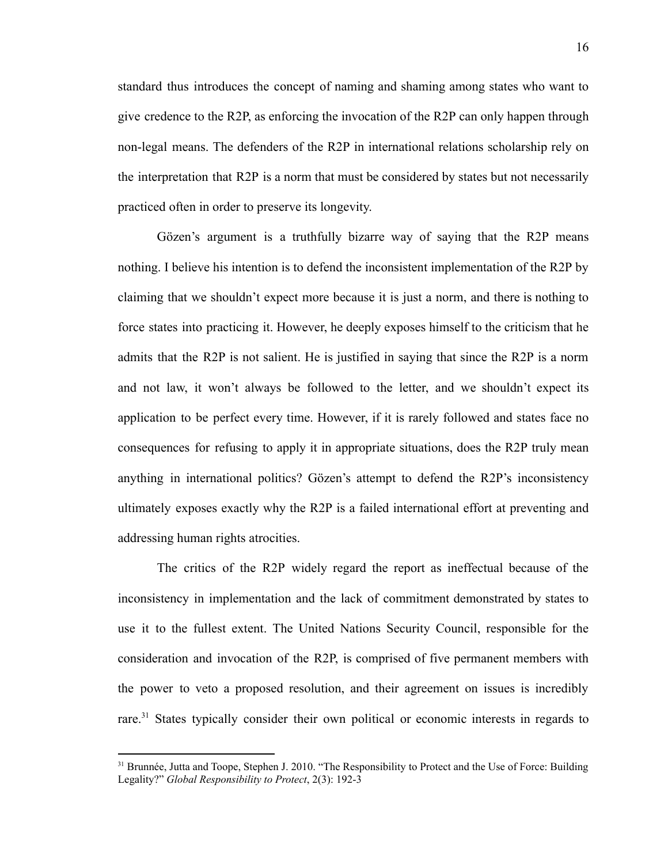standard thus introduces the concept of naming and shaming among states who want to give credence to the R2P, as enforcing the invocation of the R2P can only happen through non-legal means. The defenders of the R2P in international relations scholarship rely on the interpretation that R2P is a norm that must be considered by states but not necessarily practiced often in order to preserve its longevity.

Gözen's argument is a truthfully bizarre way of saying that the R2P means nothing. I believe his intention is to defend the inconsistent implementation of the R2P by claiming that we shouldn't expect more because it is just a norm, and there is nothing to force states into practicing it. However, he deeply exposes himself to the criticism that he admits that the R2P is not salient. He is justified in saying that since the R2P is a norm and not law, it won't always be followed to the letter, and we shouldn't expect its application to be perfect every time. However, if it is rarely followed and states face no consequences for refusing to apply it in appropriate situations, does the R2P truly mean anything in international politics? Gözen's attempt to defend the R2P's inconsistency ultimately exposes exactly why the R2P is a failed international effort at preventing and addressing human rights atrocities.

The critics of the R2P widely regard the report as ineffectual because of the inconsistency in implementation and the lack of commitment demonstrated by states to use it to the fullest extent. The United Nations Security Council, responsible for the consideration and invocation of the R2P, is comprised of five permanent members with the power to veto a proposed resolution, and their agreement on issues is incredibly rare.<sup>31</sup> States typically consider their own political or economic interests in regards to

<sup>&</sup>lt;sup>31</sup> Brunnée, Jutta and Toope, Stephen J. 2010. "The Responsibility to Protect and the Use of Force: Building Legality?" *Global Responsibility to Protect*, 2(3): 192-3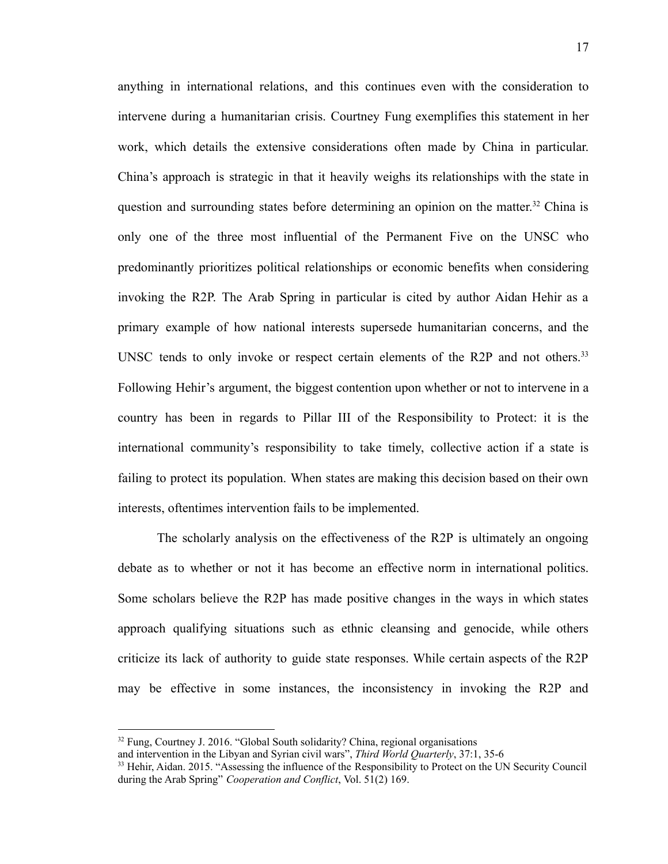anything in international relations, and this continues even with the consideration to intervene during a humanitarian crisis. Courtney Fung exemplifies this statement in her work, which details the extensive considerations often made by China in particular. China's approach is strategic in that it heavily weighs its relationships with the state in question and surrounding states before determining an opinion on the matter.<sup>32</sup> China is only one of the three most influential of the Permanent Five on the UNSC who predominantly prioritizes political relationships or economic benefits when considering invoking the R2P. The Arab Spring in particular is cited by author Aidan Hehir as a primary example of how national interests supersede humanitarian concerns, and the UNSC tends to only invoke or respect certain elements of the R2P and not others.<sup>33</sup> Following Hehir's argument, the biggest contention upon whether or not to intervene in a country has been in regards to Pillar III of the Responsibility to Protect: it is the international community's responsibility to take timely, collective action if a state is failing to protect its population. When states are making this decision based on their own interests, oftentimes intervention fails to be implemented.

The scholarly analysis on the effectiveness of the R2P is ultimately an ongoing debate as to whether or not it has become an effective norm in international politics. Some scholars believe the R2P has made positive changes in the ways in which states approach qualifying situations such as ethnic cleansing and genocide, while others criticize its lack of authority to guide state responses. While certain aspects of the R2P may be effective in some instances, the inconsistency in invoking the R2P and

<sup>&</sup>lt;sup>32</sup> Fung, Courtney J. 2016. "Global South solidarity? China, regional organisations

and intervention in the Libyan and Syrian civil wars", *Third World Quarterly*, 37:1, 35-6

<sup>&</sup>lt;sup>33</sup> Hehir, Aidan. 2015. "Assessing the influence of the Responsibility to Protect on the UN Security Council during the Arab Spring" *Cooperation and Conflict*, Vol. 51(2) 169.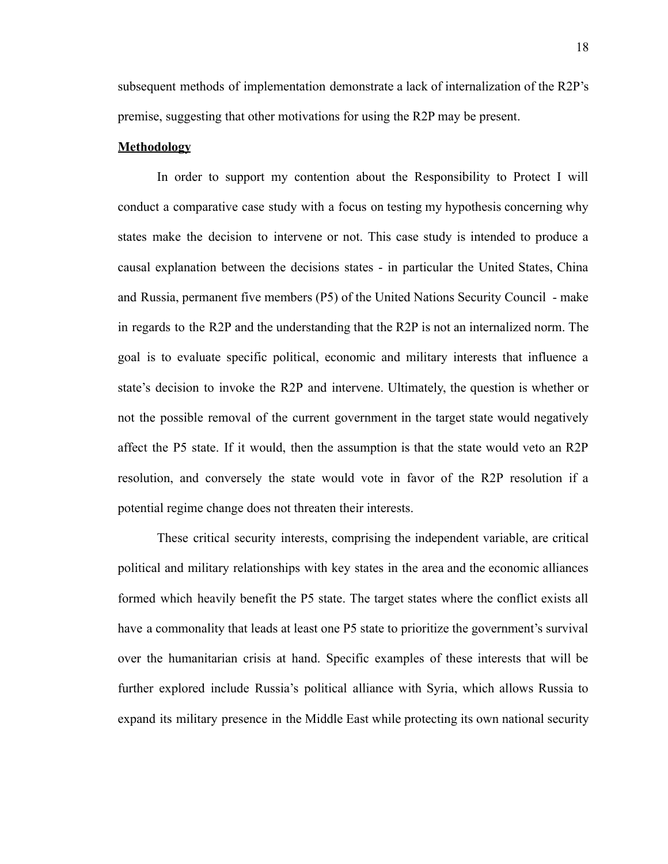subsequent methods of implementation demonstrate a lack of internalization of the R2P's premise, suggesting that other motivations for using the R2P may be present.

#### **Methodology**

In order to support my contention about the Responsibility to Protect I will conduct a comparative case study with a focus on testing my hypothesis concerning why states make the decision to intervene or not. This case study is intended to produce a causal explanation between the decisions states - in particular the United States, China and Russia, permanent five members (P5) of the United Nations Security Council - make in regards to the R2P and the understanding that the R2P is not an internalized norm. The goal is to evaluate specific political, economic and military interests that influence a state's decision to invoke the R2P and intervene. Ultimately, the question is whether or not the possible removal of the current government in the target state would negatively affect the P5 state. If it would, then the assumption is that the state would veto an R2P resolution, and conversely the state would vote in favor of the R2P resolution if a potential regime change does not threaten their interests.

These critical security interests, comprising the independent variable, are critical political and military relationships with key states in the area and the economic alliances formed which heavily benefit the P5 state. The target states where the conflict exists all have a commonality that leads at least one P5 state to prioritize the government's survival over the humanitarian crisis at hand. Specific examples of these interests that will be further explored include Russia's political alliance with Syria, which allows Russia to expand its military presence in the Middle East while protecting its own national security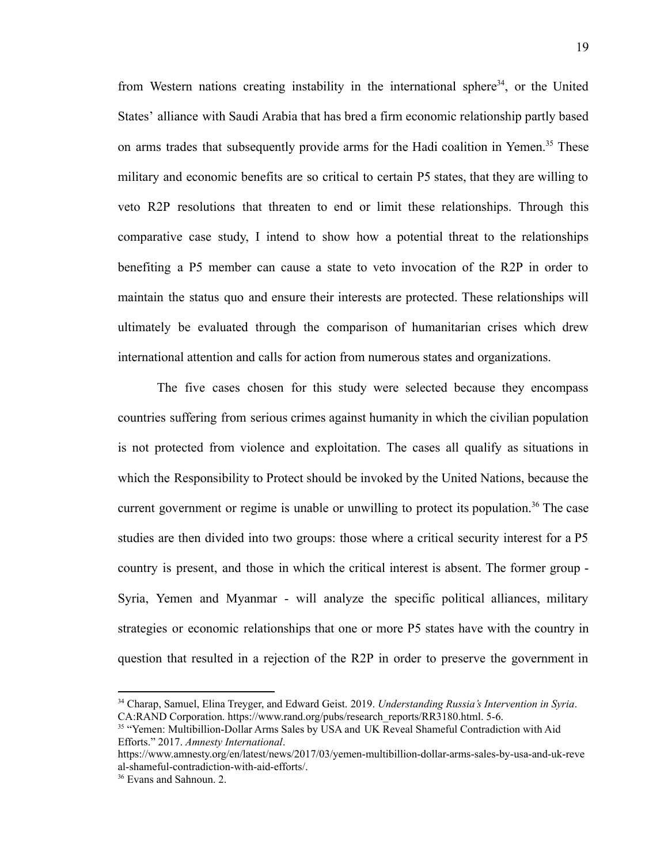from Western nations creating instability in the international sphere<sup>34</sup>, or the United States' alliance with Saudi Arabia that has bred a firm economic relationship partly based on arms trades that subsequently provide arms for the Hadi coalition in Yemen.<sup>35</sup> These military and economic benefits are so critical to certain P5 states, that they are willing to veto R2P resolutions that threaten to end or limit these relationships. Through this comparative case study, I intend to show how a potential threat to the relationships benefiting a P5 member can cause a state to veto invocation of the R2P in order to maintain the status quo and ensure their interests are protected. These relationships will ultimately be evaluated through the comparison of humanitarian crises which drew international attention and calls for action from numerous states and organizations.

The five cases chosen for this study were selected because they encompass countries suffering from serious crimes against humanity in which the civilian population is not protected from violence and exploitation. The cases all qualify as situations in which the Responsibility to Protect should be invoked by the United Nations, because the current government or regime is unable or unwilling to protect its population.<sup>36</sup> The case studies are then divided into two groups: those where a critical security interest for a P5 country is present, and those in which the critical interest is absent. The former group - Syria, Yemen and Myanmar - will analyze the specific political alliances, military strategies or economic relationships that one or more P5 states have with the country in question that resulted in a rejection of the R2P in order to preserve the government in

<sup>34</sup> Charap, Samuel, Elina Treyger, and Edward Geist. 2019. *Understanding Russia's Intervention in Syria*. CA:RAND Corporation. [https://www.rand.org/pubs/research\\_reports/RR3180.html.](https://www.rand.org/pubs/research_reports/RR3180.html) 5-6.

<sup>&</sup>lt;sup>35</sup> "Yemen: Multibillion-Dollar Arms Sales by USA and UK Reveal Shameful Contradiction with Aid Efforts." 2017. *Amnesty International*.

[https://www.amnesty.org/en/latest/news/2017/03/yemen-multibillion-dollar-arms-sales-by-usa-and-uk-reve](https://www.amnesty.org/en/latest/news/2017/03/yemen-multibillion-dollar-arms-sales-by-usa-and-uk-reveal-shameful-contradiction-with-aid-efforts/) [al-shameful-contradiction-with-aid-efforts/.](https://www.amnesty.org/en/latest/news/2017/03/yemen-multibillion-dollar-arms-sales-by-usa-and-uk-reveal-shameful-contradiction-with-aid-efforts/)

<sup>36</sup> Evans and Sahnoun. 2.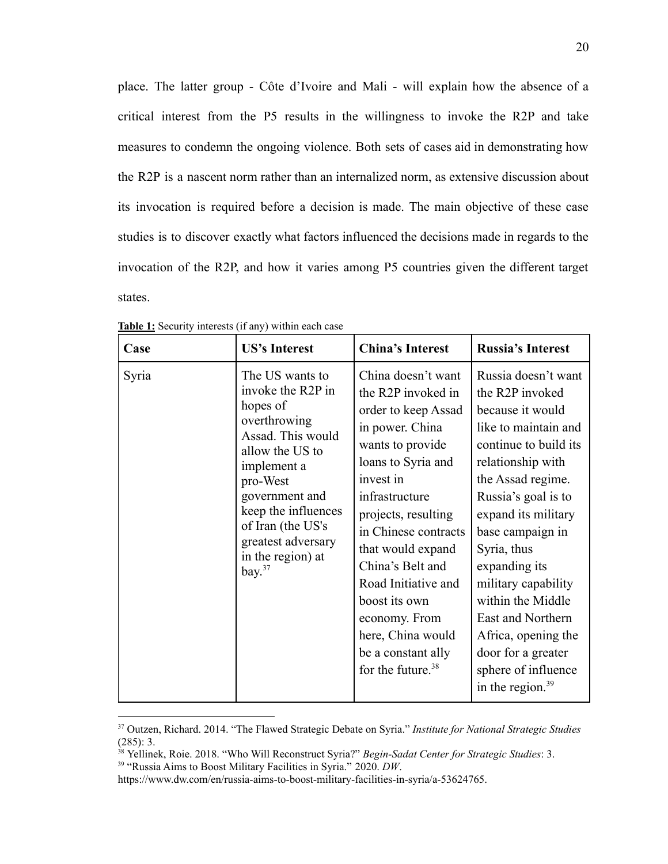place. The latter group - Côte d'Ivoire and Mali - will explain how the absence of a critical interest from the P5 results in the willingness to invoke the R2P and take measures to condemn the ongoing violence. Both sets of cases aid in demonstrating how the R2P is a nascent norm rather than an internalized norm, as extensive discussion about its invocation is required before a decision is made. The main objective of these case studies is to discover exactly what factors influenced the decisions made in regards to the invocation of the R2P, and how it varies among P5 countries given the different target states.

| Case  | <b>US's Interest</b>                                                                                                                                                                                                                                      | <b>China's Interest</b>                                                                                                                                                                                                                                                                                                                                                                  | <b>Russia's Interest</b>                                                                                                                                                                                                                                                                                                                                                                                            |
|-------|-----------------------------------------------------------------------------------------------------------------------------------------------------------------------------------------------------------------------------------------------------------|------------------------------------------------------------------------------------------------------------------------------------------------------------------------------------------------------------------------------------------------------------------------------------------------------------------------------------------------------------------------------------------|---------------------------------------------------------------------------------------------------------------------------------------------------------------------------------------------------------------------------------------------------------------------------------------------------------------------------------------------------------------------------------------------------------------------|
| Syria | The US wants to<br>invoke the R2P in<br>hopes of<br>overthrowing<br>Assad. This would<br>allow the US to<br>implement a<br>pro-West<br>government and<br>keep the influences<br>of Iran (the US's<br>greatest adversary<br>in the region) at<br>bay. $37$ | China doesn't want<br>the R2P invoked in<br>order to keep Assad<br>in power. China<br>wants to provide<br>loans to Syria and<br>invest in<br>infrastructure<br>projects, resulting<br>in Chinese contracts<br>that would expand<br>China's Belt and<br>Road Initiative and<br>boost its own<br>economy. From<br>here, China would<br>be a constant ally<br>for the future. <sup>38</sup> | Russia doesn't want<br>the R2P invoked<br>because it would<br>like to maintain and<br>continue to build its<br>relationship with<br>the Assad regime.<br>Russia's goal is to<br>expand its military<br>base campaign in<br>Syria, thus<br>expanding its<br>military capability<br>within the Middle<br>East and Northern<br>Africa, opening the<br>door for a greater<br>sphere of influence<br>in the region. $39$ |

**Table 1:** Security interests (if any) within each case

<sup>37</sup> Outzen, Richard. 2014. "The Flawed Strategic Debate on Syria." *Institute for National Strategic Studies* (285): 3.

<sup>38</sup> Yellinek, Roie. 2018. "Who Will Reconstruct Syria?" *Begin-Sadat Center for Strategic Studies*: 3.

<sup>39</sup> "Russia Aims to Boost Military Facilities in Syria." 2020. *DW*.

<https://www.dw.com/en/russia-aims-to-boost-military-facilities-in-syria/a-53624765>.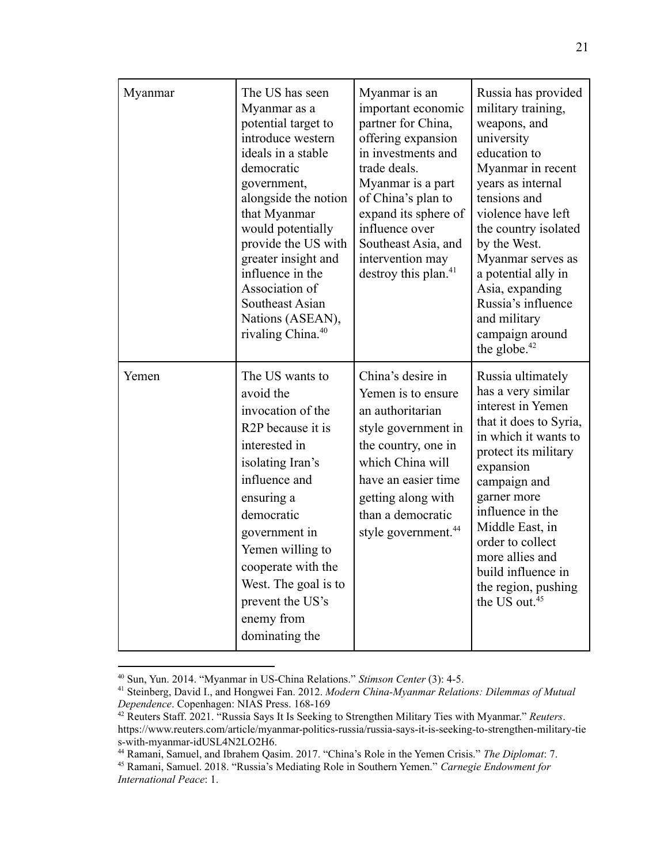| Myanmar | The US has seen<br>Myanmar as a<br>potential target to<br>introduce western<br>ideals in a stable<br>democratic<br>government,<br>alongside the notion<br>that Myanmar<br>would potentially<br>provide the US with<br>greater insight and<br>influence in the<br>Association of<br>Southeast Asian<br>Nations (ASEAN),<br>rivaling China. <sup>40</sup> | Myanmar is an<br>important economic<br>partner for China,<br>offering expansion<br>in investments and<br>trade deals.<br>Myanmar is a part<br>of China's plan to<br>expand its sphere of<br>influence over<br>Southeast Asia, and<br>intervention may<br>destroy this plan. <sup>41</sup> | Russia has provided<br>military training,<br>weapons, and<br>university<br>education to<br>Myanmar in recent<br>years as internal<br>tensions and<br>violence have left<br>the country isolated<br>by the West.<br>Myanmar serves as<br>a potential ally in<br>Asia, expanding<br>Russia's influence<br>and military<br>campaign around<br>the globe. $42$ |
|---------|---------------------------------------------------------------------------------------------------------------------------------------------------------------------------------------------------------------------------------------------------------------------------------------------------------------------------------------------------------|-------------------------------------------------------------------------------------------------------------------------------------------------------------------------------------------------------------------------------------------------------------------------------------------|------------------------------------------------------------------------------------------------------------------------------------------------------------------------------------------------------------------------------------------------------------------------------------------------------------------------------------------------------------|
| Yemen   | The US wants to<br>avoid the<br>invocation of the<br>R <sub>2</sub> P because it is<br>interested in<br>isolating Iran's<br>influence and<br>ensuring a<br>democratic<br>government in<br>Yemen willing to<br>cooperate with the<br>West. The goal is to<br>prevent the US's<br>enemy from<br>dominating the                                            | China's desire in<br>Yemen is to ensure<br>an authoritarian<br>style government in<br>the country, one in<br>which China will<br>have an easier time<br>getting along with<br>than a democratic<br>style government. <sup>44</sup>                                                        | Russia ultimately<br>has a very similar<br>interest in Yemen<br>that it does to Syria,<br>in which it wants to<br>protect its military<br>expansion<br>campaign and<br>garner more<br>influence in the<br>Middle East, in<br>order to collect<br>more allies and<br>build influence in<br>the region, pushing<br>the US out. <sup>45</sup>                 |

<sup>40</sup> Sun, Yun. 2014. "Myanmar in US-China Relations." *Stimson Center* (3): 4-5.

<sup>41</sup> Steinberg, David I., and Hongwei Fan. 2012. *Modern China-Myanmar Relations: Dilemmas of Mutual Dependence*. Copenhagen: NIAS Press. 168-169

<sup>42</sup> Reuters Staff. 2021. "Russia Says It Is Seeking to Strengthen Military Ties with Myanmar." *Reuters*. [https://www.reuters.com/article/myanmar-politics-russia/russia-says-it-is-seeking-to-strengthen-military-tie](https://www.reuters.com/article/myanmar-politics-russia/russia-says-it-is-seeking-to-strengthen-military-ties-with-myanmar-idUSL4N2LO2H6) [s-with-myanmar-idUSL4N2LO2H6.](https://www.reuters.com/article/myanmar-politics-russia/russia-says-it-is-seeking-to-strengthen-military-ties-with-myanmar-idUSL4N2LO2H6)

<sup>44</sup> Ramani, Samuel, and Ibrahem Qasim. 2017. "China's Role in the Yemen Crisis." *The Diplomat*: 7.

<sup>45</sup> Ramani, Samuel. 2018. "Russia's Mediating Role in Southern Yemen." *Carnegie Endowment for International Peace*: 1.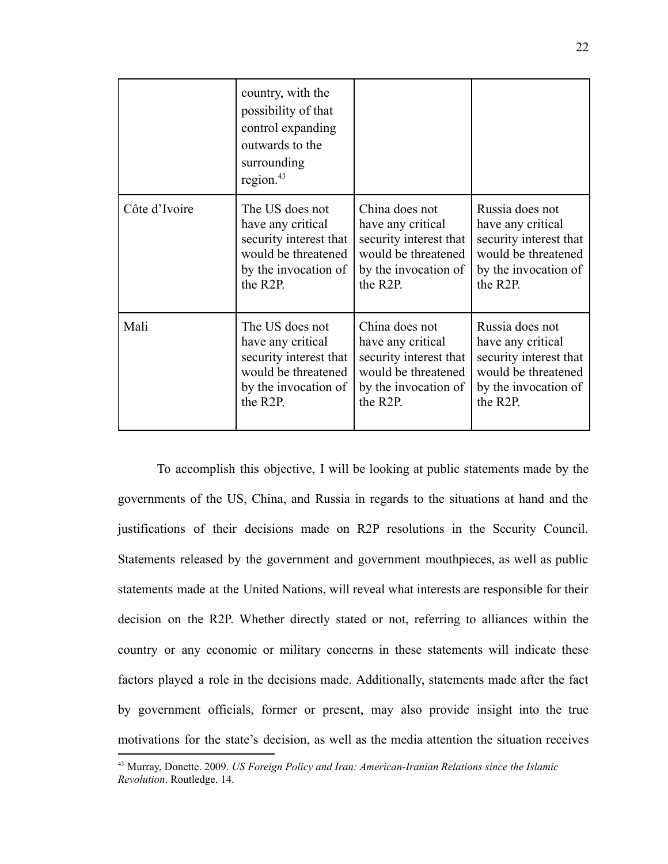|               | country, with the<br>possibility of that<br>control expanding<br>outwards to the<br>surrounding<br>region. <sup>43</sup> |                        |                        |
|---------------|--------------------------------------------------------------------------------------------------------------------------|------------------------|------------------------|
| Côte d'Ivoire | The US does not                                                                                                          | China does not         | Russia does not        |
|               | have any critical                                                                                                        | have any critical      | have any critical      |
|               | security interest that                                                                                                   | security interest that | security interest that |
|               | would be threatened                                                                                                      | would be threatened    | would be threatened    |
|               | by the invocation of                                                                                                     | by the invocation of   | by the invocation of   |
|               | the R2P.                                                                                                                 | the R2P.               | the R2P.               |
| Mali          | The US does not                                                                                                          | China does not         | Russia does not        |
|               | have any critical                                                                                                        | have any critical      | have any critical      |
|               | security interest that                                                                                                   | security interest that | security interest that |
|               | would be threatened                                                                                                      | would be threatened    | would be threatened    |
|               | by the invocation of                                                                                                     | by the invocation of   | by the invocation of   |
|               | the R2P.                                                                                                                 | the R <sub>2</sub> P.  | the R2P.               |

To accomplish this objective, I will be looking at public statements made by the governments of the US, China, and Russia in regards to the situations at hand and the justifications of their decisions made on R2P resolutions in the Security Council. Statements released by the government and government mouthpieces, as well as public statements made at the United Nations, will reveal what interests are responsible for their decision on the R2P. Whether directly stated or not, referring to alliances within the country or any economic or military concerns in these statements will indicate these factors played a role in the decisions made. Additionally, statements made after the fact by government officials, former or present, may also provide insight into the true motivations for the state's decision, as well as the media attention the situation receives

<sup>43</sup> Murray, Donette. 2009. *US Foreign Policy and Iran: American-Iranian Relations since the Islamic Revolution*. Routledge. 14.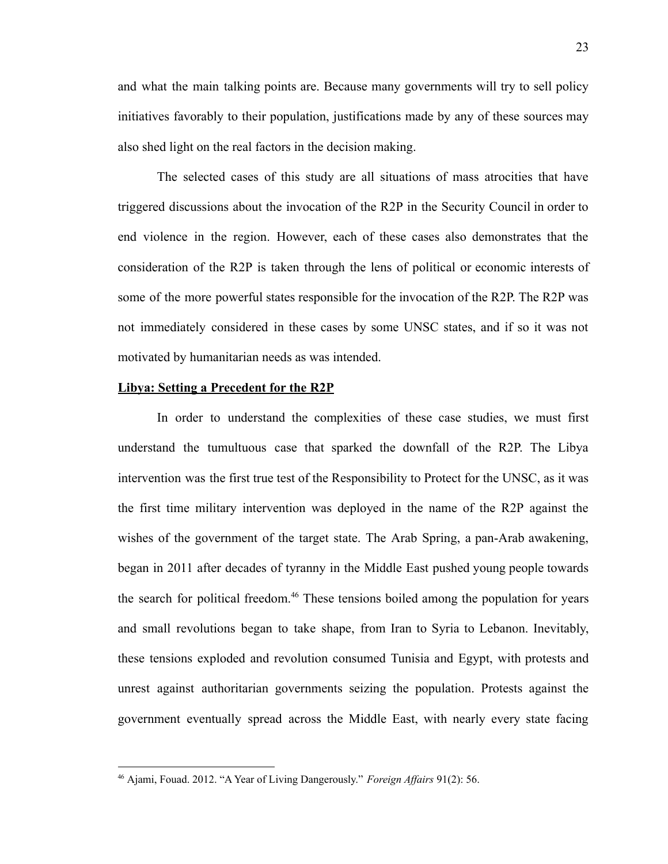and what the main talking points are. Because many governments will try to sell policy initiatives favorably to their population, justifications made by any of these sources may also shed light on the real factors in the decision making.

The selected cases of this study are all situations of mass atrocities that have triggered discussions about the invocation of the R2P in the Security Council in order to end violence in the region. However, each of these cases also demonstrates that the consideration of the R2P is taken through the lens of political or economic interests of some of the more powerful states responsible for the invocation of the R2P. The R2P was not immediately considered in these cases by some UNSC states, and if so it was not motivated by humanitarian needs as was intended.

#### **Libya: Setting a Precedent for the R2P**

In order to understand the complexities of these case studies, we must first understand the tumultuous case that sparked the downfall of the R2P. The Libya intervention was the first true test of the Responsibility to Protect for the UNSC, as it was the first time military intervention was deployed in the name of the R2P against the wishes of the government of the target state. The Arab Spring, a pan-Arab awakening, began in 2011 after decades of tyranny in the Middle East pushed young people towards the search for political freedom.<sup>46</sup> These tensions boiled among the population for years and small revolutions began to take shape, from Iran to Syria to Lebanon. Inevitably, these tensions exploded and revolution consumed Tunisia and Egypt, with protests and unrest against authoritarian governments seizing the population. Protests against the government eventually spread across the Middle East, with nearly every state facing

<sup>&</sup>lt;sup>46</sup> Ajami, Fouad. 2012. "A Year of Living Dangerously." *Foreign Affairs* 91(2): 56.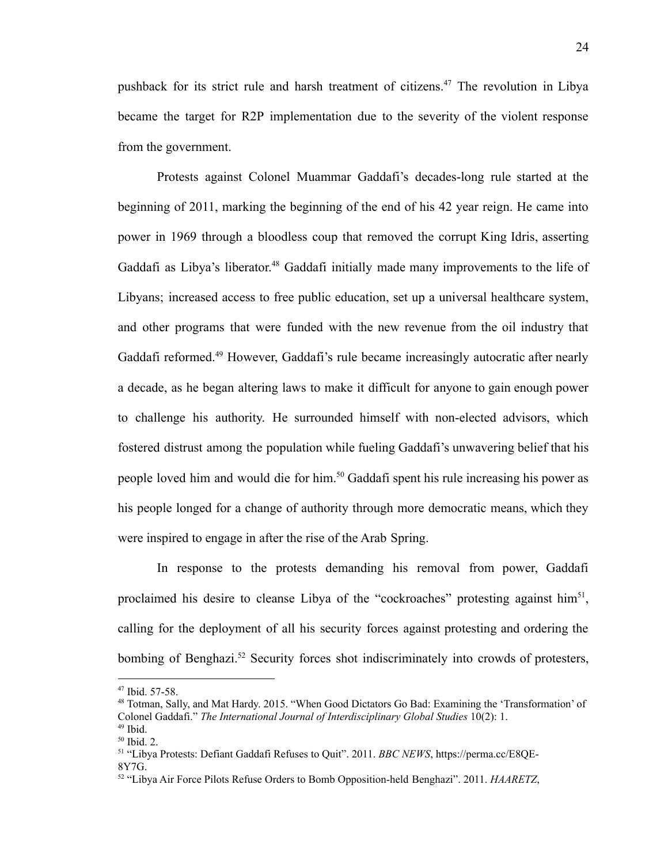pushback for its strict rule and harsh treatment of citizens.<sup>47</sup> The revolution in Libya became the target for R2P implementation due to the severity of the violent response from the government.

Protests against Colonel Muammar Gaddafi's decades-long rule started at the beginning of 2011, marking the beginning of the end of his 42 year reign. He came into power in 1969 through a bloodless coup that removed the corrupt King Idris, asserting Gaddafi as Libya's liberator.<sup>48</sup> Gaddafi initially made many improvements to the life of Libyans; increased access to free public education, set up a universal healthcare system, and other programs that were funded with the new revenue from the oil industry that Gaddafi reformed.<sup>49</sup> However, Gaddafi's rule became increasingly autocratic after nearly a decade, as he began altering laws to make it difficult for anyone to gain enough power to challenge his authority. He surrounded himself with non-elected advisors, which fostered distrust among the population while fueling Gaddafi's unwavering belief that his people loved him and would die for him.<sup>50</sup> Gaddafi spent his rule increasing his power as his people longed for a change of authority through more democratic means, which they were inspired to engage in after the rise of the Arab Spring.

In response to the protests demanding his removal from power, Gaddafi proclaimed his desire to cleanse Libya of the "cockroaches" protesting against him<sup>51</sup>, calling for the deployment of all his security forces against protesting and ordering the bombing of Benghazi.<sup>52</sup> Security forces shot indiscriminately into crowds of protesters,

<sup>47</sup> Ibid. 57-58.

<sup>48</sup> Totman, Sally, and Mat Hardy. 2015. "When Good Dictators Go Bad: Examining the 'Transformation' of Colonel Gaddafi." *The International Journal of Interdisciplinary Global Studies* 10(2): 1.

 $49$  Ibid.

 $50$  Ibid. 2.

<sup>51</sup> "Libya Protests: Defiant Gaddafi Refuses to Quit". 2011. *BBC NEWS*, https://perma.cc/E8QE-8Y7G.

<sup>52</sup> "Libya Air Force Pilots Refuse Orders to Bomb Opposition-held Benghazi". 2011. *HAARETZ*,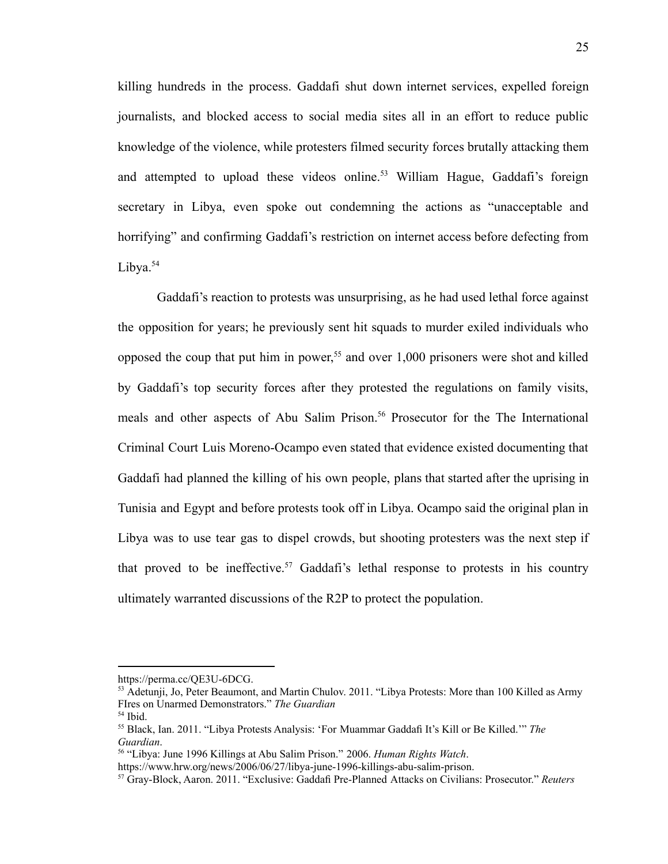killing hundreds in the process. Gaddafi shut down internet services, expelled foreign journalists, and blocked access to social media sites all in an effort to reduce public knowledge of the violence, while protesters filmed security forces brutally attacking them and attempted to upload these videos online.<sup>53</sup> William Hague, Gaddafi's foreign secretary in Libya, even spoke out condemning the actions as "unacceptable and horrifying" and confirming Gaddafi's restriction on internet access before defecting from Libya.<sup>54</sup>

Gaddafi's reaction to protests was unsurprising, as he had used lethal force against the opposition for years; he previously sent hit squads to murder exiled individuals who opposed the coup that put him in power, <sup>55</sup> and over 1,000 prisoners were shot and killed by Gaddafi's top security forces after they protested the regulations on family visits, meals and other aspects of Abu Salim Prison.<sup>56</sup> Prosecutor for the The International Criminal Court Luis Moreno-Ocampo even stated that evidence existed documenting that Gaddafi had planned the killing of his own people, plans that started after the uprising in Tunisia and Egypt and before protests took off in Libya. Ocampo said the original plan in Libya was to use tear gas to dispel crowds, but shooting protesters was the next step if that proved to be ineffective.<sup>57</sup> Gaddafi's lethal response to protests in his country ultimately warranted discussions of the R2P to protect the population.

https://perma.cc/QE3U-6DCG.

<sup>&</sup>lt;sup>53</sup> Adetunji, Jo, Peter Beaumont, and Martin Chulov. 2011. "Libya Protests: More than 100 Killed as Army FIres on Unarmed Demonstrators." *The Guardian*

<sup>54</sup> Ibid.

<sup>55</sup> Black, Ian. 2011. "Libya Protests Analysis: 'For Muammar Gaddafi It's Kill or Be Killed.'" *The Guardian*.

<sup>56</sup> "Libya: June 1996 Killings at Abu Salim Prison." 2006. *Human Rights Watch*.

<https://www.hrw.org/news/2006/06/27/libya-june-1996-killings-abu-salim-prison>.

<sup>57</sup> Gray-Block, Aaron. 2011. "Exclusive: Gaddafi Pre-Planned Attacks on Civilians: Prosecutor." *Reuters*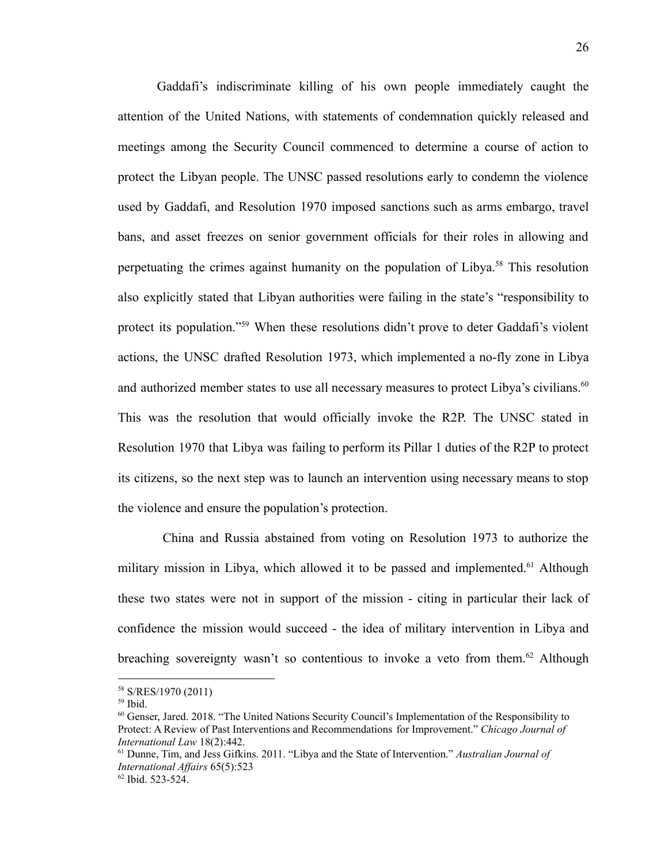Gaddafi's indiscriminate killing of his own people immediately caught the attention of the United Nations, with statements of condemnation quickly released and meetings among the Security Council commenced to determine a course of action to protect the Libyan people. The UNSC passed resolutions early to condemn the violence used by Gaddafi, and Resolution 1970 imposed sanctions such as arms embargo, travel bans, and asset freezes on senior government officials for their roles in allowing and perpetuating the crimes against humanity on the population of Libya.<sup>58</sup> This resolution also explicitly stated that Libyan authorities were failing in the state's "responsibility to protect its population."<sup>59</sup> When these resolutions didn't prove to deter Gaddafi's violent actions, the UNSC drafted Resolution 1973, which implemented a no-fly zone in Libya and authorized member states to use all necessary measures to protect Libya's civilians.<sup>60</sup> This was the resolution that would officially invoke the R2P. The UNSC stated in Resolution 1970 that Libya was failing to perform its Pillar 1 duties of the R2P to protect its citizens, so the next step was to launch an intervention using necessary means to stop the violence and ensure the population's protection.

China and Russia abstained from voting on Resolution 1973 to authorize the military mission in Libya, which allowed it to be passed and implemented.<sup>61</sup> Although these two states were not in support of the mission - citing in particular their lack of confidence the mission would succeed - the idea of military intervention in Libya and breaching sovereignty wasn't so contentious to invoke a veto from them.<sup>62</sup> Although

<sup>58</sup> S/RES/1970 (2011)

 $59$  Ibid.

<sup>60</sup> Genser, Jared. 2018. "The United Nations Security Council's Implementation of the Responsibility to Protect: A Review of Past Interventions and Recommendations for Improvement." *Chicago Journal of International Law* 18(2):442.

<sup>61</sup> Dunne, Tim, and Jess Gifkins. 2011. "Libya and the State of Intervention." *Australian Journal of International Af airs* 65(5):523

<sup>62</sup> Ibid. 523-524.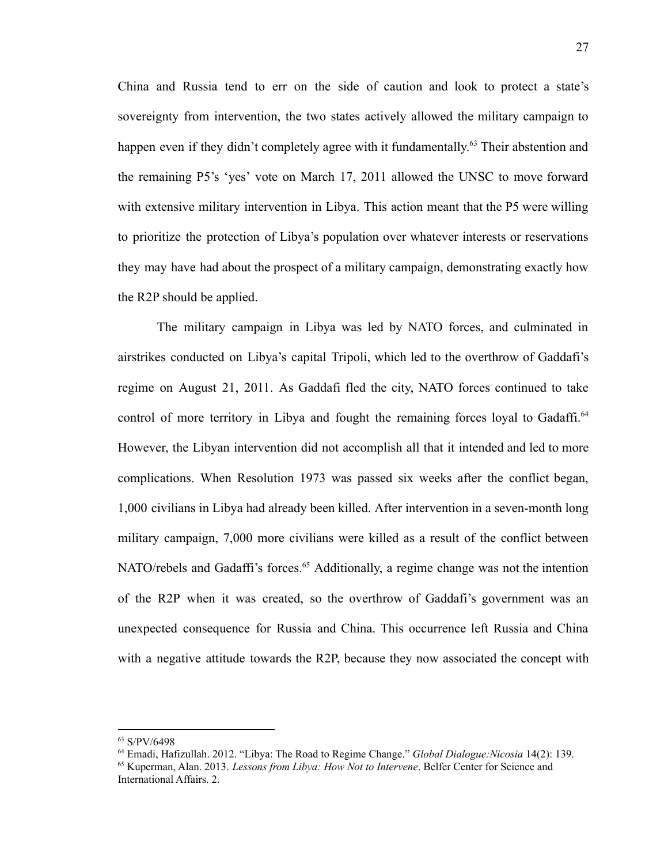China and Russia tend to err on the side of caution and look to protect a state's sovereignty from intervention, the two states actively allowed the military campaign to happen even if they didn't completely agree with it fundamentally.<sup>63</sup> Their abstention and the remaining P5's 'yes' vote on March 17, 2011 allowed the UNSC to move forward with extensive military intervention in Libya. This action meant that the P5 were willing to prioritize the protection of Libya's population over whatever interests or reservations they may have had about the prospect of a military campaign, demonstrating exactly how the R2P should be applied.

The military campaign in Libya was led by NATO forces, and culminated in airstrikes conducted on Libya's capital Tripoli, which led to the overthrow of Gaddafi's regime on August 21, 2011. As Gaddafi fled the city, NATO forces continued to take control of more territory in Libya and fought the remaining forces loyal to Gadaffi.<sup>64</sup> However, the Libyan intervention did not accomplish all that it intended and led to more complications. When Resolution 1973 was passed six weeks after the conflict began, 1,000 civilians in Libya had already been killed. After intervention in a seven-month long military campaign, 7,000 more civilians were killed as a result of the conflict between NATO/rebels and Gadaffi's forces.<sup>65</sup> Additionally, a regime change was not the intention of the R2P when it was created, so the overthrow of Gaddafi's government was an unexpected consequence for Russia and China. This occurrence left Russia and China with a negative attitude towards the R2P, because they now associated the concept with

<sup>63</sup> S/PV/6498

<sup>64</sup> Emadi, Hafizullah. 2012. "Libya: The Road to Regime Change." *Global Dialogue:Nicosia* 14(2): 139.

<sup>65</sup> Kuperman, Alan. 2013. *Lessons from Libya: How Not to Intervene*. Belfer Center for Science and International Affairs. 2.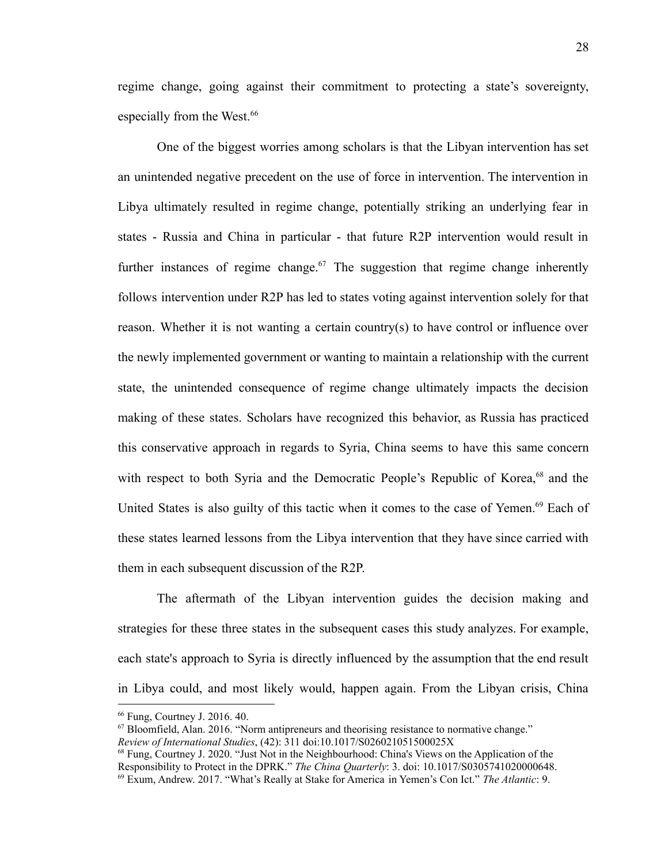regime change, going against their commitment to protecting a state's sovereignty, especially from the West.<sup>66</sup>

One of the biggest worries among scholars is that the Libyan intervention has set an unintended negative precedent on the use of force in intervention. The intervention in Libya ultimately resulted in regime change, potentially striking an underlying fear in states - Russia and China in particular - that future R2P intervention would result in further instances of regime change.<sup>67</sup> The suggestion that regime change inherently follows intervention under R2P has led to states voting against intervention solely for that reason. Whether it is not wanting a certain country(s) to have control or influence over the newly implemented government or wanting to maintain a relationship with the current state, the unintended consequence of regime change ultimately impacts the decision making of these states. Scholars have recognized this behavior, as Russia has practiced this conservative approach in regards to Syria, China seems to have this same concern with respect to both Syria and the Democratic People's Republic of Korea,<sup>68</sup> and the United States is also guilty of this tactic when it comes to the case of Yemen.<sup>69</sup> Each of these states learned lessons from the Libya intervention that they have since carried with them in each subsequent discussion of the R2P.

The aftermath of the Libyan intervention guides the decision making and strategies for these three states in the subsequent cases this study analyzes. For example, each state's approach to Syria is directly influenced by the assumption that the end result in Libya could, and most likely would, happen again. From the Libyan crisis, China

<sup>66</sup> Fung, Courtney J. 2016. 40.

 $67$  Bloomfield, Alan. 2016. "Norm antipreneurs and theorising resistance to normative change." *Review of International Studies*, (42): 311 doi:10.1017/S026021051500025X

<sup>69</sup> Exum, Andrew. 2017. "What's Really at Stake for America in Yemen's Con Ict." *The Atlantic*: 9. <sup>68</sup> Fung, Courtney J. 2020. "Just Not in the Neighbourhood: China's Views on the Application of the Responsibility to Protect in the DPRK." *The China Quarterly*: 3. doi: 10.1017/S0305741020000648.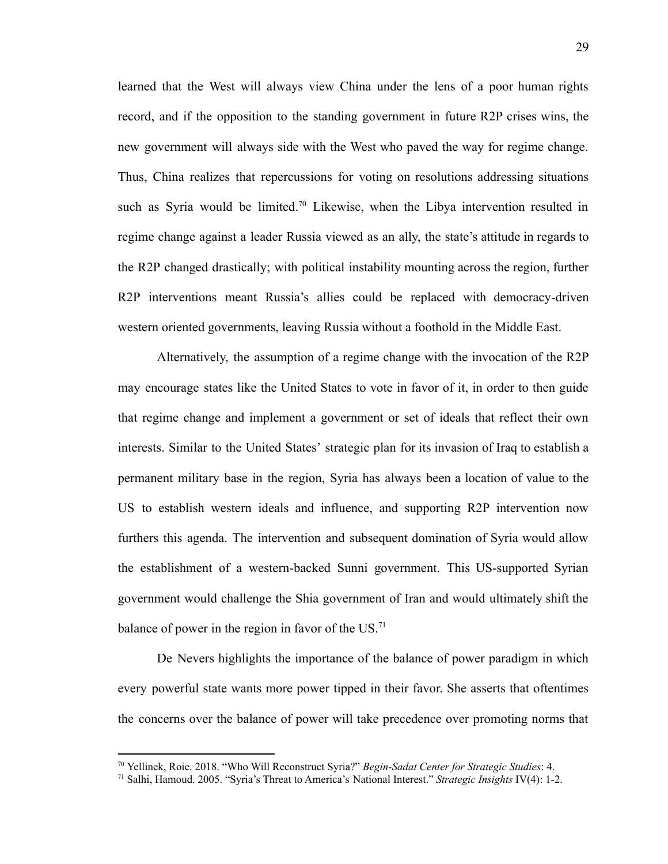learned that the West will always view China under the lens of a poor human rights record, and if the opposition to the standing government in future R2P crises wins, the new government will always side with the West who paved the way for regime change. Thus, China realizes that repercussions for voting on resolutions addressing situations such as Syria would be limited.<sup>70</sup> Likewise, when the Libya intervention resulted in regime change against a leader Russia viewed as an ally, the state's attitude in regards to the R2P changed drastically; with political instability mounting across the region, further R2P interventions meant Russia's allies could be replaced with democracy-driven western oriented governments, leaving Russia without a foothold in the Middle East.

Alternatively, the assumption of a regime change with the invocation of the R2P may encourage states like the United States to vote in favor of it, in order to then guide that regime change and implement a government or set of ideals that reflect their own interests. Similar to the United States' strategic plan for its invasion of Iraq to establish a permanent military base in the region, Syria has always been a location of value to the US to establish western ideals and influence, and supporting R2P intervention now furthers this agenda. The intervention and subsequent domination of Syria would allow the establishment of a western-backed Sunni government. This US-supported Syrian government would challenge the Shia government of Iran and would ultimately shift the balance of power in the region in favor of the  $US$ .<sup>71</sup>

De Nevers highlights the importance of the balance of power paradigm in which every powerful state wants more power tipped in their favor. She asserts that oftentimes the concerns over the balance of power will take precedence over promoting norms that

<sup>70</sup> Yellinek, Roie. 2018. "Who Will Reconstruct Syria?" *Begin-Sadat Center for Strategic Studies*: 4.

<sup>71</sup> Salhi, Hamoud. 2005. "Syria's Threat to America's National Interest." *Strategic Insights* IV(4): 1-2.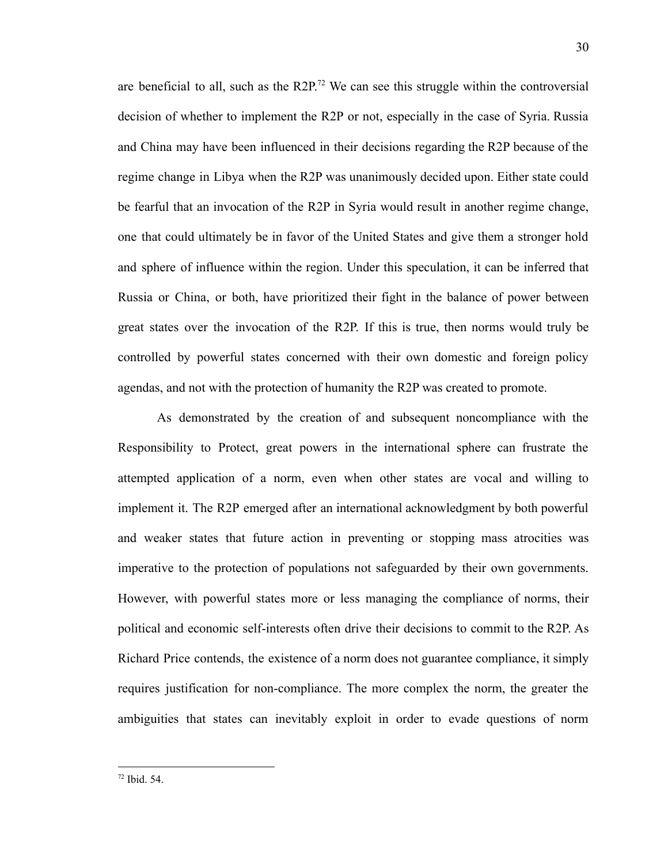are beneficial to all, such as the  $R2P<sup>72</sup>$  We can see this struggle within the controversial decision of whether to implement the R2P or not, especially in the case of Syria. Russia and China may have been influenced in their decisions regarding the R2P because of the regime change in Libya when the R2P was unanimously decided upon. Either state could be fearful that an invocation of the R2P in Syria would result in another regime change, one that could ultimately be in favor of the United States and give them a stronger hold and sphere of influence within the region. Under this speculation, it can be inferred that Russia or China, or both, have prioritized their fight in the balance of power between great states over the invocation of the R2P. If this is true, then norms would truly be controlled by powerful states concerned with their own domestic and foreign policy agendas, and not with the protection of humanity the R2P was created to promote.

As demonstrated by the creation of and subsequent noncompliance with the Responsibility to Protect, great powers in the international sphere can frustrate the attempted application of a norm, even when other states are vocal and willing to implement it. The R2P emerged after an international acknowledgment by both powerful and weaker states that future action in preventing or stopping mass atrocities was imperative to the protection of populations not safeguarded by their own governments. However, with powerful states more or less managing the compliance of norms, their political and economic self-interests often drive their decisions to commit to the R2P. As Richard Price contends, the existence of a norm does not guarantee compliance, it simply requires justification for non-compliance. The more complex the norm, the greater the ambiguities that states can inevitably exploit in order to evade questions of norm

<sup>72</sup> Ibid. 54.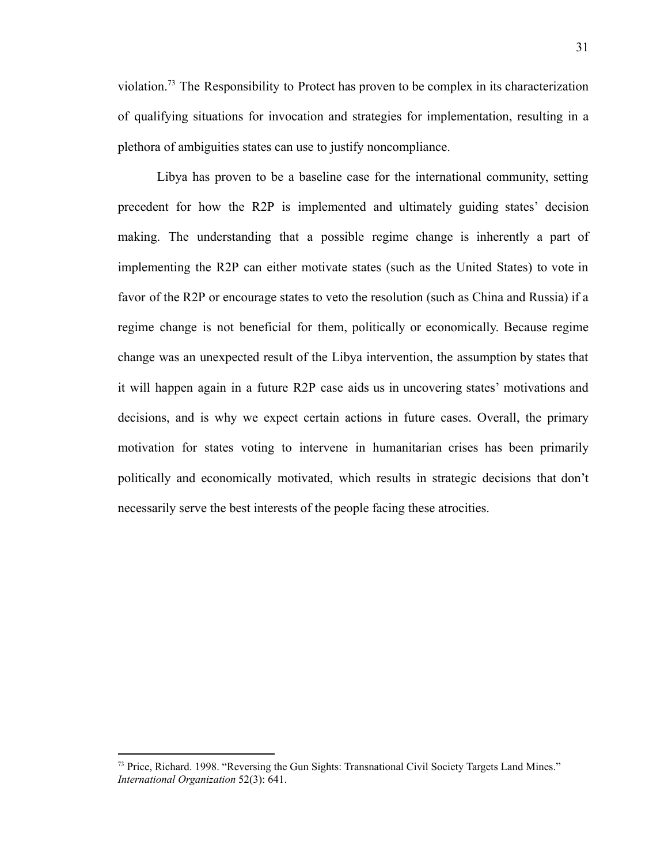violation.<sup>73</sup> The Responsibility to Protect has proven to be complex in its characterization of qualifying situations for invocation and strategies for implementation, resulting in a plethora of ambiguities states can use to justify noncompliance.

Libya has proven to be a baseline case for the international community, setting precedent for how the R2P is implemented and ultimately guiding states' decision making. The understanding that a possible regime change is inherently a part of implementing the R2P can either motivate states (such as the United States) to vote in favor of the R2P or encourage states to veto the resolution (such as China and Russia) if a regime change is not beneficial for them, politically or economically. Because regime change was an unexpected result of the Libya intervention, the assumption by states that it will happen again in a future R2P case aids us in uncovering states' motivations and decisions, and is why we expect certain actions in future cases. Overall, the primary motivation for states voting to intervene in humanitarian crises has been primarily politically and economically motivated, which results in strategic decisions that don't necessarily serve the best interests of the people facing these atrocities.

<sup>73</sup> Price, Richard. 1998. "Reversing the Gun Sights: Transnational Civil Society Targets Land Mines." *International Organization* 52(3): 641.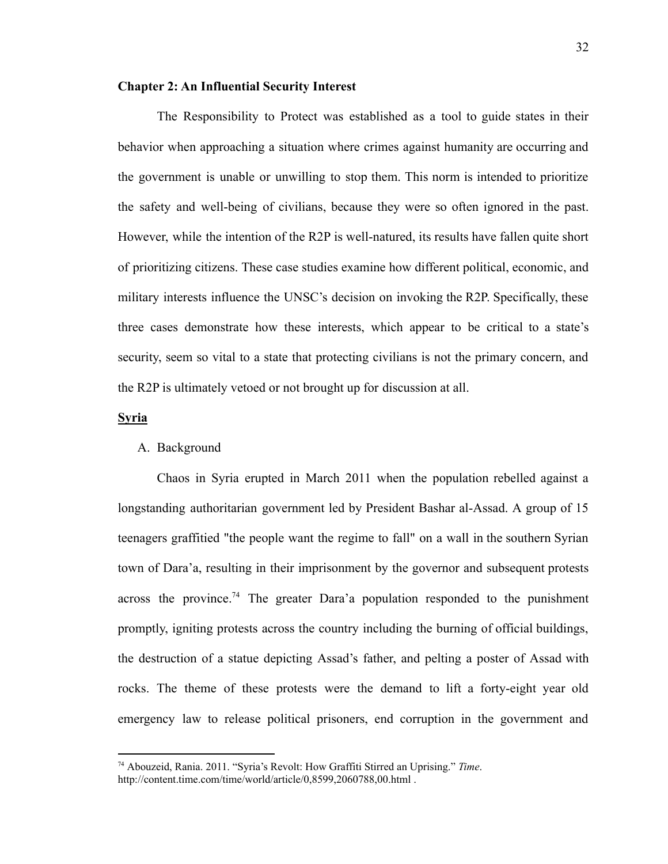## **Chapter 2: An Influential Security Interest**

The Responsibility to Protect was established as a tool to guide states in their behavior when approaching a situation where crimes against humanity are occurring and the government is unable or unwilling to stop them. This norm is intended to prioritize the safety and well-being of civilians, because they were so often ignored in the past. However, while the intention of the R2P is well-natured, its results have fallen quite short of prioritizing citizens. These case studies examine how different political, economic, and military interests influence the UNSC's decision on invoking the R2P. Specifically, these three cases demonstrate how these interests, which appear to be critical to a state's security, seem so vital to a state that protecting civilians is not the primary concern, and the R2P is ultimately vetoed or not brought up for discussion at all.

## **Syria**

## A. Background

Chaos in Syria erupted in March 2011 when the population rebelled against a longstanding authoritarian government led by President Bashar al-Assad. A group of 15 teenagers graffitied "the people want the regime to fall" on a wall in the southern Syrian town of Dara'a, resulting in their imprisonment by the governor and subsequent protests across the province.<sup>74</sup> The greater Dara'a population responded to the punishment promptly, igniting protests across the country including the burning of official buildings, the destruction of a statue depicting Assad's father, and pelting a poster of Assad with rocks. The theme of these protests were the demand to lift a forty-eight year old emergency law to release political prisoners, end corruption in the government and

<sup>74</sup> Abouzeid, Rania. 2011. "Syria's Revolt: How Graffiti Stirred an Uprising." *Time*[.](http://content.time.com/time/world/article/0,8599,2060788,00.html) <http://content.time.com/time/world/article/0,8599,2060788,00.html>.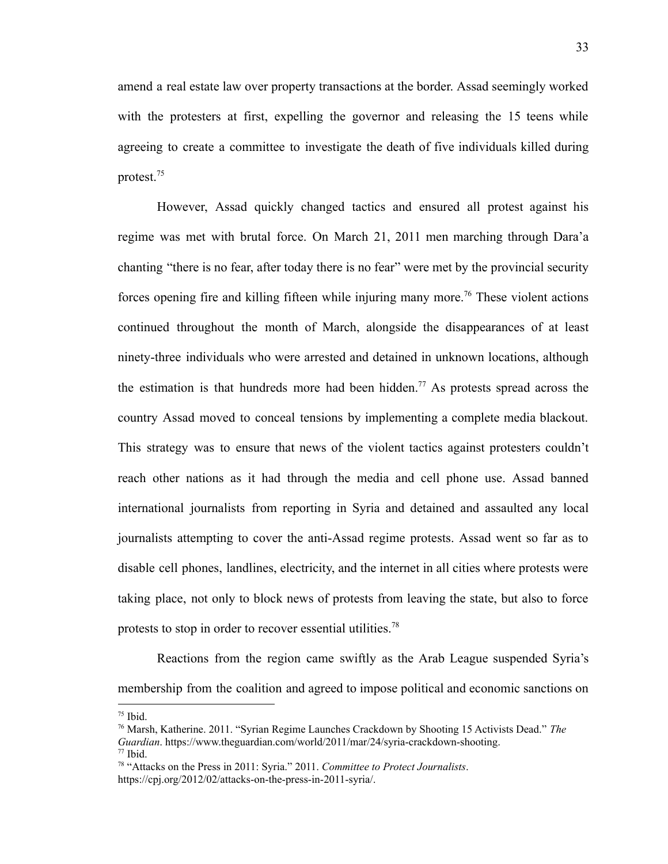amend a real estate law over property transactions at the border. Assad seemingly worked with the protesters at first, expelling the governor and releasing the 15 teens while agreeing to create a committee to investigate the death of five individuals killed during protest.<sup>75</sup>

However, Assad quickly changed tactics and ensured all protest against his regime was met with brutal force. On March 21, 2011 men marching through Dara'a chanting "there is no fear, after today there is no fear" were met by the provincial security forces opening fire and killing fifteen while injuring many more.<sup>76</sup> These violent actions continued throughout the month of March, alongside the disappearances of at least ninety-three individuals who were arrested and detained in unknown locations, although the estimation is that hundreds more had been hidden.<sup>77</sup> As protests spread across the country Assad moved to conceal tensions by implementing a complete media blackout. This strategy was to ensure that news of the violent tactics against protesters couldn't reach other nations as it had through the media and cell phone use. Assad banned international journalists from reporting in Syria and detained and assaulted any local journalists attempting to cover the anti-Assad regime protests. Assad went so far as to disable cell phones, landlines, electricity, and the internet in all cities where protests were taking place, not only to block news of protests from leaving the state, but also to force protests to stop in order to recover essential utilities.<sup>78</sup>

Reactions from the region came swiftly as the Arab League suspended Syria's membership from the coalition and agreed to impose political and economic sanctions on

 $75$  Ibid.

<sup>77</sup> Ibid. <sup>76</sup> Marsh, Katherine. 2011. "Syrian Regime Launches Crackdown by Shooting 15 Activists Dead." *The Guardian*. <https://www.theguardian.com/world/2011/mar/24/syria-crackdown-shooting>.

<sup>78</sup> "Attacks on the Press in 2011: Syria." 2011. *Committee to Protect Journalists*. <https://cpj.org/2012/02/attacks-on-the-press-in-2011-syria/>.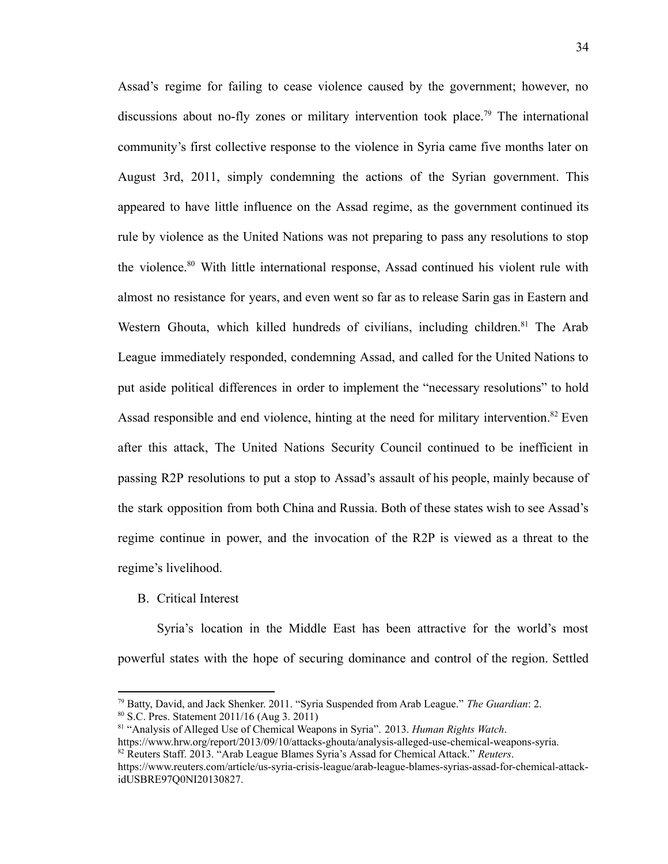Assad's regime for failing to cease violence caused by the government; however, no discussions about no-fly zones or military intervention took place.<sup>79</sup> The international community's first collective response to the violence in Syria came five months later on August 3rd, 2011, simply condemning the actions of the Syrian government. This appeared to have little influence on the Assad regime, as the government continued its rule by violence as the United Nations was not preparing to pass any resolutions to stop the violence.<sup>80</sup> With little international response, Assad continued his violent rule with almost no resistance for years, and even went so far as to release Sarin gas in Eastern and Western Ghouta, which killed hundreds of civilians, including children.<sup>81</sup> The Arab League immediately responded, condemning Assad, and called for the United Nations to put aside political differences in order to implement the "necessary resolutions" to hold Assad responsible and end violence, hinting at the need for military intervention.<sup>82</sup> Even after this attack, The United Nations Security Council continued to be inefficient in passing R2P resolutions to put a stop to Assad's assault of his people, mainly because of the stark opposition from both China and Russia. Both of these states wish to see Assad's regime continue in power, and the invocation of the R2P is viewed as a threat to the regime's livelihood.

#### B. Critical Interest

Syria's location in the Middle East has been attractive for the world's most powerful states with the hope of securing dominance and control of the region. Settled

<sup>79</sup> Batty, David, and Jack Shenker. 2011. "Syria Suspended from Arab League." *The Guardian*: 2.

<sup>80</sup> S.C. Pres. Statement 2011/16 (Aug 3. 2011)

<sup>81</sup> "Analysis of Alleged Use of Chemical Weapons in Syria". 2013. *Human Rights Watch*.

<https://www.hrw.org/report/2013/09/10/attacks-ghouta/analysis-alleged-use-chemical-weapons-syria>.

<sup>82</sup> Reuters Staff. 2013. "Arab League Blames Syria's Assad for Chemical Attack." *Reuters*[.](https://www.reuters.com/article/us-syria-crisis-league/arab-league-blames-syrias-assad-for-chemical-attack-idUSBRE97Q0NI20130827)

[https://www.reuters.com/article/us-syria-crisis-league/arab-league-blames-syrias-assad-for-chemical-attack](https://www.reuters.com/article/us-syria-crisis-league/arab-league-blames-syrias-assad-for-chemical-attack-idUSBRE97Q0NI20130827)[idUSBRE97Q0NI20130827.](https://www.reuters.com/article/us-syria-crisis-league/arab-league-blames-syrias-assad-for-chemical-attack-idUSBRE97Q0NI20130827)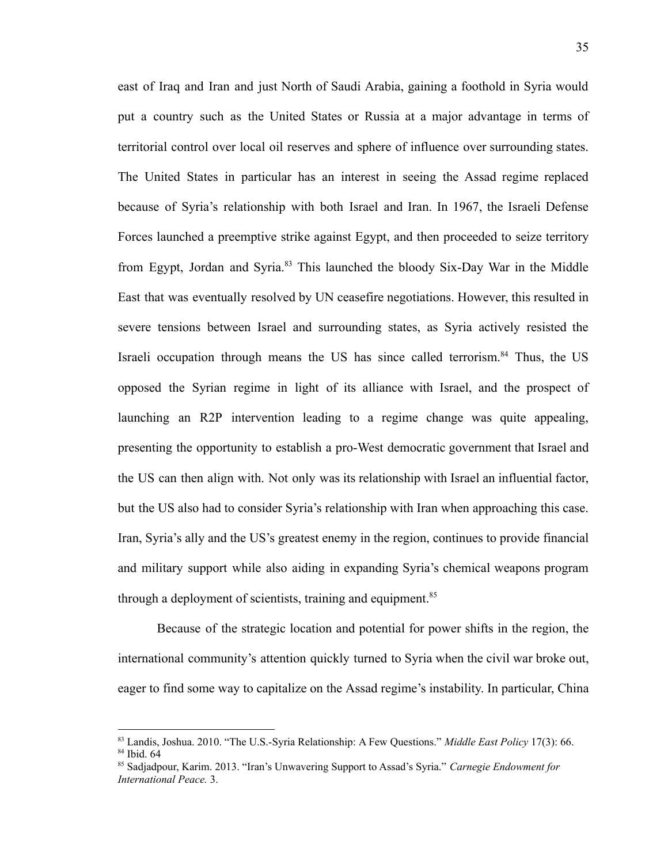east of Iraq and Iran and just North of Saudi Arabia, gaining a foothold in Syria would put a country such as the United States or Russia at a major advantage in terms of territorial control over local oil reserves and sphere of influence over surrounding states. The United States in particular has an interest in seeing the Assad regime replaced because of Syria's relationship with both Israel and Iran. In 1967, the Israeli Defense Forces launched a preemptive strike against Egypt, and then proceeded to seize territory from Egypt, Jordan and Syria.<sup>83</sup> This launched the bloody Six-Day War in the Middle East that was eventually resolved by UN ceasefire negotiations. However, this resulted in severe tensions between Israel and surrounding states, as Syria actively resisted the Israeli occupation through means the US has since called terrorism.<sup>84</sup> Thus, the US opposed the Syrian regime in light of its alliance with Israel, and the prospect of launching an R2P intervention leading to a regime change was quite appealing, presenting the opportunity to establish a pro-West democratic government that Israel and the US can then align with. Not only was its relationship with Israel an influential factor, but the US also had to consider Syria's relationship with Iran when approaching this case. Iran, Syria's ally and the US's greatest enemy in the region, continues to provide financial and military support while also aiding in expanding Syria's chemical weapons program through a deployment of scientists, training and equipment.<sup>85</sup>

Because of the strategic location and potential for power shifts in the region, the international community's attention quickly turned to Syria when the civil war broke out, eager to find some way to capitalize on the Assad regime's instability. In particular, China

<sup>84</sup> Ibid. 64 <sup>83</sup> Landis, Joshua. 2010. "The U.S.-Syria Relationship: A Few Questions." *Middle East Policy* 17(3): 66.

<sup>85</sup> Sadjadpour, Karim. 2013. "Iran's Unwavering Support to Assad's Syria." *Carnegie Endowment for International Peace.* 3.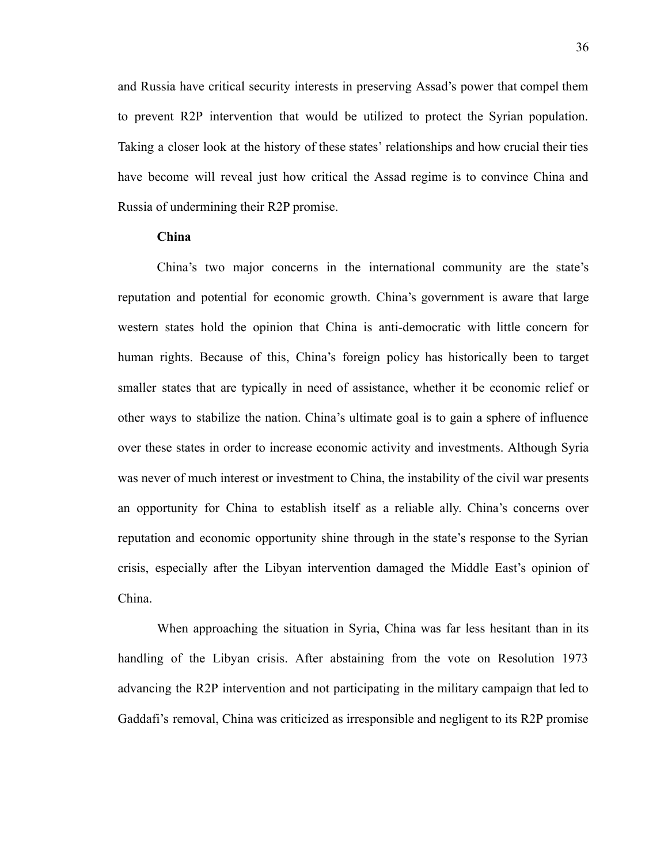and Russia have critical security interests in preserving Assad's power that compel them to prevent R2P intervention that would be utilized to protect the Syrian population. Taking a closer look at the history of these states' relationships and how crucial their ties have become will reveal just how critical the Assad regime is to convince China and Russia of undermining their R2P promise.

### **China**

China's two major concerns in the international community are the state's reputation and potential for economic growth. China's government is aware that large western states hold the opinion that China is anti-democratic with little concern for human rights. Because of this, China's foreign policy has historically been to target smaller states that are typically in need of assistance, whether it be economic relief or other ways to stabilize the nation. China's ultimate goal is to gain a sphere of influence over these states in order to increase economic activity and investments. Although Syria was never of much interest or investment to China, the instability of the civil war presents an opportunity for China to establish itself as a reliable ally. China's concerns over reputation and economic opportunity shine through in the state's response to the Syrian crisis, especially after the Libyan intervention damaged the Middle East's opinion of China.

When approaching the situation in Syria, China was far less hesitant than in its handling of the Libyan crisis. After abstaining from the vote on Resolution 1973 advancing the R2P intervention and not participating in the military campaign that led to Gaddafi's removal, China was criticized as irresponsible and negligent to its R2P promise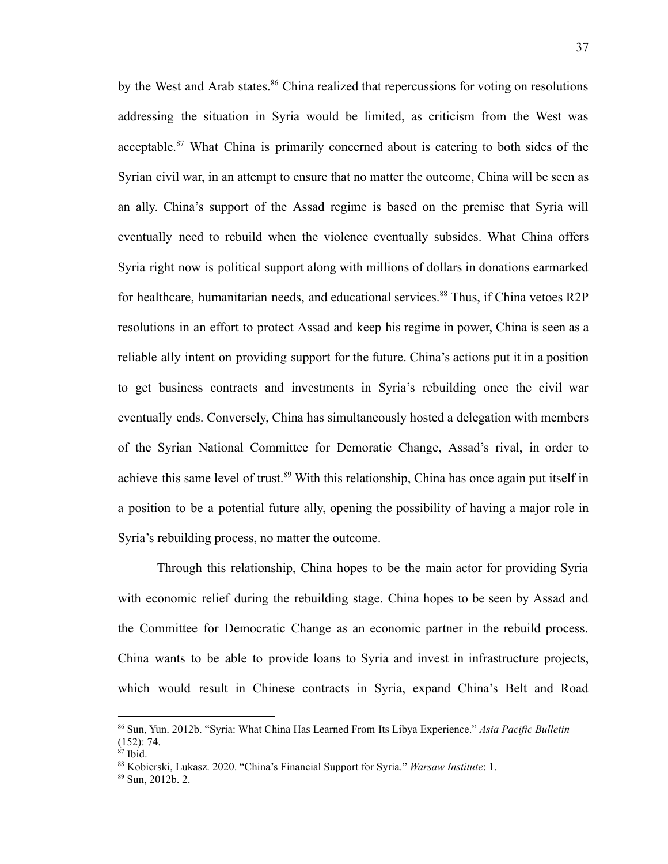by the West and Arab states.<sup>86</sup> China realized that repercussions for voting on resolutions addressing the situation in Syria would be limited, as criticism from the West was acceptable.<sup>87</sup> What China is primarily concerned about is catering to both sides of the Syrian civil war, in an attempt to ensure that no matter the outcome, China will be seen as an ally. China's support of the Assad regime is based on the premise that Syria will eventually need to rebuild when the violence eventually subsides. What China offers Syria right now is political support along with millions of dollars in donations earmarked for healthcare, humanitarian needs, and educational services.<sup>88</sup> Thus, if China vetoes R2P resolutions in an effort to protect Assad and keep his regime in power, China is seen as a reliable ally intent on providing support for the future. China's actions put it in a position to get business contracts and investments in Syria's rebuilding once the civil war eventually ends. Conversely, China has simultaneously hosted a delegation with members of the Syrian National Committee for Demoratic Change, Assad's rival, in order to achieve this same level of trust.<sup>89</sup> With this relationship, China has once again put itself in a position to be a potential future ally, opening the possibility of having a major role in Syria's rebuilding process, no matter the outcome.

Through this relationship, China hopes to be the main actor for providing Syria with economic relief during the rebuilding stage. China hopes to be seen by Assad and the Committee for Democratic Change as an economic partner in the rebuild process. China wants to be able to provide loans to Syria and invest in infrastructure projects, which would result in Chinese contracts in Syria, expand China's Belt and Road

<sup>86</sup> Sun, Yun. 2012b. "Syria: What China Has Learned From Its Libya Experience." *Asia Pacific Bulletin* (152): 74.

 $87$  Ibid.

<sup>88</sup> Kobierski, Lukasz. 2020. "China's Financial Support for Syria." *Warsaw Institute*: 1.

<sup>89</sup> Sun, 2012b. 2.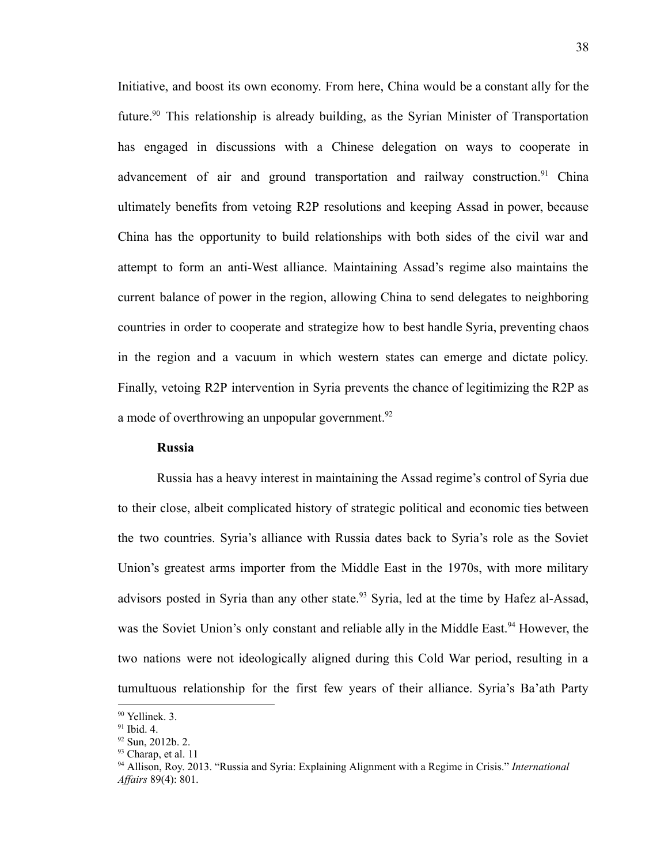Initiative, and boost its own economy. From here, China would be a constant ally for the future.<sup>90</sup> This relationship is already building, as the Syrian Minister of Transportation has engaged in discussions with a Chinese delegation on ways to cooperate in advancement of air and ground transportation and railway construction.<sup>91</sup> China ultimately benefits from vetoing R2P resolutions and keeping Assad in power, because China has the opportunity to build relationships with both sides of the civil war and attempt to form an anti-West alliance. Maintaining Assad's regime also maintains the current balance of power in the region, allowing China to send delegates to neighboring countries in order to cooperate and strategize how to best handle Syria, preventing chaos in the region and a vacuum in which western states can emerge and dictate policy. Finally, vetoing R2P intervention in Syria prevents the chance of legitimizing the R2P as a mode of overthrowing an unpopular government.<sup>92</sup>

# **Russia**

Russia has a heavy interest in maintaining the Assad regime's control of Syria due to their close, albeit complicated history of strategic political and economic ties between the two countries. Syria's alliance with Russia dates back to Syria's role as the Soviet Union's greatest arms importer from the Middle East in the 1970s, with more military advisors posted in Syria than any other state.<sup>93</sup> Syria, led at the time by Hafez al-Assad, was the Soviet Union's only constant and reliable ally in the Middle East.<sup>94</sup> However, the two nations were not ideologically aligned during this Cold War period, resulting in a tumultuous relationship for the first few years of their alliance. Syria's Ba'ath Party

<sup>90</sup> Yellinek. 3.

 $91$  Ibid. 4.

 $92$  Sun, 2012b. 2.

<sup>&</sup>lt;sup>93</sup> Charap, et al. 11

<sup>94</sup> Allison, Roy. 2013. "Russia and Syria: Explaining Alignment with a Regime in Crisis." *International Af airs* 89(4): 801.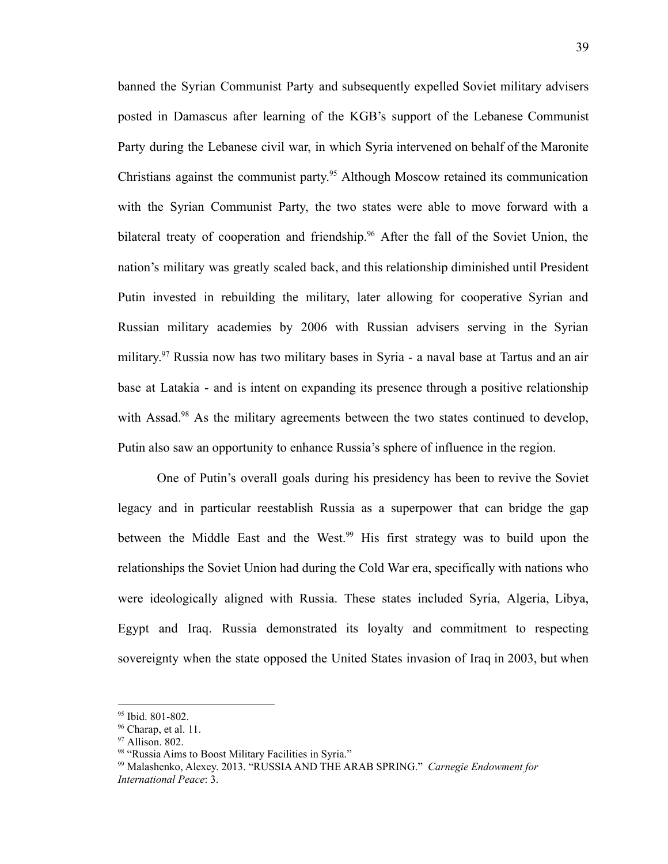banned the Syrian Communist Party and subsequently expelled Soviet military advisers posted in Damascus after learning of the KGB's support of the Lebanese Communist Party during the Lebanese civil war, in which Syria intervened on behalf of the Maronite Christians against the communist party. <sup>95</sup> Although Moscow retained its communication with the Syrian Communist Party, the two states were able to move forward with a bilateral treaty of cooperation and friendship.<sup>96</sup> After the fall of the Soviet Union, the nation's military was greatly scaled back, and this relationship diminished until President Putin invested in rebuilding the military, later allowing for cooperative Syrian and Russian military academies by 2006 with Russian advisers serving in the Syrian military. <sup>97</sup> Russia now has two military bases in Syria - a naval base at Tartus and an air base at Latakia - and is intent on expanding its presence through a positive relationship with Assad.<sup>98</sup> As the military agreements between the two states continued to develop, Putin also saw an opportunity to enhance Russia's sphere of influence in the region.

One of Putin's overall goals during his presidency has been to revive the Soviet legacy and in particular reestablish Russia as a superpower that can bridge the gap between the Middle East and the West.<sup>99</sup> His first strategy was to build upon the relationships the Soviet Union had during the Cold War era, specifically with nations who were ideologically aligned with Russia. These states included Syria, Algeria, Libya, Egypt and Iraq. Russia demonstrated its loyalty and commitment to respecting sovereignty when the state opposed the United States invasion of Iraq in 2003, but when

<sup>95</sup> Ibid. 801-802.

 $96$  Charap, et al. 11.

<sup>97</sup> Allison. 802.

<sup>98 &</sup>quot;Russia Aims to Boost Military Facilities in Syria."

<sup>99</sup> Malashenko, Alexey. 2013. "RUSSIAAND THE ARAB SPRING." *Carnegie Endowment for International Peace*: 3.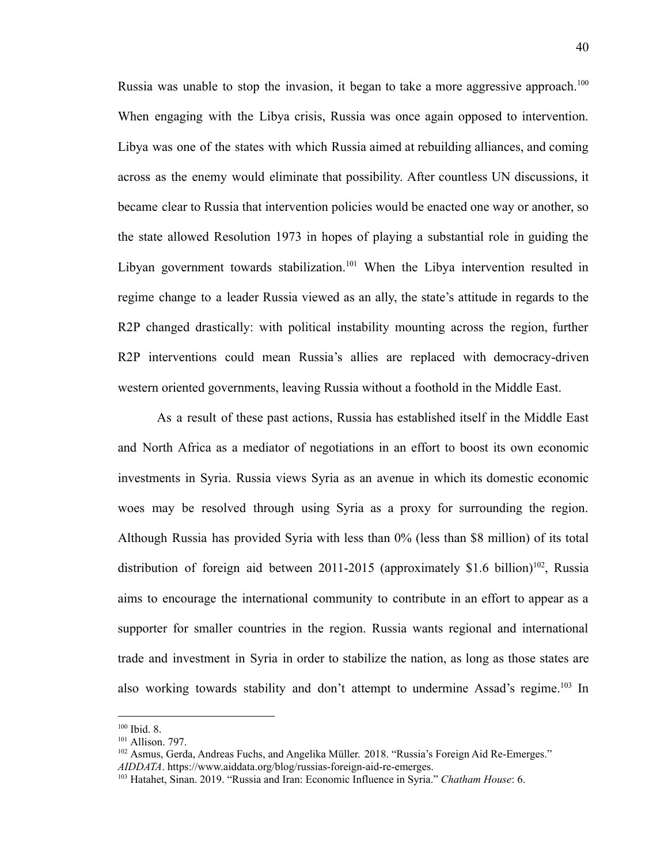Russia was unable to stop the invasion, it began to take a more aggressive approach.<sup>100</sup> When engaging with the Libya crisis, Russia was once again opposed to intervention. Libya was one of the states with which Russia aimed at rebuilding alliances, and coming across as the enemy would eliminate that possibility. After countless UN discussions, it became clear to Russia that intervention policies would be enacted one way or another, so the state allowed Resolution 1973 in hopes of playing a substantial role in guiding the Libyan government towards stabilization.<sup>101</sup> When the Libya intervention resulted in regime change to a leader Russia viewed as an ally, the state's attitude in regards to the R2P changed drastically: with political instability mounting across the region, further R2P interventions could mean Russia's allies are replaced with democracy-driven western oriented governments, leaving Russia without a foothold in the Middle East.

As a result of these past actions, Russia has established itself in the Middle East and North Africa as a mediator of negotiations in an effort to boost its own economic investments in Syria. Russia views Syria as an avenue in which its domestic economic woes may be resolved through using Syria as a proxy for surrounding the region. Although Russia has provided Syria with less than 0% (less than \$8 million) of its total distribution of foreign aid between 2011-2015 (approximately \$1.6 billion)<sup>102</sup>, Russia aims to encourage the international community to contribute in an effort to appear as a supporter for smaller countries in the region. Russia wants regional and international trade and investment in Syria in order to stabilize the nation, as long as those states are also working towards stability and don't attempt to undermine Assad's regime.<sup>103</sup> In

 $100$  Ibid. 8.

<sup>101</sup> Allison. 797.

<sup>&</sup>lt;sup>102</sup> Asmus, Gerda, Andreas Fuchs, and Angelika Müller. 2018. "Russia's Foreign Aid Re-Emerges." *AIDDATA*. <https://www.aiddata.org/blog/russias-foreign-aid-re-emerges>.

<sup>103</sup> Hatahet, Sinan. 2019. "Russia and Iran: Economic Influence in Syria." *Chatham House*: 6.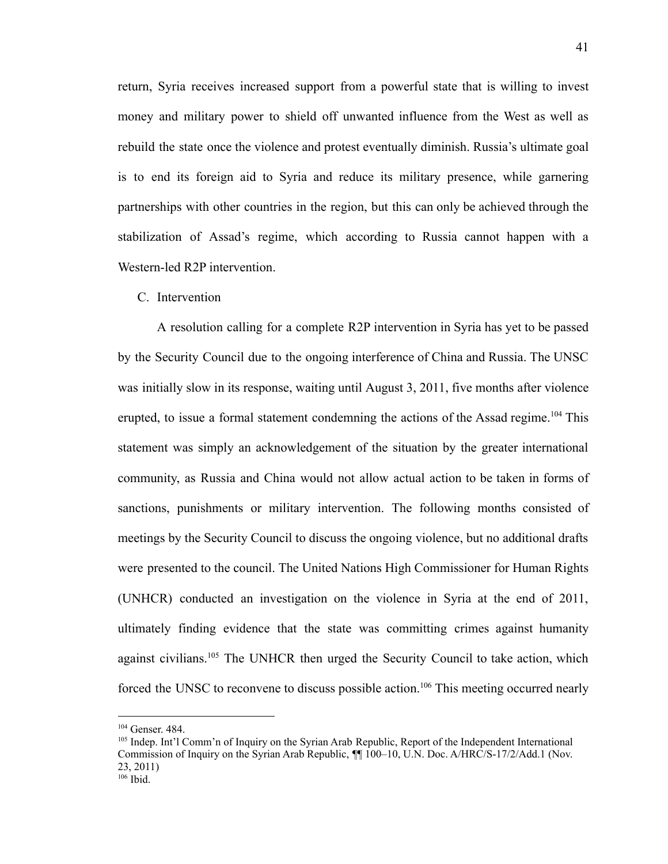return, Syria receives increased support from a powerful state that is willing to invest money and military power to shield off unwanted influence from the West as well as rebuild the state once the violence and protest eventually diminish. Russia's ultimate goal is to end its foreign aid to Syria and reduce its military presence, while garnering partnerships with other countries in the region, but this can only be achieved through the stabilization of Assad's regime, which according to Russia cannot happen with a Western-led R2P intervention.

# C. Intervention

A resolution calling for a complete R2P intervention in Syria has yet to be passed by the Security Council due to the ongoing interference of China and Russia. The UNSC was initially slow in its response, waiting until August 3, 2011, five months after violence erupted, to issue a formal statement condemning the actions of the Assad regime.<sup>104</sup> This statement was simply an acknowledgement of the situation by the greater international community, as Russia and China would not allow actual action to be taken in forms of sanctions, punishments or military intervention. The following months consisted of meetings by the Security Council to discuss the ongoing violence, but no additional drafts were presented to the council. The United Nations High Commissioner for Human Rights (UNHCR) conducted an investigation on the violence in Syria at the end of 2011, ultimately finding evidence that the state was committing crimes against humanity against civilians.<sup>105</sup> The UNHCR then urged the Security Council to take action, which forced the UNSC to reconvene to discuss possible action.<sup>106</sup> This meeting occurred nearly

 $104$  Genser. 484.

<sup>105</sup> Indep. Int'l Comm'n of Inquiry on the Syrian Arab Republic, Report of the Independent International Commission of Inquiry on the Syrian Arab Republic, ¶¶ 100–10, U.N. Doc. A/HRC/S-17/2/Add.1 (Nov. 23, 2011)

 $106$  Ibid.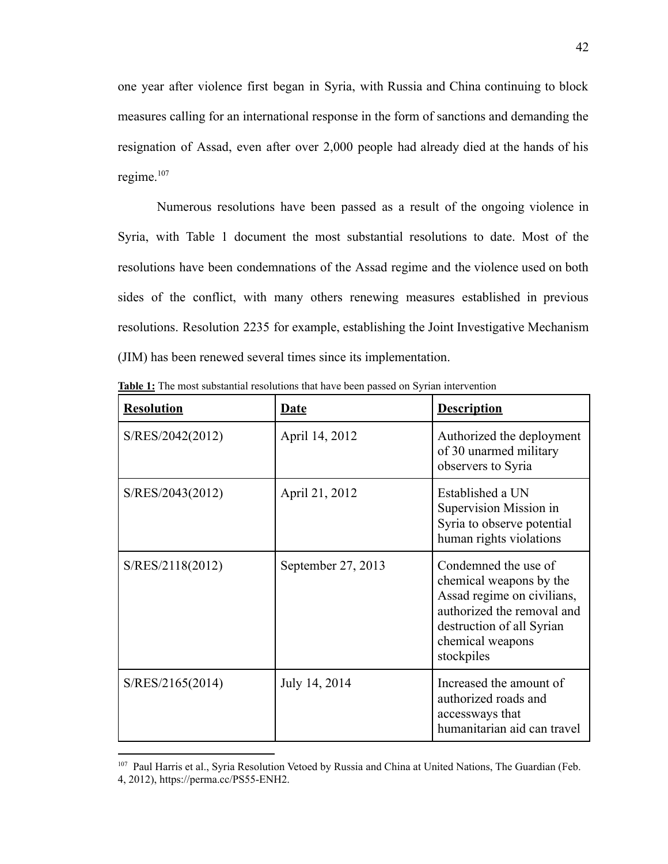one year after violence first began in Syria, with Russia and China continuing to block measures calling for an international response in the form of sanctions and demanding the resignation of Assad, even after over 2,000 people had already died at the hands of his regime. $107$ 

Numerous resolutions have been passed as a result of the ongoing violence in Syria, with Table 1 document the most substantial resolutions to date. Most of the resolutions have been condemnations of the Assad regime and the violence used on both sides of the conflict, with many others renewing measures established in previous resolutions. Resolution 2235 for example, establishing the Joint Investigative Mechanism (JIM) has been renewed several times since its implementation.

| <b>Resolution</b> | <b>Date</b>        | <b>Description</b>                                                                                                                                                         |
|-------------------|--------------------|----------------------------------------------------------------------------------------------------------------------------------------------------------------------------|
| S/RES/2042(2012)  | April 14, 2012     | Authorized the deployment<br>of 30 unarmed military<br>observers to Syria                                                                                                  |
| S/RES/2043(2012)  | April 21, 2012     | Established a UN<br>Supervision Mission in<br>Syria to observe potential<br>human rights violations                                                                        |
| S/RES/2118(2012)  | September 27, 2013 | Condemned the use of<br>chemical weapons by the<br>Assad regime on civilians,<br>authorized the removal and<br>destruction of all Syrian<br>chemical weapons<br>stockpiles |
| S/RES/2165(2014)  | July 14, 2014      | Increased the amount of<br>authorized roads and<br>accessways that<br>humanitarian aid can travel                                                                          |

**Table 1:** The most substantial resolutions that have been passed on Syrian intervention

<sup>&</sup>lt;sup>107</sup> Paul Harris et al., Syria Resolution Vetoed by Russia and China at United Nations, The Guardian (Feb. 4, 2012), https://perma.cc/PS55-ENH2.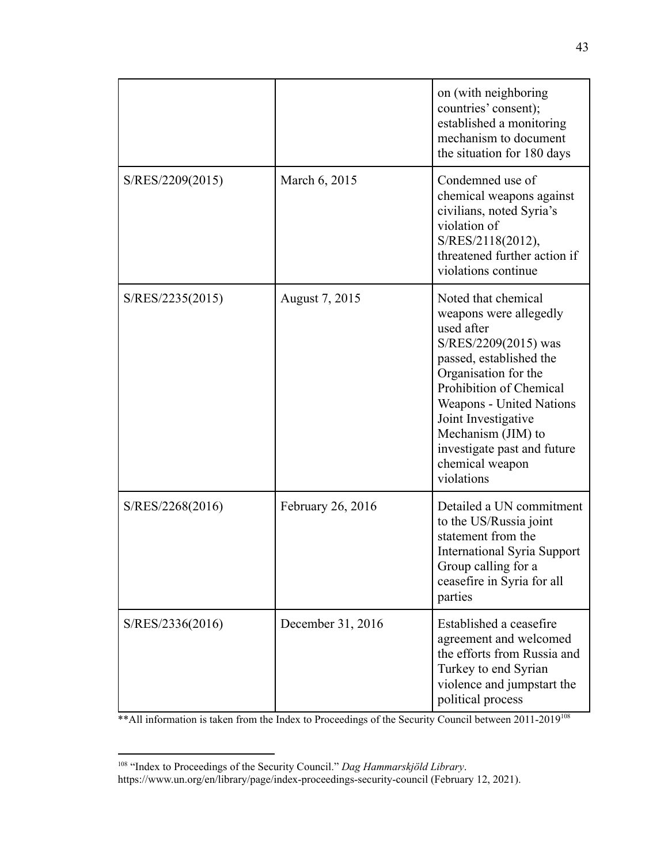|                  |                   | on (with neighboring<br>countries' consent);<br>established a monitoring<br>mechanism to document                                                                                                                                                                                                          |
|------------------|-------------------|------------------------------------------------------------------------------------------------------------------------------------------------------------------------------------------------------------------------------------------------------------------------------------------------------------|
| S/RES/2209(2015) | March 6, 2015     | the situation for 180 days<br>Condemned use of<br>chemical weapons against<br>civilians, noted Syria's<br>violation of<br>S/RES/2118(2012),<br>threatened further action if<br>violations continue                                                                                                         |
| S/RES/2235(2015) | August 7, 2015    | Noted that chemical<br>weapons were allegedly<br>used after<br>S/RES/2209(2015) was<br>passed, established the<br>Organisation for the<br>Prohibition of Chemical<br>Weapons - United Nations<br>Joint Investigative<br>Mechanism (JIM) to<br>investigate past and future<br>chemical weapon<br>violations |
| S/RES/2268(2016) | February 26, 2016 | Detailed a UN commitment<br>to the US/Russia joint<br>statement from the<br><b>International Syria Support</b><br>Group calling for a<br>ceasefire in Syria for all<br>parties                                                                                                                             |
| S/RES/2336(2016) | December 31, 2016 | Established a ceasefire<br>agreement and welcomed<br>the efforts from Russia and<br>Turkey to end Syrian<br>violence and jumpstart the<br>political process                                                                                                                                                |

\*\* All information is taken from the Index to Proceedings of the Security Council between 2011-2019<sup>108</sup>

<sup>108</sup> "Index to Proceedings of the Security Council." *Dag Hammarskjöld Library*.

https://www.un.org/en/library/page/index-proceedings-security-council (February 12, 2021).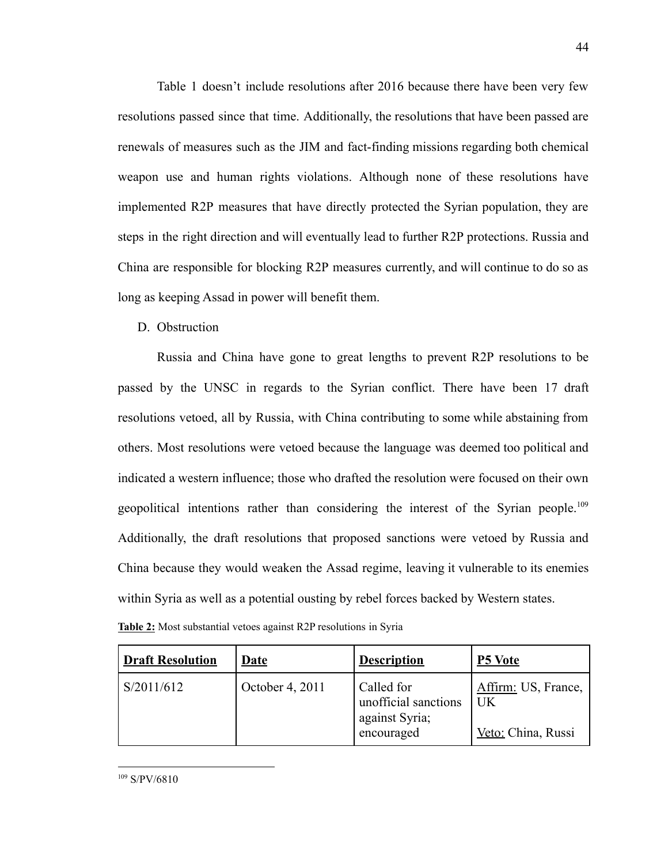Table 1 doesn't include resolutions after 2016 because there have been very few resolutions passed since that time. Additionally, the resolutions that have been passed are renewals of measures such as the JIM and fact-finding missions regarding both chemical weapon use and human rights violations. Although none of these resolutions have implemented R2P measures that have directly protected the Syrian population, they are steps in the right direction and will eventually lead to further R2P protections. Russia and China are responsible for blocking R2P measures currently, and will continue to do so as long as keeping Assad in power will benefit them.

D. Obstruction

Russia and China have gone to great lengths to prevent R2P resolutions to be passed by the UNSC in regards to the Syrian conflict. There have been 17 draft resolutions vetoed, all by Russia, with China contributing to some while abstaining from others. Most resolutions were vetoed because the language was deemed too political and indicated a western influence; those who drafted the resolution were focused on their own geopolitical intentions rather than considering the interest of the Syrian people.<sup>109</sup> Additionally, the draft resolutions that proposed sanctions were vetoed by Russia and China because they would weaken the Assad regime, leaving it vulnerable to its enemies within Syria as well as a potential ousting by rebel forces backed by Western states.

| Table 2: Most substantial vetoes against R2P resolutions in Syria |  |  |
|-------------------------------------------------------------------|--|--|
|-------------------------------------------------------------------|--|--|

| <b>Draft Resolution</b> | Date            | <b>Description</b>                                                 | <b>P5 Vote</b>                                  |
|-------------------------|-----------------|--------------------------------------------------------------------|-------------------------------------------------|
| S/2011/612              | October 4, 2011 | Called for<br>unofficial sanctions<br>against Syria;<br>encouraged | Affirm: US, France,<br>UK<br>Veto: China, Russi |

44

<sup>109</sup> S/PV/6810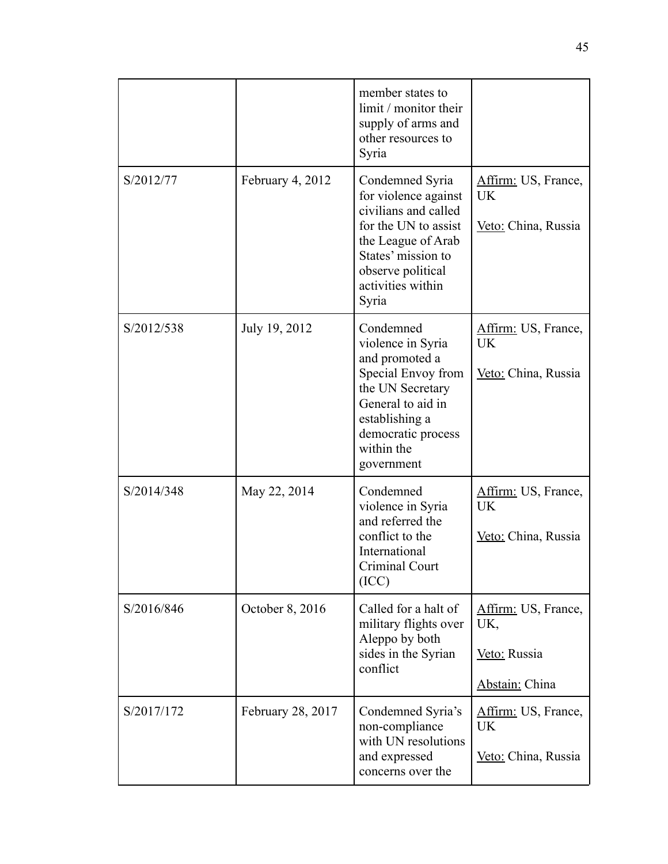|            |                   | member states to<br>limit / monitor their<br>supply of arms and<br>other resources to<br>Syria                                                                                         |                                                              |
|------------|-------------------|----------------------------------------------------------------------------------------------------------------------------------------------------------------------------------------|--------------------------------------------------------------|
| S/2012/77  | February 4, 2012  | Condemned Syria<br>for violence against<br>civilians and called<br>for the UN to assist<br>the League of Arab<br>States' mission to<br>observe political<br>activities within<br>Syria | Affirm: US, France,<br>UK<br>Veto: China, Russia             |
| S/2012/538 | July 19, 2012     | Condemned<br>violence in Syria<br>and promoted a<br>Special Envoy from<br>the UN Secretary<br>General to aid in<br>establishing a<br>democratic process<br>within the<br>government    | Affirm: US, France,<br>UK<br>Veto: China, Russia             |
| S/2014/348 | May 22, 2014      | Condemned<br>violence in Syria<br>and referred the<br>conflict to the<br>International<br>Criminal Court<br>(ICC)                                                                      | Affirm: US, France,<br>UK<br>Veto: China, Russia             |
| S/2016/846 | October 8, 2016   | Called for a halt of<br>military flights over<br>Aleppo by both<br>sides in the Syrian<br>conflict                                                                                     | Affirm: US, France,<br>UK,<br>Veto: Russia<br>Abstain: China |
| S/2017/172 | February 28, 2017 | Condemned Syria's<br>non-compliance<br>with UN resolutions<br>and expressed<br>concerns over the                                                                                       | Affirm: US, France,<br>UK<br>Veto: China, Russia             |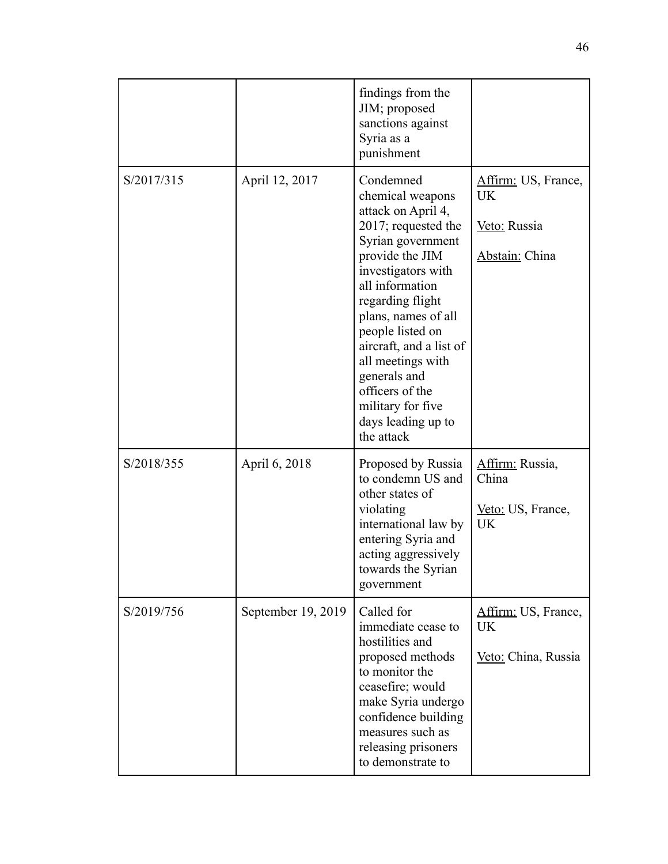|            |                    | findings from the<br>JIM; proposed<br>sanctions against<br>Syria as a<br>punishment                                                                                                                                                                                                                                                                                    |                                                             |
|------------|--------------------|------------------------------------------------------------------------------------------------------------------------------------------------------------------------------------------------------------------------------------------------------------------------------------------------------------------------------------------------------------------------|-------------------------------------------------------------|
| S/2017/315 | April 12, 2017     | Condemned<br>chemical weapons<br>attack on April 4,<br>2017; requested the<br>Syrian government<br>provide the JIM<br>investigators with<br>all information<br>regarding flight<br>plans, names of all<br>people listed on<br>aircraft, and a list of<br>all meetings with<br>generals and<br>officers of the<br>military for five<br>days leading up to<br>the attack | Affirm: US, France,<br>UK<br>Veto: Russia<br>Abstain: China |
| S/2018/355 | April 6, 2018      | Proposed by Russia<br>to condemn US and<br>other states of<br>violating<br>international law by<br>entering Syria and<br>acting aggressively<br>towards the Syrian<br>government                                                                                                                                                                                       | Affirm: Russia,<br>China<br>Veto: US, France,<br>UK         |
| S/2019/756 | September 19, 2019 | Called for<br>immediate cease to<br>hostilities and<br>proposed methods<br>to monitor the<br>ceasefire; would<br>make Syria undergo<br>confidence building<br>measures such as<br>releasing prisoners<br>to demonstrate to                                                                                                                                             | Affirm: US, France,<br><b>UK</b><br>Veto: China, Russia     |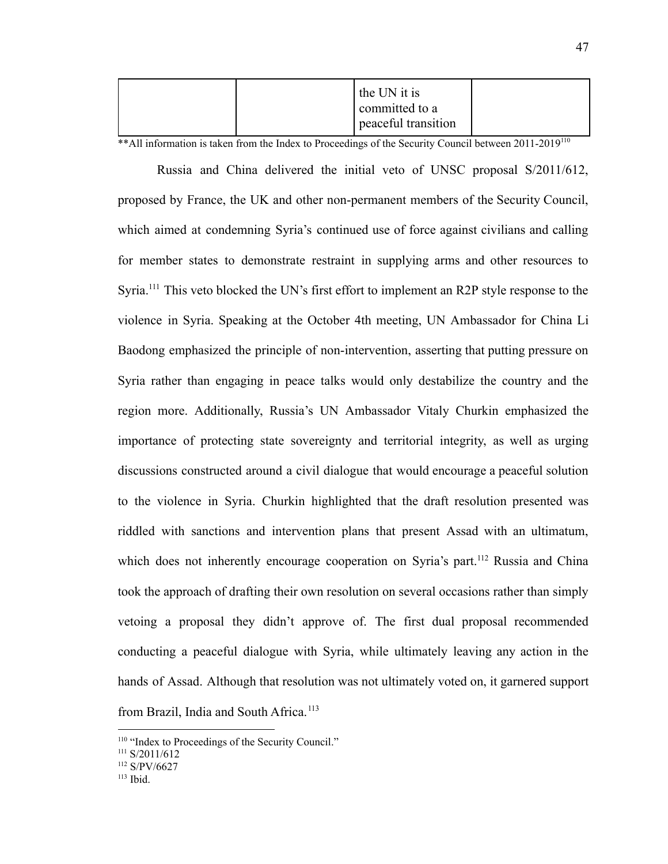|  | the UN it is<br>committed to a |  |
|--|--------------------------------|--|
|  | peaceful transition            |  |

\*\* All information is taken from the Index to Proceedings of the Security Council between 2011-2019<sup>110</sup>

Russia and China delivered the initial veto of UNSC proposal S/2011/612, proposed by France, the UK and other non-permanent members of the Security Council, which aimed at condemning Syria's continued use of force against civilians and calling for member states to demonstrate restraint in supplying arms and other resources to Syria.<sup>111</sup> This veto blocked the UN's first effort to implement an R2P style response to the violence in Syria. Speaking at the October 4th meeting, UN Ambassador for China Li Baodong emphasized the principle of non-intervention, asserting that putting pressure on Syria rather than engaging in peace talks would only destabilize the country and the region more. Additionally, Russia's UN Ambassador Vitaly Churkin emphasized the importance of protecting state sovereignty and territorial integrity, as well as urging discussions constructed around a civil dialogue that would encourage a peaceful solution to the violence in Syria. Churkin highlighted that the draft resolution presented was riddled with sanctions and intervention plans that present Assad with an ultimatum, which does not inherently encourage cooperation on Syria's part.<sup>112</sup> Russia and China took the approach of drafting their own resolution on several occasions rather than simply vetoing a proposal they didn't approve of. The first dual proposal recommended conducting a peaceful dialogue with Syria, while ultimately leaving any action in the hands of Assad. Although that resolution was not ultimately voted on, it garnered support from Brazil, India and South Africa.<sup>113</sup>

<sup>&</sup>lt;sup>110</sup> "Index to Proceedings of the Security Council."

 $111 S/2011/612$ 

 $112$  S/PV/6627

 $113$  Ibid.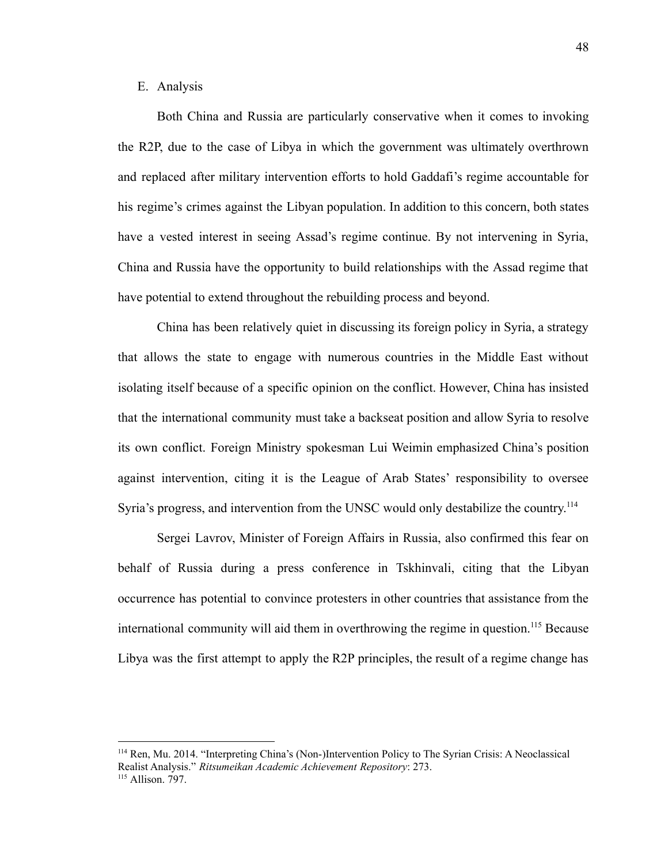# E. Analysis

Both China and Russia are particularly conservative when it comes to invoking the R2P, due to the case of Libya in which the government was ultimately overthrown and replaced after military intervention efforts to hold Gaddafi's regime accountable for his regime's crimes against the Libyan population. In addition to this concern, both states have a vested interest in seeing Assad's regime continue. By not intervening in Syria, China and Russia have the opportunity to build relationships with the Assad regime that have potential to extend throughout the rebuilding process and beyond.

China has been relatively quiet in discussing its foreign policy in Syria, a strategy that allows the state to engage with numerous countries in the Middle East without isolating itself because of a specific opinion on the conflict. However, China has insisted that the international community must take a backseat position and allow Syria to resolve its own conflict. Foreign Ministry spokesman Lui Weimin emphasized China's position against intervention, citing it is the League of Arab States' responsibility to oversee Syria's progress, and intervention from the UNSC would only destabilize the country.<sup>114</sup>

Sergei Lavrov, Minister of Foreign Affairs in Russia, also confirmed this fear on behalf of Russia during a press conference in Tskhinvali, citing that the Libyan occurrence has potential to convince protesters in other countries that assistance from the international community will aid them in overthrowing the regime in question.<sup>115</sup> Because Libya was the first attempt to apply the R2P principles, the result of a regime change has

<sup>&</sup>lt;sup>115</sup> Allison. 797. <sup>114</sup> Ren, Mu. 2014. "Interpreting China's (Non-)Intervention Policy to The Syrian Crisis: A Neoclassical Realist Analysis." *Ritsumeikan Academic Achievement Repository*: 273.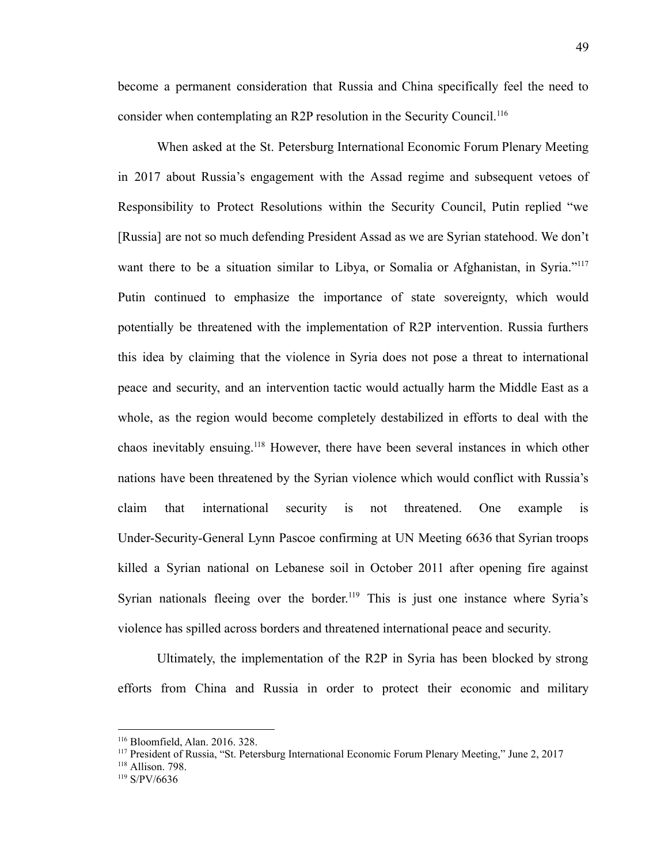become a permanent consideration that Russia and China specifically feel the need to consider when contemplating an R2P resolution in the Security Council.<sup>116</sup>

When asked at the St. Petersburg International Economic Forum Plenary Meeting in 2017 about Russia's engagement with the Assad regime and subsequent vetoes of Responsibility to Protect Resolutions within the Security Council, Putin replied "we [Russia] are not so much defending President Assad as we are Syrian statehood. We don't want there to be a situation similar to Libya, or Somalia or Afghanistan, in Syria."<sup>117</sup> Putin continued to emphasize the importance of state sovereignty, which would potentially be threatened with the implementation of R2P intervention. Russia furthers this idea by claiming that the violence in Syria does not pose a threat to international peace and security, and an intervention tactic would actually harm the Middle East as a whole, as the region would become completely destabilized in efforts to deal with the chaos inevitably ensuing.<sup>118</sup> However, there have been several instances in which other nations have been threatened by the Syrian violence which would conflict with Russia's claim that international security is not threatened. One example is Under-Security-General Lynn Pascoe confirming at UN Meeting 6636 that Syrian troops killed a Syrian national on Lebanese soil in October 2011 after opening fire against Syrian nationals fleeing over the border.<sup>119</sup> This is just one instance where Syria's violence has spilled across borders and threatened international peace and security.

Ultimately, the implementation of the R2P in Syria has been blocked by strong efforts from China and Russia in order to protect their economic and military

<sup>116</sup> Bloomfield, Alan. 2016. 328.

<sup>117</sup> President of Russia, "St. Petersburg International Economic Forum Plenary Meeting," June 2, 2017

<sup>118</sup> Allison. 798.

<sup>119</sup> S/PV/6636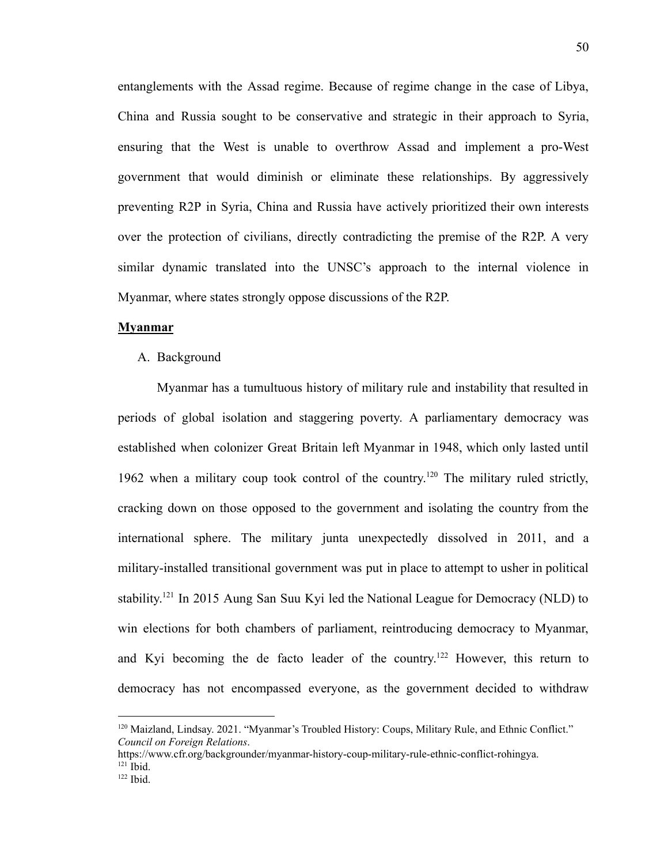entanglements with the Assad regime. Because of regime change in the case of Libya, China and Russia sought to be conservative and strategic in their approach to Syria, ensuring that the West is unable to overthrow Assad and implement a pro-West government that would diminish or eliminate these relationships. By aggressively preventing R2P in Syria, China and Russia have actively prioritized their own interests over the protection of civilians, directly contradicting the premise of the R2P. A very similar dynamic translated into the UNSC's approach to the internal violence in Myanmar, where states strongly oppose discussions of the R2P.

#### **Myanmar**

A. Background

Myanmar has a tumultuous history of military rule and instability that resulted in periods of global isolation and staggering poverty. A parliamentary democracy was established when colonizer Great Britain left Myanmar in 1948, which only lasted until 1962 when a military coup took control of the country.<sup>120</sup> The military ruled strictly, cracking down on those opposed to the government and isolating the country from the international sphere. The military junta unexpectedly dissolved in 2011, and a military-installed transitional government was put in place to attempt to usher in political stability.<sup>121</sup> In 2015 Aung San Suu Kyi led the National League for Democracy (NLD) to win elections for both chambers of parliament, reintroducing democracy to Myanmar, and Kyi becoming the de facto leader of the country.<sup>122</sup> However, this return to democracy has not encompassed everyone, as the government decided to withdraw

<sup>&</sup>lt;sup>120</sup> Maizland, Lindsay. 2021. "Myanmar's Troubled History: Coups, Military Rule, and Ethnic Conflict." *Council on Foreign Relations*[.](https://www.cfr.org/backgrounder/myanmar-history-coup-military-rule-ethnic-conflict-rohingya)

 $121$  Ibid. [https://www.cfr.org/backgrounder/myanmar-history-coup-military-rule-ethnic-conflict-rohingya.](https://www.cfr.org/backgrounder/myanmar-history-coup-military-rule-ethnic-conflict-rohingya)

 $122$  Ibid.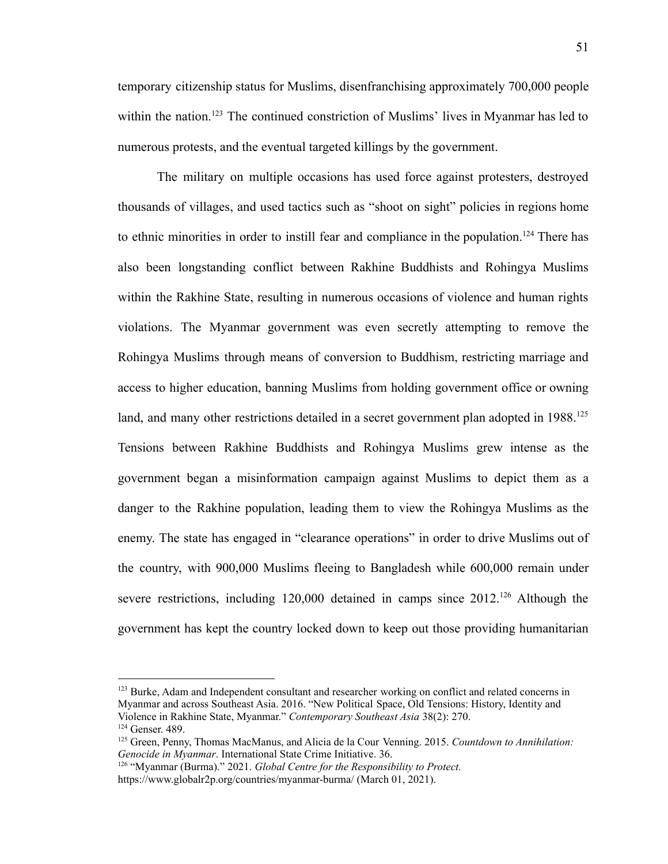temporary citizenship status for Muslims, disenfranchising approximately 700,000 people within the nation.<sup>123</sup> The continued constriction of Muslims' lives in Myanmar has led to numerous protests, and the eventual targeted killings by the government.

The military on multiple occasions has used force against protesters, destroyed thousands of villages, and used tactics such as "shoot on sight" policies in regions home to ethnic minorities in order to instill fear and compliance in the population.<sup>124</sup> There has also been longstanding conflict between Rakhine Buddhists and Rohingya Muslims within the Rakhine State, resulting in numerous occasions of violence and human rights violations. The Myanmar government was even secretly attempting to remove the Rohingya Muslims through means of conversion to Buddhism, restricting marriage and access to higher education, banning Muslims from holding government office or owning land, and many other restrictions detailed in a secret government plan adopted in 1988.<sup>125</sup> Tensions between Rakhine Buddhists and Rohingya Muslims grew intense as the government began a misinformation campaign against Muslims to depict them as a danger to the Rakhine population, leading them to view the Rohingya Muslims as the enemy. The state has engaged in "clearance operations" in order to drive Muslims out of the country, with 900,000 Muslims fleeing to Bangladesh while 600,000 remain under severe restrictions, including  $120,000$  detained in camps since  $2012$ <sup>126</sup> Although the government has kept the country locked down to keep out those providing humanitarian

<sup>&</sup>lt;sup>123</sup> Burke, Adam and Independent consultant and researcher working on conflict and related concerns in Myanmar and across Southeast Asia. 2016. "New Political Space, Old Tensions: History, Identity and Violence in Rakhine State, Myanmar." *Contemporary Southeast Asia* 38(2): 270.

<sup>124</sup> Genser. 489.

<sup>125</sup> Green, Penny, Thomas MacManus, and Alicia de la Cour Venning. 2015. *Countdown to Annihilation: Genocide in Myanmar*. International State Crime Initiative. 36.

<sup>126</sup> "Myanmar (Burma)." 2021. *Global Centre for the Responsibility to Protect.*

https://www.globalr2p.org/countries/myanmar-burma/ (March 01, 2021).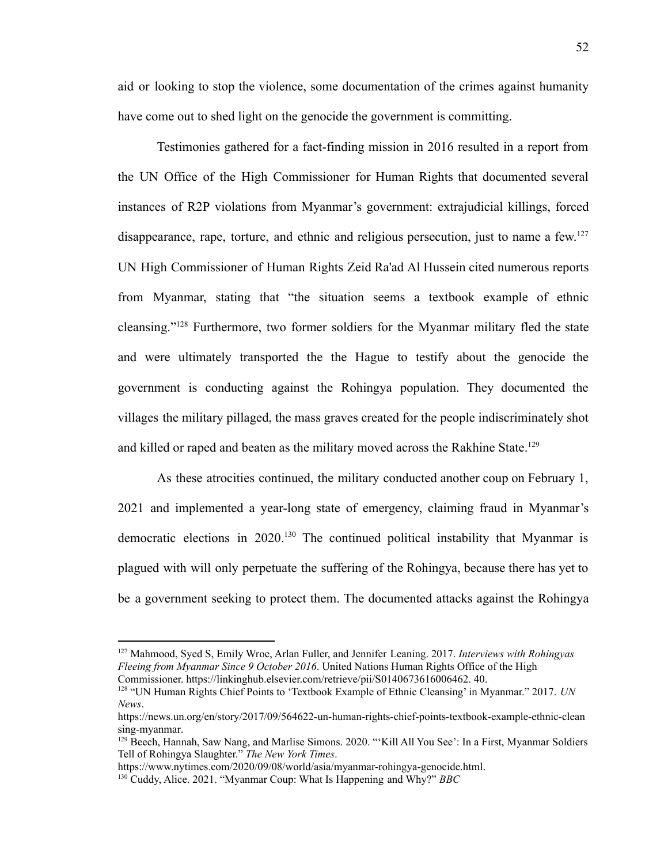aid or looking to stop the violence, some documentation of the crimes against humanity have come out to shed light on the genocide the government is committing.

Testimonies gathered for a fact-finding mission in 2016 resulted in a report from the UN Office of the High Commissioner for Human Rights that documented several instances of R2P violations from Myanmar's government: extrajudicial killings, forced disappearance, rape, torture, and ethnic and religious persecution, just to name a few.<sup>127</sup> UN High Commissioner of Human Rights Zeid Ra'ad Al Hussein cited numerous reports from Myanmar, stating that "the situation seems a textbook example of ethnic cleansing."<sup>128</sup> Furthermore, two former soldiers for the Myanmar military fled the state and were ultimately transported the the Hague to testify about the genocide the government is conducting against the Rohingya population. They documented the villages the military pillaged, the mass graves created for the people indiscriminately shot and killed or raped and beaten as the military moved across the Rakhine State.<sup>129</sup>

As these atrocities continued, the military conducted another coup on February 1, 2021 and implemented a year-long state of emergency, claiming fraud in Myanmar's democratic elections in 2020.<sup>130</sup> The continued political instability that Myanmar is plagued with will only perpetuate the suffering of the Rohingya, because there has yet to be a government seeking to protect them. The documented attacks against the Rohingya

<sup>128</sup> "UN Human Rights Chief Points to 'Textbook Example of Ethnic Cleansing' in Myanmar." 2017. *UN News*[.](https://news.un.org/en/story/2017/09/564622-un-human-rights-chief-points-textbook-example-ethnic-cleansing-myanmar)

<sup>127</sup> Mahmood, Syed S, Emily Wroe, Arlan Fuller, and Jennifer Leaning. 2017. *Interviews with Rohingyas Fleeing from Myanmar Since 9 October 2016*. United Nations Human Rights Office of the High Commissioner. [https://linkinghub.elsevier.com/retrieve/pii/S0140673616006462.](https://linkinghub.elsevier.com/retrieve/pii/S0140673616006462) 40.

[https://news.un.org/en/story/2017/09/564622-un-human-rights-chief-points-textbook-example-ethnic-clean](https://news.un.org/en/story/2017/09/564622-un-human-rights-chief-points-textbook-example-ethnic-cleansing-myanmar) [sing-myanmar.](https://news.un.org/en/story/2017/09/564622-un-human-rights-chief-points-textbook-example-ethnic-cleansing-myanmar)

<sup>&</sup>lt;sup>129</sup> Beech, Hannah, Saw Nang, and Marlise Simons. 2020. "Kill All You See': In a First, Myanmar Soldiers Tell of Rohingya Slaughter." *The New York Times*[.](https://www.nytimes.com/2020/09/08/world/asia/myanmar-rohingya-genocide.html)

[https://www.nytimes.com/2020/09/08/world/asia/myanmar-rohingya-genocide.html.](https://www.nytimes.com/2020/09/08/world/asia/myanmar-rohingya-genocide.html)

<sup>130</sup> Cuddy, Alice. 2021. "Myanmar Coup: What Is Happening and Why?" *BBC*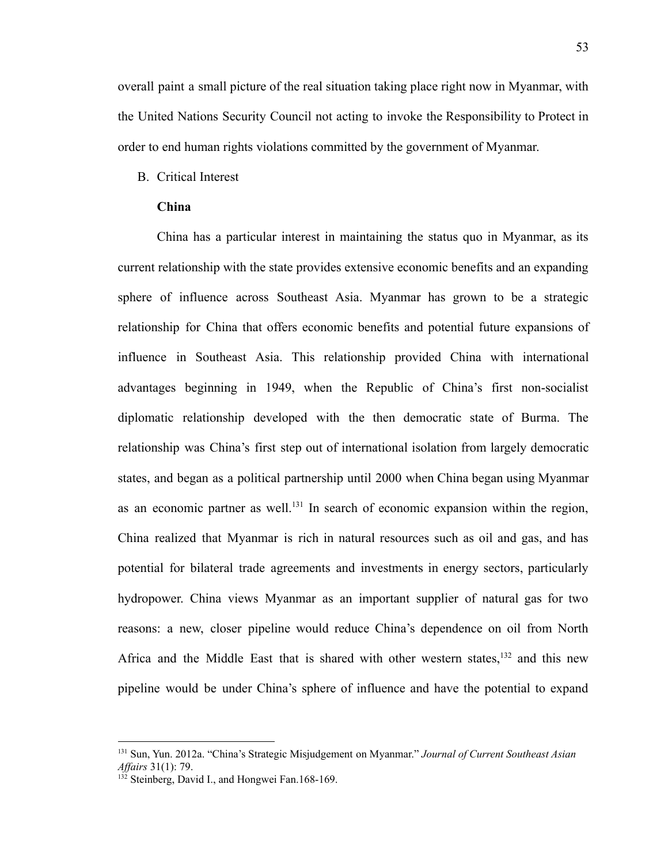overall paint a small picture of the real situation taking place right now in Myanmar, with the United Nations Security Council not acting to invoke the Responsibility to Protect in order to end human rights violations committed by the government of Myanmar.

# B. Critical Interest

### **China**

China has a particular interest in maintaining the status quo in Myanmar, as its current relationship with the state provides extensive economic benefits and an expanding sphere of influence across Southeast Asia. Myanmar has grown to be a strategic relationship for China that offers economic benefits and potential future expansions of influence in Southeast Asia. This relationship provided China with international advantages beginning in 1949, when the Republic of China's first non-socialist diplomatic relationship developed with the then democratic state of Burma. The relationship was China's first step out of international isolation from largely democratic states, and began as a political partnership until 2000 when China began using Myanmar as an economic partner as well.<sup>131</sup> In search of economic expansion within the region, China realized that Myanmar is rich in natural resources such as oil and gas, and has potential for bilateral trade agreements and investments in energy sectors, particularly hydropower. China views Myanmar as an important supplier of natural gas for two reasons: a new, closer pipeline would reduce China's dependence on oil from North Africa and the Middle East that is shared with other western states, $132$  and this new pipeline would be under China's sphere of influence and have the potential to expand

<sup>131</sup> Sun, Yun. 2012a. "China's Strategic Misjudgement on Myanmar." *Journal of Current Southeast Asian Af airs* 31(1): 79.

 $132$  Steinberg, David I., and Hongwei Fan.168-169.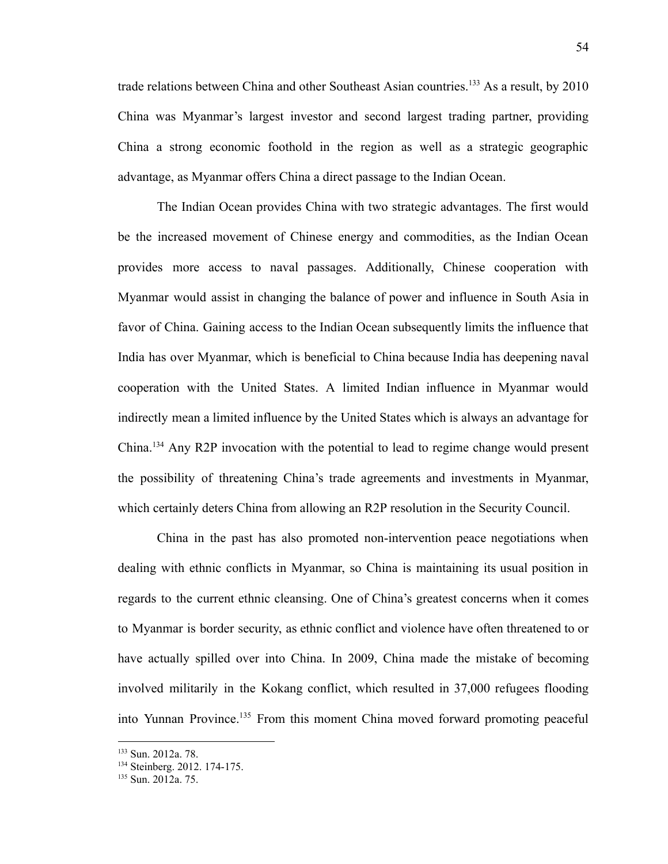trade relations between China and other Southeast Asian countries.<sup>133</sup> As a result, by 2010 China was Myanmar's largest investor and second largest trading partner, providing China a strong economic foothold in the region as well as a strategic geographic advantage, as Myanmar offers China a direct passage to the Indian Ocean.

The Indian Ocean provides China with two strategic advantages. The first would be the increased movement of Chinese energy and commodities, as the Indian Ocean provides more access to naval passages. Additionally, Chinese cooperation with Myanmar would assist in changing the balance of power and influence in South Asia in favor of China. Gaining access to the Indian Ocean subsequently limits the influence that India has over Myanmar, which is beneficial to China because India has deepening naval cooperation with the United States. A limited Indian influence in Myanmar would indirectly mean a limited influence by the United States which is always an advantage for China.<sup>134</sup> Any R2P invocation with the potential to lead to regime change would present the possibility of threatening China's trade agreements and investments in Myanmar, which certainly deters China from allowing an R2P resolution in the Security Council.

China in the past has also promoted non-intervention peace negotiations when dealing with ethnic conflicts in Myanmar, so China is maintaining its usual position in regards to the current ethnic cleansing. One of China's greatest concerns when it comes to Myanmar is border security, as ethnic conflict and violence have often threatened to or have actually spilled over into China. In 2009, China made the mistake of becoming involved militarily in the Kokang conflict, which resulted in 37,000 refugees flooding into Yunnan Province.<sup>135</sup> From this moment China moved forward promoting peaceful

<sup>133</sup> Sun. 2012a. 78.

<sup>&</sup>lt;sup>134</sup> Steinberg. 2012. 174-175.

<sup>135</sup> Sun. 2012a. 75.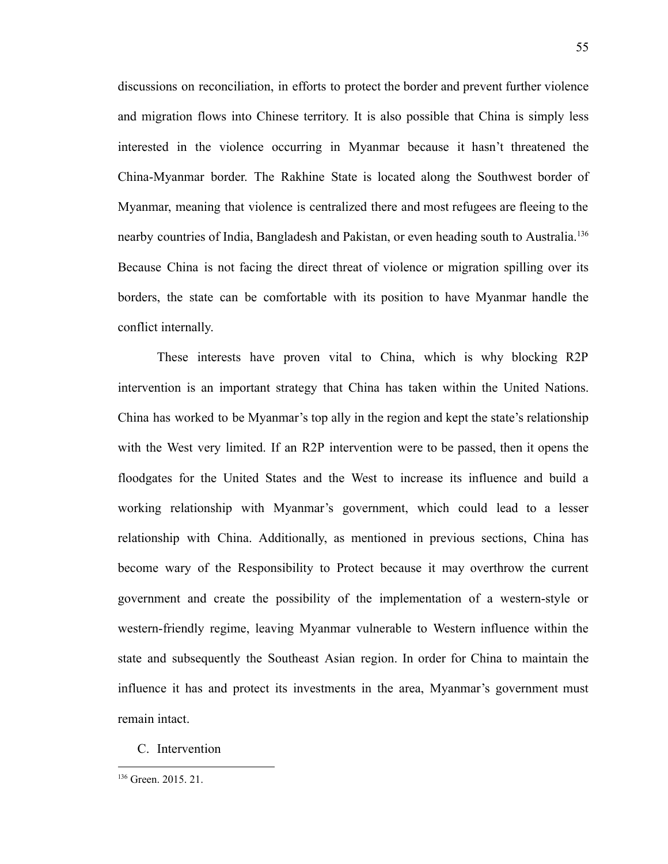discussions on reconciliation, in efforts to protect the border and prevent further violence and migration flows into Chinese territory. It is also possible that China is simply less interested in the violence occurring in Myanmar because it hasn't threatened the China-Myanmar border. The Rakhine State is located along the Southwest border of Myanmar, meaning that violence is centralized there and most refugees are fleeing to the nearby countries of India, Bangladesh and Pakistan, or even heading south to Australia.<sup>136</sup> Because China is not facing the direct threat of violence or migration spilling over its borders, the state can be comfortable with its position to have Myanmar handle the conflict internally.

These interests have proven vital to China, which is why blocking R2P intervention is an important strategy that China has taken within the United Nations. China has worked to be Myanmar's top ally in the region and kept the state's relationship with the West very limited. If an R2P intervention were to be passed, then it opens the floodgates for the United States and the West to increase its influence and build a working relationship with Myanmar's government, which could lead to a lesser relationship with China. Additionally, as mentioned in previous sections, China has become wary of the Responsibility to Protect because it may overthrow the current government and create the possibility of the implementation of a western-style or western-friendly regime, leaving Myanmar vulnerable to Western influence within the state and subsequently the Southeast Asian region. In order for China to maintain the influence it has and protect its investments in the area, Myanmar's government must remain intact.

C. Intervention

<sup>136</sup> Green. 2015. 21.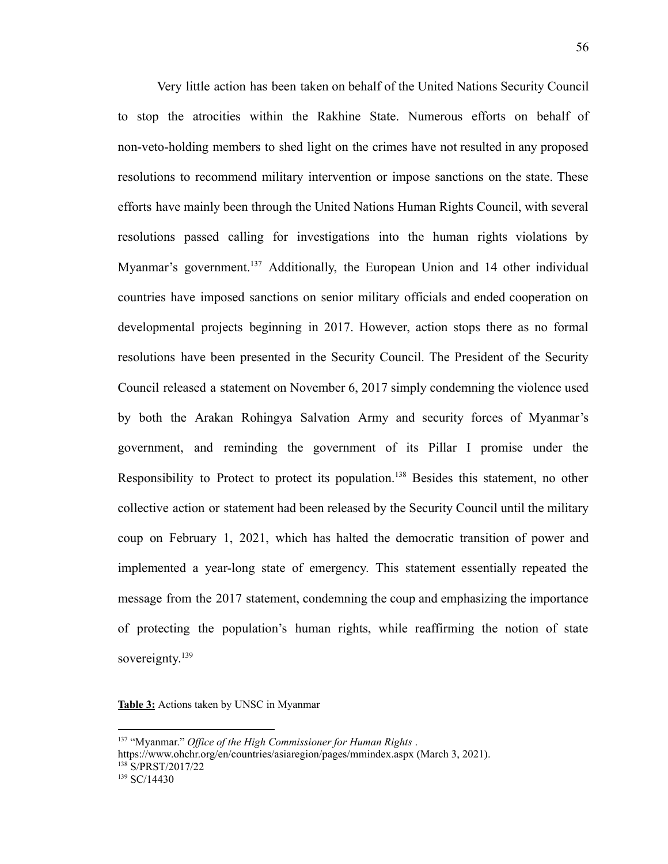Very little action has been taken on behalf of the United Nations Security Council to stop the atrocities within the Rakhine State. Numerous efforts on behalf of non-veto-holding members to shed light on the crimes have not resulted in any proposed resolutions to recommend military intervention or impose sanctions on the state. These efforts have mainly been through the United Nations Human Rights Council, with several resolutions passed calling for investigations into the human rights violations by Myanmar's government.<sup>137</sup> Additionally, the European Union and 14 other individual countries have imposed sanctions on senior military officials and ended cooperation on developmental projects beginning in 2017. However, action stops there as no formal resolutions have been presented in the Security Council. The President of the Security Council released a statement on November 6, 2017 simply condemning the violence used by both the Arakan Rohingya Salvation Army and security forces of Myanmar's government, and reminding the government of its Pillar I promise under the Responsibility to Protect to protect its population.<sup>138</sup> Besides this statement, no other collective action or statement had been released by the Security Council until the military coup on February 1, 2021, which has halted the democratic transition of power and implemented a year-long state of emergency. This statement essentially repeated the message from the 2017 statement, condemning the coup and emphasizing the importance of protecting the population's human rights, while reaffirming the notion of state sovereignty.<sup>139</sup>

**Table 3:** Actions taken by UNSC in Myanmar

 $139$  SC/14430 <sup>138</sup> S/PRST/2017/22 <sup>137</sup> "Myanmar." *Of ice of the High Commissioner for Human Rights* . <https://www.ohchr.org/en/countries/asiaregion/pages/mmindex.aspx> (March 3, 2021).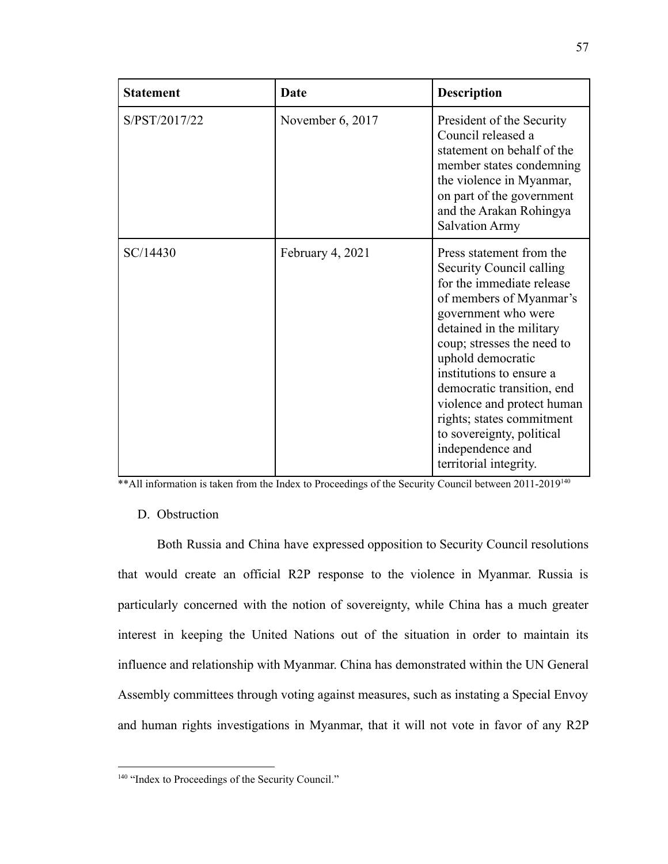| <b>Statement</b> | Date             | <b>Description</b>                                                                                                                                                                                                                                                                                                                                                                                                 |
|------------------|------------------|--------------------------------------------------------------------------------------------------------------------------------------------------------------------------------------------------------------------------------------------------------------------------------------------------------------------------------------------------------------------------------------------------------------------|
| S/PST/2017/22    | November 6, 2017 | President of the Security<br>Council released a<br>statement on behalf of the<br>member states condemning<br>the violence in Myanmar,<br>on part of the government<br>and the Arakan Rohingya<br><b>Salvation Army</b>                                                                                                                                                                                             |
| SC/14430         | February 4, 2021 | Press statement from the<br>Security Council calling<br>for the immediate release<br>of members of Myanmar's<br>government who were<br>detained in the military<br>coup; stresses the need to<br>uphold democratic<br>institutions to ensure a<br>democratic transition, end<br>violence and protect human<br>rights; states commitment<br>to sovereignty, political<br>independence and<br>territorial integrity. |

\*\* All information is taken from the Index to Proceedings of the Security Council between 2011-2019<sup>140</sup>

# D. Obstruction

Both Russia and China have expressed opposition to Security Council resolutions that would create an official R2P response to the violence in Myanmar. Russia is particularly concerned with the notion of sovereignty, while China has a much greater interest in keeping the United Nations out of the situation in order to maintain its influence and relationship with Myanmar. China has demonstrated within the UN General Assembly committees through voting against measures, such as instating a Special Envoy and human rights investigations in Myanmar, that it will not vote in favor of any R2P

<sup>&</sup>lt;sup>140</sup> "Index to Proceedings of the Security Council."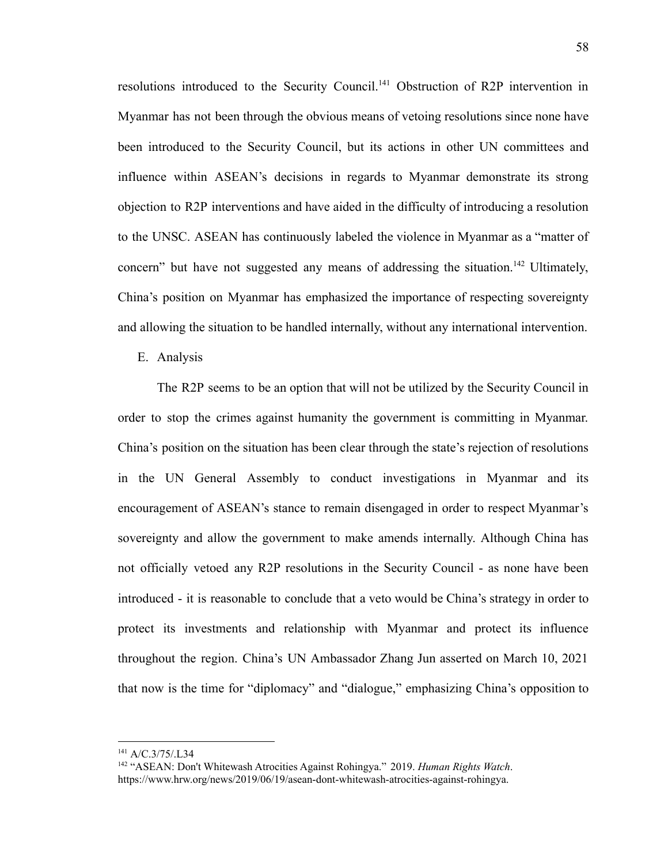resolutions introduced to the Security Council.<sup>141</sup> Obstruction of R2P intervention in Myanmar has not been through the obvious means of vetoing resolutions since none have been introduced to the Security Council, but its actions in other UN committees and influence within ASEAN's decisions in regards to Myanmar demonstrate its strong objection to R2P interventions and have aided in the difficulty of introducing a resolution to the UNSC. ASEAN has continuously labeled the violence in Myanmar as a "matter of concern" but have not suggested any means of addressing the situation.<sup>142</sup> Ultimately, China's position on Myanmar has emphasized the importance of respecting sovereignty and allowing the situation to be handled internally, without any international intervention.

E. Analysis

The R2P seems to be an option that will not be utilized by the Security Council in order to stop the crimes against humanity the government is committing in Myanmar. China's position on the situation has been clear through the state's rejection of resolutions in the UN General Assembly to conduct investigations in Myanmar and its encouragement of ASEAN's stance to remain disengaged in order to respect Myanmar's sovereignty and allow the government to make amends internally. Although China has not officially vetoed any R2P resolutions in the Security Council - as none have been introduced - it is reasonable to conclude that a veto would be China's strategy in order to protect its investments and relationship with Myanmar and protect its influence throughout the region. China's UN Ambassador Zhang Jun asserted on March 10, 2021 that now is the time for "diplomacy" and "dialogue," emphasizing China's opposition to

<sup>141</sup> A/C.3/75/.L34

<sup>142</sup> "ASEAN: Don't Whitewash Atrocities Against Rohingya." 2019. *Human Rights Watch*. https://www.hrw.org/news/2019/06/19/asean-dont-whitewash-atrocities-against-rohingya.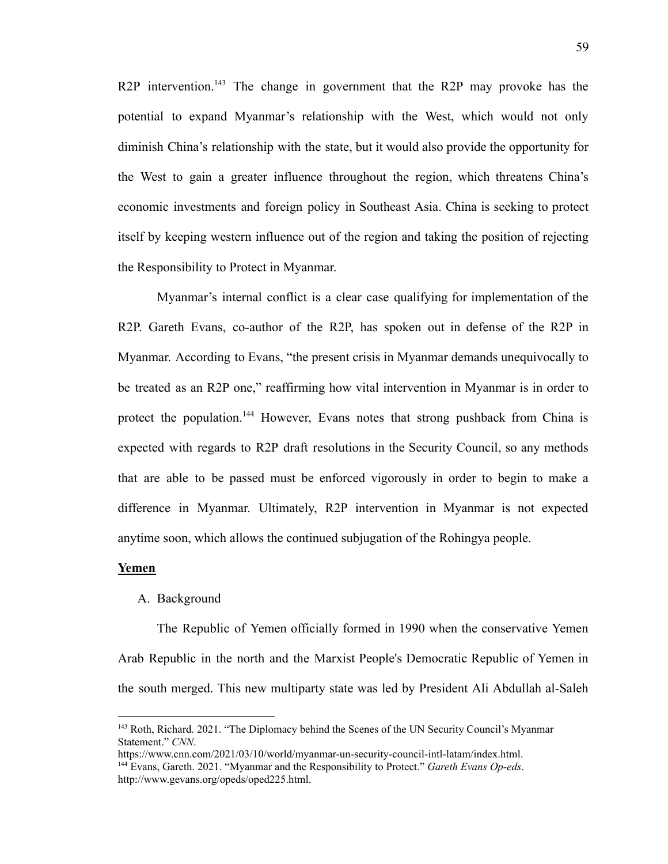R2P intervention.<sup>143</sup> The change in government that the R2P may provoke has the potential to expand Myanmar's relationship with the West, which would not only diminish China's relationship with the state, but it would also provide the opportunity for the West to gain a greater influence throughout the region, which threatens China's economic investments and foreign policy in Southeast Asia. China is seeking to protect itself by keeping western influence out of the region and taking the position of rejecting the Responsibility to Protect in Myanmar.

Myanmar's internal conflict is a clear case qualifying for implementation of the R2P. Gareth Evans, co-author of the R2P, has spoken out in defense of the R2P in Myanmar. According to Evans, "the present crisis in Myanmar demands unequivocally to be treated as an R2P one," reaffirming how vital intervention in Myanmar is in order to protect the population.<sup>144</sup> However, Evans notes that strong pushback from China is expected with regards to R2P draft resolutions in the Security Council, so any methods that are able to be passed must be enforced vigorously in order to begin to make a difference in Myanmar. Ultimately, R2P intervention in Myanmar is not expected anytime soon, which allows the continued subjugation of the Rohingya people.

#### **Yemen**

### A. Background

The Republic of Yemen officially formed in 1990 when the conservative Yemen Arab Republic in the north and the Marxist People's Democratic Republic of Yemen in the south merged. This new multiparty state was led by President Ali Abdullah al-Saleh

<sup>&</sup>lt;sup>143</sup> Roth, Richard. 2021. "The Diplomacy behind the Scenes of the UN Security Council's Myanmar Statement." *CNN*.

<sup>144</sup> Evans, Gareth. 2021. "Myanmar and the Responsibility to Protect." *Gareth Evans Op-eds*. [http://www.gevans.org/opeds/oped225.html.](http://www.gevans.org/opeds/oped225.html) <https://www.cnn.com/2021/03/10/world/myanmar-un-security-council-intl-latam/index.html>.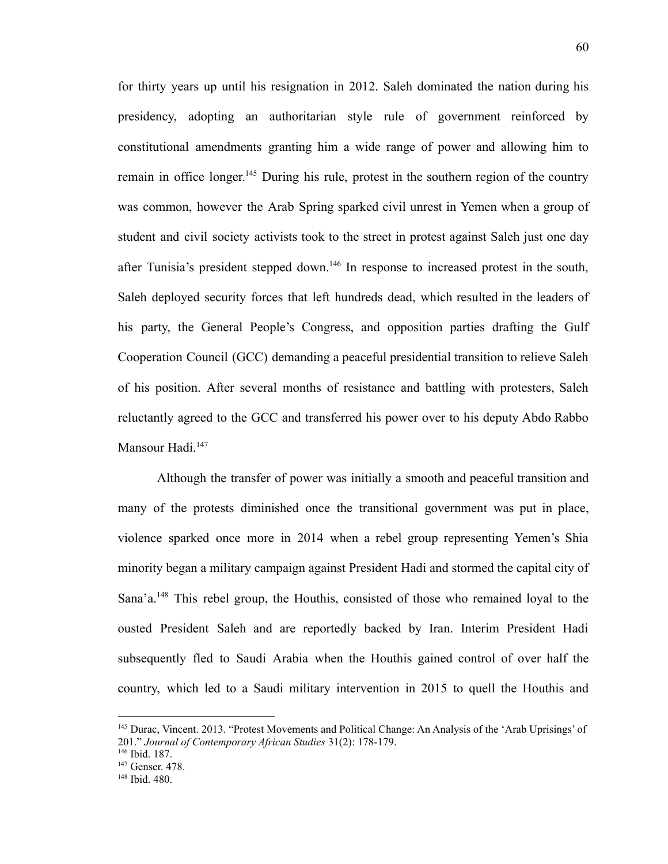for thirty years up until his resignation in 2012. Saleh dominated the nation during his presidency, adopting an authoritarian style rule of government reinforced by constitutional amendments granting him a wide range of power and allowing him to remain in office longer.<sup>145</sup> During his rule, protest in the southern region of the country was common, however the Arab Spring sparked civil unrest in Yemen when a group of student and civil society activists took to the street in protest against Saleh just one day after Tunisia's president stepped down.<sup>146</sup> In response to increased protest in the south, Saleh deployed security forces that left hundreds dead, which resulted in the leaders of his party, the General People's Congress, and opposition parties drafting the Gulf Cooperation Council (GCC) demanding a peaceful presidential transition to relieve Saleh of his position. After several months of resistance and battling with protesters, Saleh reluctantly agreed to the GCC and transferred his power over to his deputy Abdo Rabbo Mansour Hadi.<sup>147</sup>

Although the transfer of power was initially a smooth and peaceful transition and many of the protests diminished once the transitional government was put in place, violence sparked once more in 2014 when a rebel group representing Yemen's Shia minority began a military campaign against President Hadi and stormed the capital city of Sana'a.<sup>148</sup> This rebel group, the Houthis, consisted of those who remained loyal to the ousted President Saleh and are reportedly backed by Iran. Interim President Hadi subsequently fled to Saudi Arabia when the Houthis gained control of over half the country, which led to a Saudi military intervention in 2015 to quell the Houthis and

<sup>&</sup>lt;sup>145</sup> Durac, Vincent. 2013. "Protest Movements and Political Change: An Analysis of the 'Arab Uprisings' of 201." *Journal of Contemporary African Studies* 31(2): 178-179.

<sup>146</sup> Ibid. 187.

<sup>&</sup>lt;sup>147</sup> Genser. 478.

<sup>148</sup> Ibid. 480.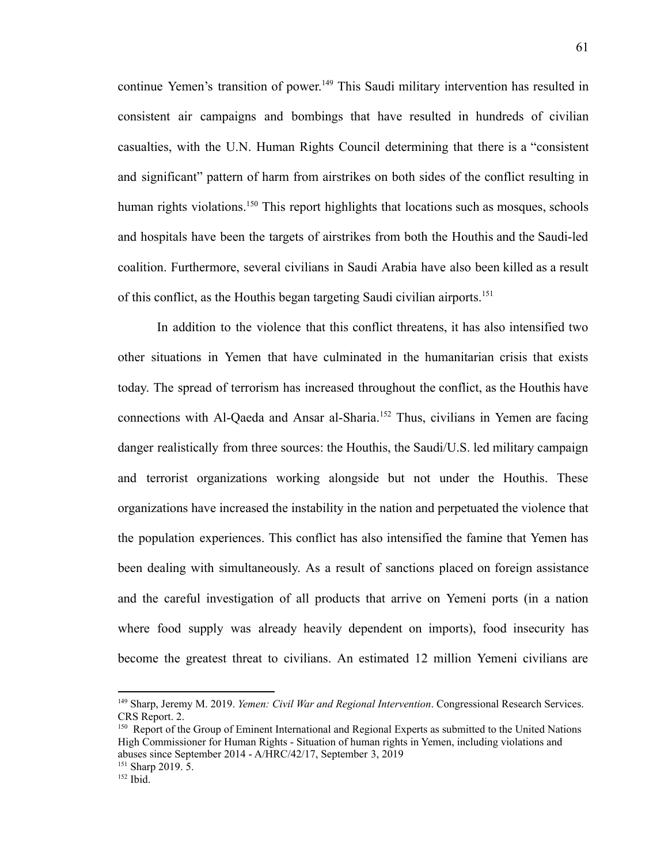continue Yemen's transition of power. <sup>149</sup> This Saudi military intervention has resulted in consistent air campaigns and bombings that have resulted in hundreds of civilian casualties, with the U.N. Human Rights Council determining that there is a "consistent and significant" pattern of harm from airstrikes on both sides of the conflict resulting in human rights violations.<sup>150</sup> This report highlights that locations such as mosques, schools and hospitals have been the targets of airstrikes from both the Houthis and the Saudi-led coalition. Furthermore, several civilians in Saudi Arabia have also been killed as a result of this conflict, as the Houthis began targeting Saudi civilian airports.<sup>151</sup>

In addition to the violence that this conflict threatens, it has also intensified two other situations in Yemen that have culminated in the humanitarian crisis that exists today. The spread of terrorism has increased throughout the conflict, as the Houthis have connections with Al-Qaeda and Ansar al-Sharia.<sup>152</sup> Thus, civilians in Yemen are facing danger realistically from three sources: the Houthis, the Saudi/U.S. led military campaign and terrorist organizations working alongside but not under the Houthis. These organizations have increased the instability in the nation and perpetuated the violence that the population experiences. This conflict has also intensified the famine that Yemen has been dealing with simultaneously. As a result of sanctions placed on foreign assistance and the careful investigation of all products that arrive on Yemeni ports (in a nation where food supply was already heavily dependent on imports), food insecurity has become the greatest threat to civilians. An estimated 12 million Yemeni civilians are

<sup>149</sup> Sharp, Jeremy M. 2019. *Yemen: Civil War and Regional Intervention*. Congressional Research Services. CRS Report. 2.

<sup>&</sup>lt;sup>150</sup> Report of the Group of Eminent International and Regional Experts as submitted to the United Nations High Commissioner for Human Rights - Situation of human rights in Yemen, including violations and abuses since September 2014 - A/HRC/42/17, September 3, 2019

 $151$  Sharp 2019. 5.

 $152$  Ibid.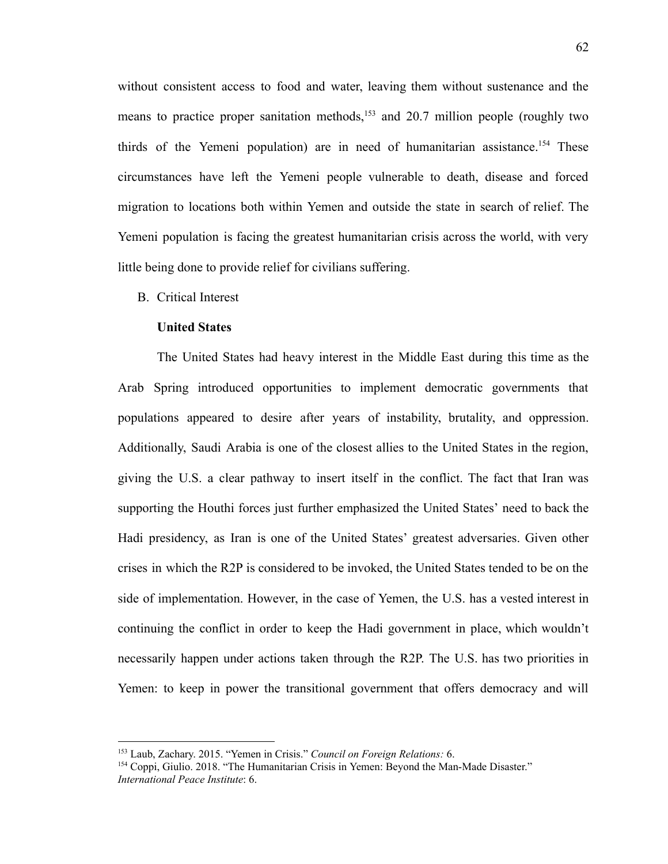without consistent access to food and water, leaving them without sustenance and the means to practice proper sanitation methods,<sup>153</sup> and 20.7 million people (roughly two thirds of the Yemeni population) are in need of humanitarian assistance.<sup>154</sup> These circumstances have left the Yemeni people vulnerable to death, disease and forced migration to locations both within Yemen and outside the state in search of relief. The Yemeni population is facing the greatest humanitarian crisis across the world, with very little being done to provide relief for civilians suffering.

B. Critical Interest

### **United States**

The United States had heavy interest in the Middle East during this time as the Arab Spring introduced opportunities to implement democratic governments that populations appeared to desire after years of instability, brutality, and oppression. Additionally, Saudi Arabia is one of the closest allies to the United States in the region, giving the U.S. a clear pathway to insert itself in the conflict. The fact that Iran was supporting the Houthi forces just further emphasized the United States' need to back the Hadi presidency, as Iran is one of the United States' greatest adversaries. Given other crises in which the R2P is considered to be invoked, the United States tended to be on the side of implementation. However, in the case of Yemen, the U.S. has a vested interest in continuing the conflict in order to keep the Hadi government in place, which wouldn't necessarily happen under actions taken through the R2P. The U.S. has two priorities in Yemen: to keep in power the transitional government that offers democracy and will

<sup>153</sup> Laub, Zachary. 2015. "Yemen in Crisis." *Council on Foreign Relations:* 6.

<sup>154</sup> Coppi, Giulio. 2018. "The Humanitarian Crisis in Yemen: Beyond the Man-Made Disaster." *International Peace Institute*: 6.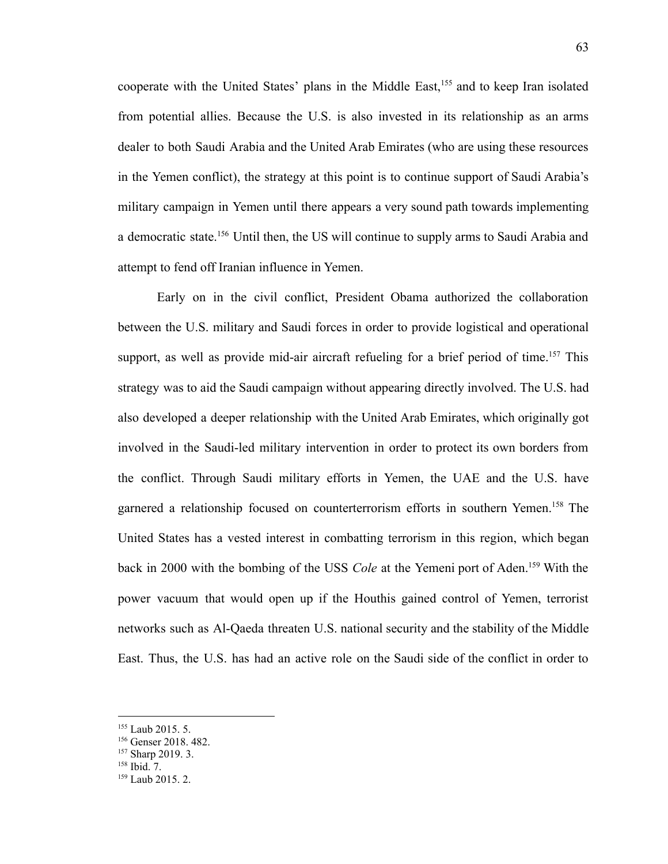cooperate with the United States' plans in the Middle East,<sup>155</sup> and to keep Iran isolated from potential allies. Because the U.S. is also invested in its relationship as an arms dealer to both Saudi Arabia and the United Arab Emirates (who are using these resources in the Yemen conflict), the strategy at this point is to continue support of Saudi Arabia's military campaign in Yemen until there appears a very sound path towards implementing a democratic state.<sup>156</sup> Until then, the US will continue to supply arms to Saudi Arabia and attempt to fend off Iranian influence in Yemen.

Early on in the civil conflict, President Obama authorized the collaboration between the U.S. military and Saudi forces in order to provide logistical and operational support, as well as provide mid-air aircraft refueling for a brief period of time.<sup>157</sup> This strategy was to aid the Saudi campaign without appearing directly involved. The U.S. had also developed a deeper relationship with the United Arab Emirates, which originally got involved in the Saudi-led military intervention in order to protect its own borders from the conflict. Through Saudi military efforts in Yemen, the UAE and the U.S. have garnered a relationship focused on counterterrorism efforts in southern Yemen.<sup>158</sup> The United States has a vested interest in combatting terrorism in this region, which began back in 2000 with the bombing of the USS *Cole* at the Yemeni port of Aden.<sup>159</sup> With the power vacuum that would open up if the Houthis gained control of Yemen, terrorist networks such as Al-Qaeda threaten U.S. national security and the stability of the Middle East. Thus, the U.S. has had an active role on the Saudi side of the conflict in order to

<sup>&</sup>lt;sup>155</sup> Laub 2015. 5.

<sup>156</sup> Genser 2018. 482.

<sup>157</sup> Sharp 2019. 3.

 $158$  Ibid. 7.

 $159$  Laub 2015, 2.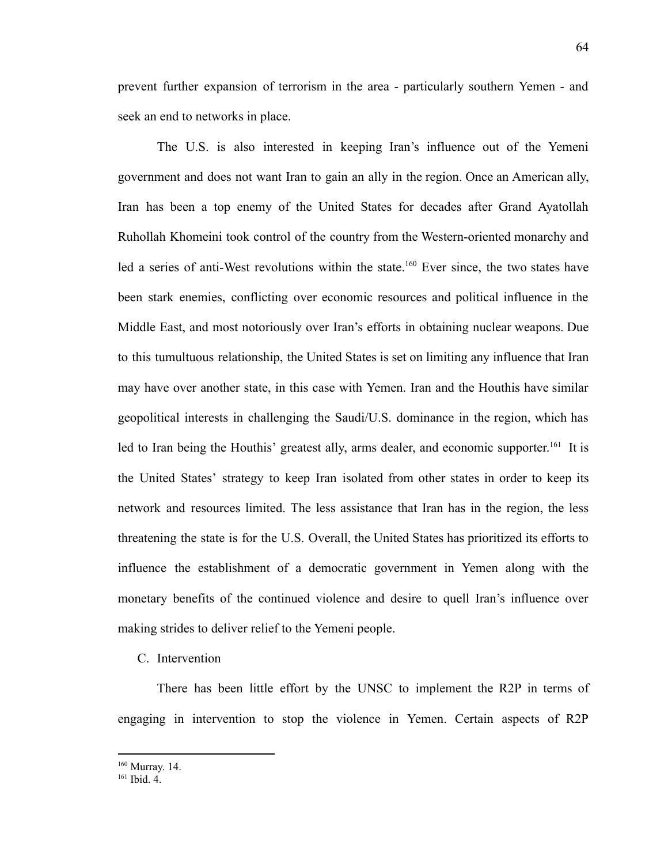prevent further expansion of terrorism in the area - particularly southern Yemen - and seek an end to networks in place.

The U.S. is also interested in keeping Iran's influence out of the Yemeni government and does not want Iran to gain an ally in the region. Once an American ally, Iran has been a top enemy of the United States for decades after Grand Ayatollah Ruhollah Khomeini took control of the country from the Western-oriented monarchy and led a series of anti-West revolutions within the state.<sup>160</sup> Ever since, the two states have been stark enemies, conflicting over economic resources and political influence in the Middle East, and most notoriously over Iran's efforts in obtaining nuclear weapons. Due to this tumultuous relationship, the United States is set on limiting any influence that Iran may have over another state, in this case with Yemen. Iran and the Houthis have similar geopolitical interests in challenging the Saudi/U.S. dominance in the region, which has led to Iran being the Houthis' greatest ally, arms dealer, and economic supporter.<sup>161</sup> It is the United States' strategy to keep Iran isolated from other states in order to keep its network and resources limited. The less assistance that Iran has in the region, the less threatening the state is for the U.S. Overall, the United States has prioritized its efforts to influence the establishment of a democratic government in Yemen along with the monetary benefits of the continued violence and desire to quell Iran's influence over making strides to deliver relief to the Yemeni people.

# C. Intervention

There has been little effort by the UNSC to implement the R2P in terms of engaging in intervention to stop the violence in Yemen. Certain aspects of R2P

<sup>160</sup> Murray. 14.

<sup>161</sup> Ibid. 4.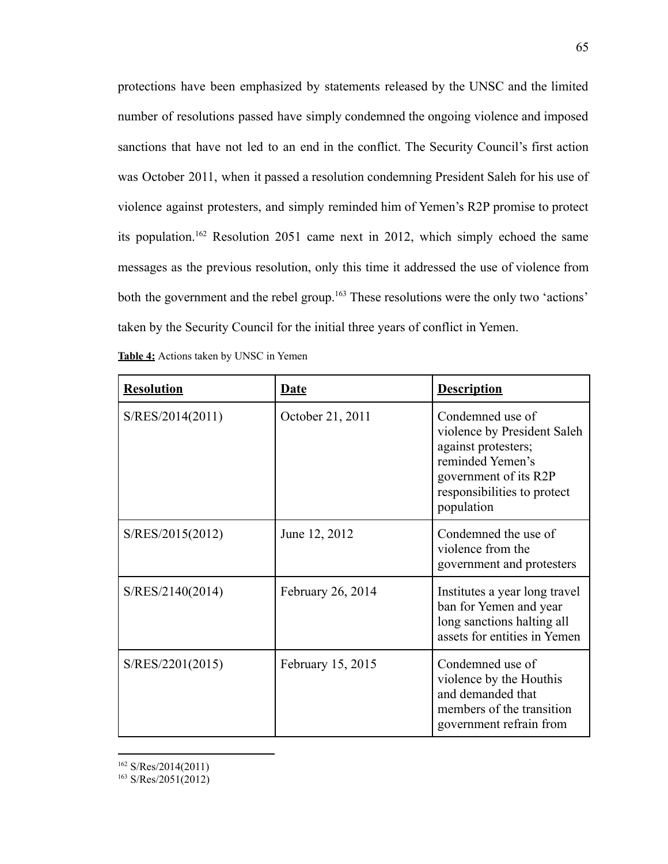protections have been emphasized by statements released by the UNSC and the limited number of resolutions passed have simply condemned the ongoing violence and imposed sanctions that have not led to an end in the conflict. The Security Council's first action was October 2011, when it passed a resolution condemning President Saleh for his use of violence against protesters, and simply reminded him of Yemen's R2P promise to protect its population.<sup>162</sup> Resolution 2051 came next in 2012, which simply echoed the same messages as the previous resolution, only this time it addressed the use of violence from both the government and the rebel group.<sup>163</sup> These resolutions were the only two 'actions' taken by the Security Council for the initial three years of conflict in Yemen.

| <b>Resolution</b> | <b>Date</b>       | <b>Description</b>                                                                                                                                               |
|-------------------|-------------------|------------------------------------------------------------------------------------------------------------------------------------------------------------------|
| S/RES/2014(2011)  | October 21, 2011  | Condemned use of<br>violence by President Saleh<br>against protesters;<br>reminded Yemen's<br>government of its R2P<br>responsibilities to protect<br>population |
| S/RES/2015(2012)  | June 12, 2012     | Condemned the use of<br>violence from the<br>government and protesters                                                                                           |
| S/RES/2140(2014)  | February 26, 2014 | Institutes a year long travel<br>ban for Yemen and year<br>long sanctions halting all<br>assets for entities in Yemen                                            |
| S/RES/2201(2015)  | February 15, 2015 | Condemned use of<br>violence by the Houthis<br>and demanded that<br>members of the transition<br>government refrain from                                         |

<sup>162</sup> S/Res/2014(2011)

 $163$  S/Res/2051(2012)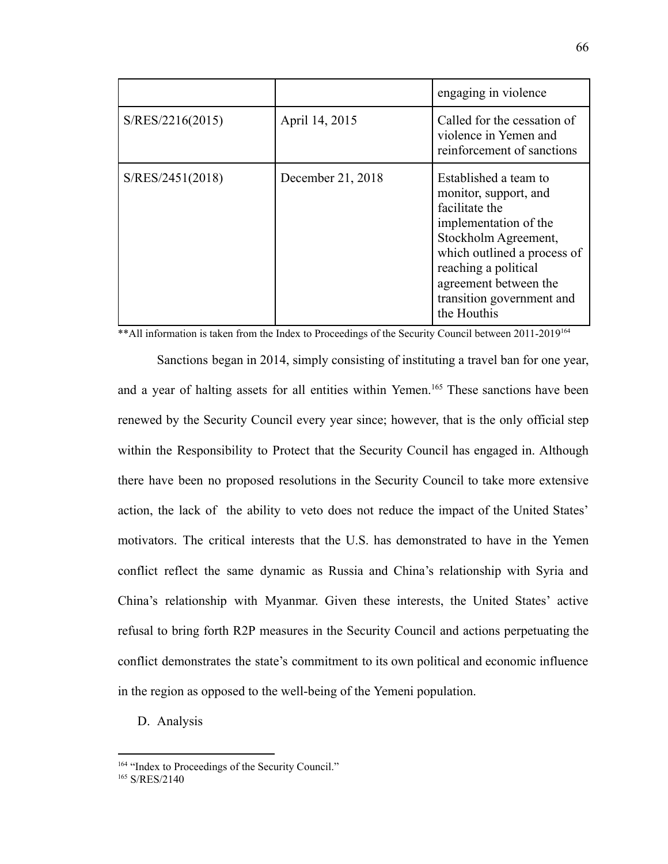|                  |                   | engaging in violence                                                                                                                                                                                                                          |
|------------------|-------------------|-----------------------------------------------------------------------------------------------------------------------------------------------------------------------------------------------------------------------------------------------|
| S/RES/2216(2015) | April 14, 2015    | Called for the cessation of<br>violence in Yemen and<br>reinforcement of sanctions                                                                                                                                                            |
| S/RES/2451(2018) | December 21, 2018 | Established a team to<br>monitor, support, and<br>facilitate the<br>implementation of the<br>Stockholm Agreement,<br>which outlined a process of<br>reaching a political<br>agreement between the<br>transition government and<br>the Houthis |

\*\* All information is taken from the Index to Proceedings of the Security Council between 2011-2019<sup>164</sup>

Sanctions began in 2014, simply consisting of instituting a travel ban for one year, and a year of halting assets for all entities within Yemen.<sup>165</sup> These sanctions have been renewed by the Security Council every year since; however, that is the only official step within the Responsibility to Protect that the Security Council has engaged in. Although there have been no proposed resolutions in the Security Council to take more extensive action, the lack of the ability to veto does not reduce the impact of the United States' motivators. The critical interests that the U.S. has demonstrated to have in the Yemen conflict reflect the same dynamic as Russia and China's relationship with Syria and China's relationship with Myanmar. Given these interests, the United States' active refusal to bring forth R2P measures in the Security Council and actions perpetuating the conflict demonstrates the state's commitment to its own political and economic influence in the region as opposed to the well-being of the Yemeni population.

D. Analysis

<sup>&</sup>lt;sup>164</sup> "Index to Proceedings of the Security Council."

<sup>165</sup> S/RES/2140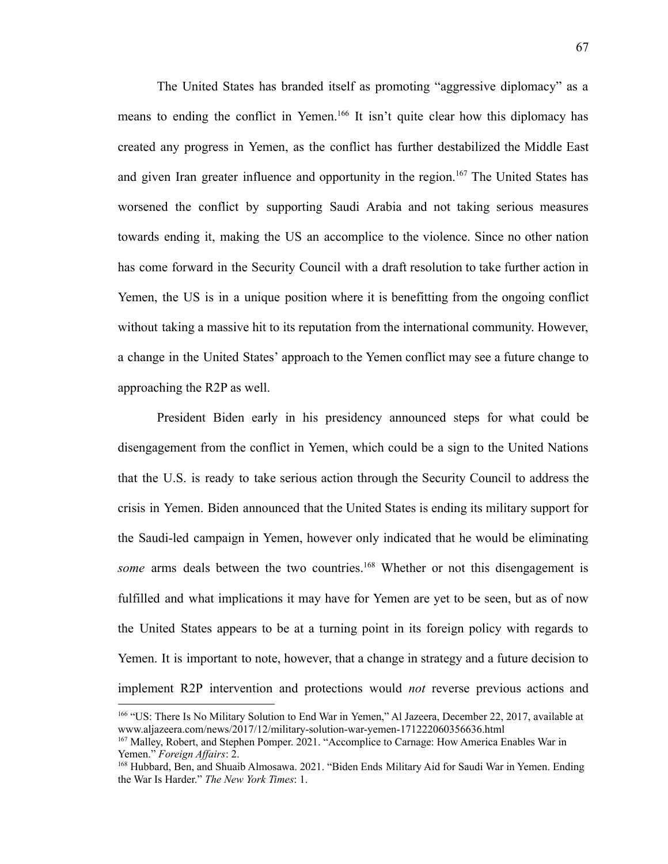The United States has branded itself as promoting "aggressive diplomacy" as a means to ending the conflict in Yemen.<sup>166</sup> It isn't quite clear how this diplomacy has created any progress in Yemen, as the conflict has further destabilized the Middle East and given Iran greater influence and opportunity in the region.<sup>167</sup> The United States has worsened the conflict by supporting Saudi Arabia and not taking serious measures towards ending it, making the US an accomplice to the violence. Since no other nation has come forward in the Security Council with a draft resolution to take further action in Yemen, the US is in a unique position where it is benefitting from the ongoing conflict without taking a massive hit to its reputation from the international community. However, a change in the United States' approach to the Yemen conflict may see a future change to approaching the R2P as well.

President Biden early in his presidency announced steps for what could be disengagement from the conflict in Yemen, which could be a sign to the United Nations that the U.S. is ready to take serious action through the Security Council to address the crisis in Yemen. Biden announced that the United States is ending its military support for the Saudi-led campaign in Yemen, however only indicated that he would be eliminating *some* arms deals between the two countries.<sup>168</sup> Whether or not this disengagement is fulfilled and what implications it may have for Yemen are yet to be seen, but as of now the United States appears to be at a turning point in its foreign policy with regards to Yemen. It is important to note, however, that a change in strategy and a future decision to implement R2P intervention and protections would *not* reverse previous actions and

<sup>166</sup> "US: There Is No Military Solution to End War in Yemen," Al Jazeera, December 22, 2017, available at www.aljazeera.com/news/2017/12/military-solution-war-yemen-171222060356636.html

<sup>&</sup>lt;sup>167</sup> Malley, Robert, and Stephen Pomper. 2021. "Accomplice to Carnage: How America Enables War in Yemen." *Foreign Af airs*: 2.

<sup>168</sup> Hubbard, Ben, and Shuaib Almosawa. 2021. "Biden Ends Military Aid for Saudi War in Yemen. Ending the War Is Harder." *The New York Times*: 1.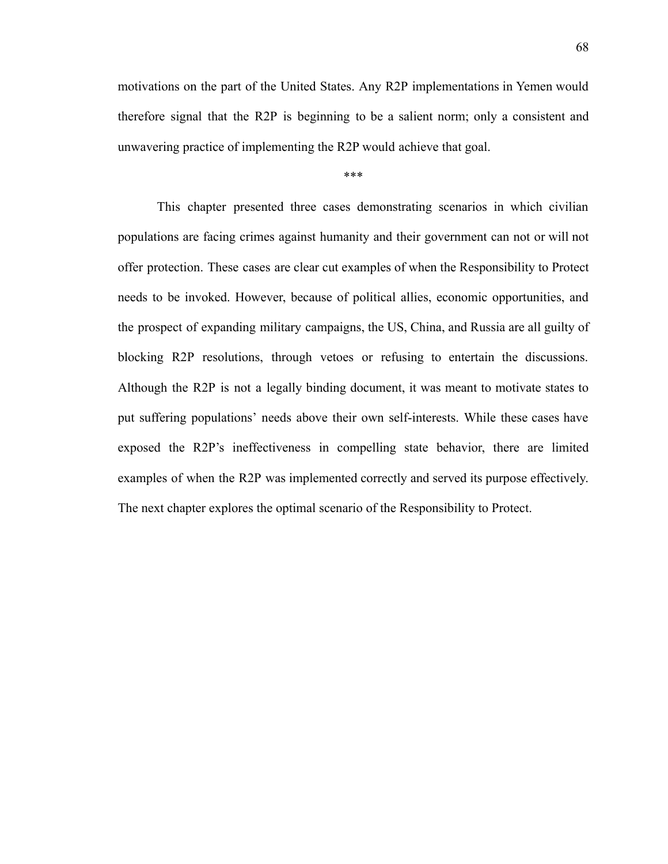motivations on the part of the United States. Any R2P implementations in Yemen would therefore signal that the R2P is beginning to be a salient norm; only a consistent and unwavering practice of implementing the R2P would achieve that goal.

\*\*\*

This chapter presented three cases demonstrating scenarios in which civilian populations are facing crimes against humanity and their government can not or will not offer protection. These cases are clear cut examples of when the Responsibility to Protect needs to be invoked. However, because of political allies, economic opportunities, and the prospect of expanding military campaigns, the US, China, and Russia are all guilty of blocking R2P resolutions, through vetoes or refusing to entertain the discussions. Although the R2P is not a legally binding document, it was meant to motivate states to put suffering populations' needs above their own self-interests. While these cases have exposed the R2P's ineffectiveness in compelling state behavior, there are limited examples of when the R2P was implemented correctly and served its purpose effectively. The next chapter explores the optimal scenario of the Responsibility to Protect.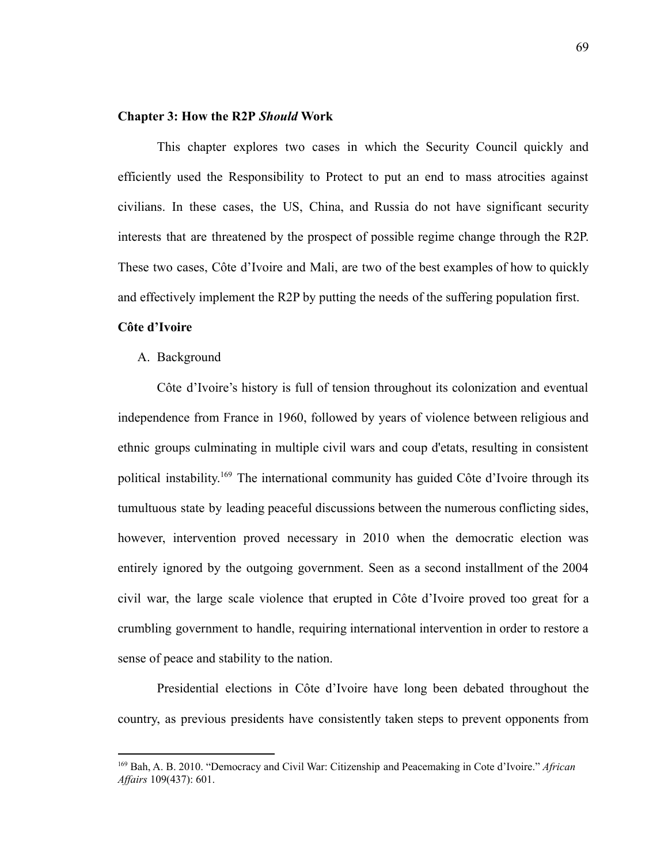# **Chapter 3: How the R2P** *Should* **Work**

This chapter explores two cases in which the Security Council quickly and efficiently used the Responsibility to Protect to put an end to mass atrocities against civilians. In these cases, the US, China, and Russia do not have significant security interests that are threatened by the prospect of possible regime change through the R2P. These two cases, Côte d'Ivoire and Mali, are two of the best examples of how to quickly and effectively implement the R2P by putting the needs of the suffering population first.

# **Côte d'Ivoire**

#### A. Background

Côte d'Ivoire's history is full of tension throughout its colonization and eventual independence from France in 1960, followed by years of violence between religious and ethnic groups culminating in multiple civil wars and coup d'etats, resulting in consistent political instability. <sup>169</sup> The international community has guided Côte d'Ivoire through its tumultuous state by leading peaceful discussions between the numerous conflicting sides, however, intervention proved necessary in 2010 when the democratic election was entirely ignored by the outgoing government. Seen as a second installment of the 2004 civil war, the large scale violence that erupted in Côte d'Ivoire proved too great for a crumbling government to handle, requiring international intervention in order to restore a sense of peace and stability to the nation.

Presidential elections in Côte d'Ivoire have long been debated throughout the country, as previous presidents have consistently taken steps to prevent opponents from

<sup>169</sup> Bah, A. B. 2010. "Democracy and Civil War: Citizenship and Peacemaking in Cote d'Ivoire." *African Af airs* 109(437): 601.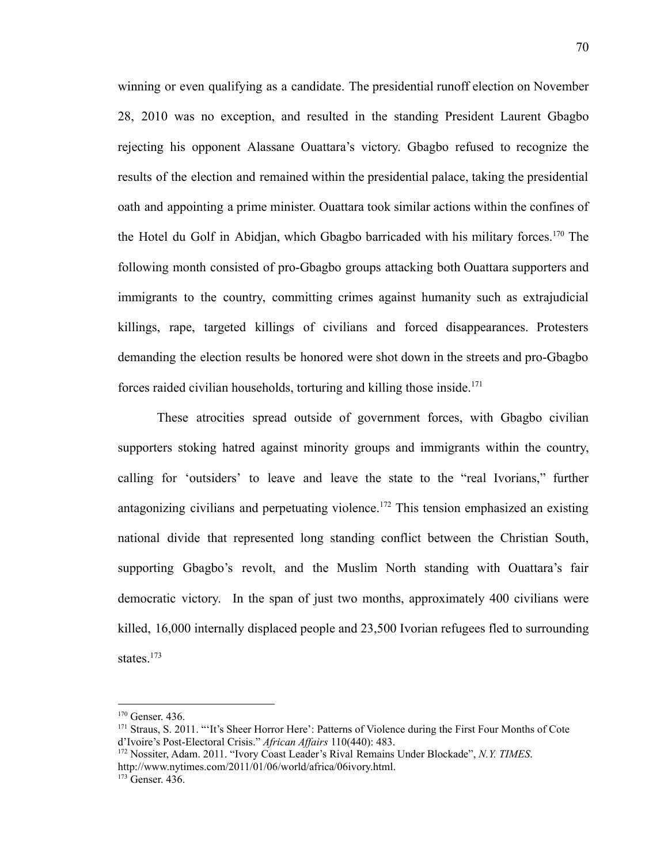winning or even qualifying as a candidate. The presidential runoff election on November 28, 2010 was no exception, and resulted in the standing President Laurent Gbagbo rejecting his opponent Alassane Ouattara's victory. Gbagbo refused to recognize the results of the election and remained within the presidential palace, taking the presidential oath and appointing a prime minister. Ouattara took similar actions within the confines of the Hotel du Golf in Abidjan, which Gbagbo barricaded with his military forces.<sup>170</sup> The following month consisted of pro-Gbagbo groups attacking both Ouattara supporters and immigrants to the country, committing crimes against humanity such as extrajudicial killings, rape, targeted killings of civilians and forced disappearances. Protesters demanding the election results be honored were shot down in the streets and pro-Gbagbo forces raided civilian households, torturing and killing those inside.<sup>171</sup>

These atrocities spread outside of government forces, with Gbagbo civilian supporters stoking hatred against minority groups and immigrants within the country, calling for 'outsiders' to leave and leave the state to the "real Ivorians," further antagonizing civilians and perpetuating violence.<sup>172</sup> This tension emphasized an existing national divide that represented long standing conflict between the Christian South, supporting Gbagbo's revolt, and the Muslim North standing with Ouattara's fair democratic victory. In the span of just two months, approximately 400 civilians were killed, 16,000 internally displaced people and 23,500 Ivorian refugees fled to surrounding states.<sup>173</sup>

<sup>170</sup> Genser. 436.

<sup>&</sup>lt;sup>171</sup> Straus, S. 2011. "'It's Sheer Horror Here': Patterns of Violence during the First Four Months of Cote d'Ivoire's Post-Electoral Crisis." African Affairs 110(440): 483.

<sup>172</sup> Nossiter, Adam. 2011. "Ivory Coast Leader's Rival Remains Under Blockade", *N.Y. TIMES*. http://www.nytimes.com/2011/01/06/world/africa/06ivory.html.

<sup>&</sup>lt;sup>173</sup> Genser. 436.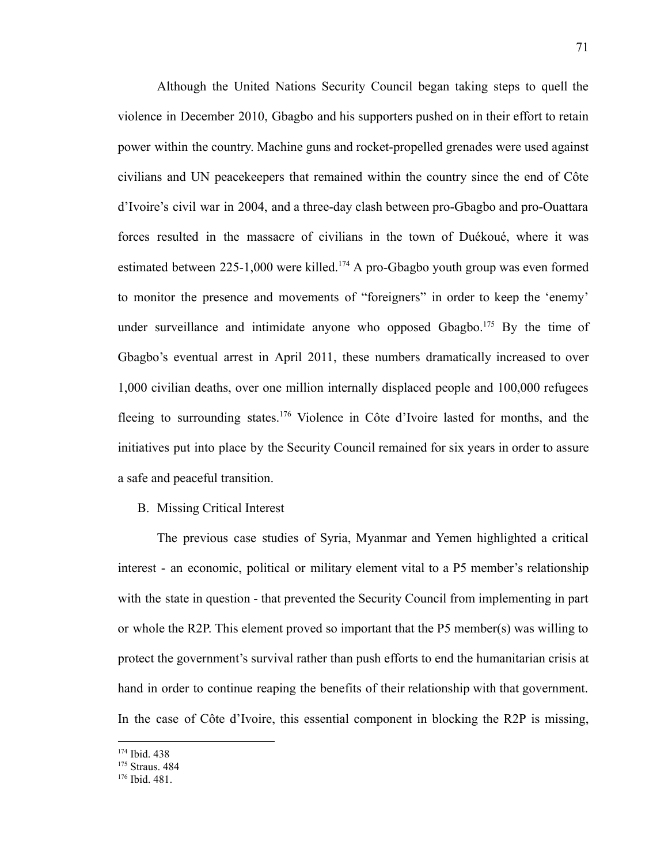Although the United Nations Security Council began taking steps to quell the violence in December 2010, Gbagbo and his supporters pushed on in their effort to retain power within the country. Machine guns and rocket-propelled grenades were used against civilians and UN peacekeepers that remained within the country since the end of Côte d'Ivoire's civil war in 2004, and a three-day clash between pro-Gbagbo and pro-Ouattara forces resulted in the massacre of civilians in the town of Duékoué, where it was estimated between  $225-1,000$  were killed.<sup>174</sup> A pro-Gbagbo youth group was even formed to monitor the presence and movements of "foreigners" in order to keep the 'enemy' under surveillance and intimidate anyone who opposed Gbagbo.<sup>175</sup> By the time of Gbagbo's eventual arrest in April 2011, these numbers dramatically increased to over 1,000 civilian deaths, over one million internally displaced people and 100,000 refugees fleeing to surrounding states.<sup>176</sup> Violence in Côte d'Ivoire lasted for months, and the initiatives put into place by the Security Council remained for six years in order to assure a safe and peaceful transition.

B. Missing Critical Interest

The previous case studies of Syria, Myanmar and Yemen highlighted a critical interest - an economic, political or military element vital to a P5 member's relationship with the state in question - that prevented the Security Council from implementing in part or whole the R2P. This element proved so important that the P5 member(s) was willing to protect the government's survival rather than push efforts to end the humanitarian crisis at hand in order to continue reaping the benefits of their relationship with that government. In the case of Côte d'Ivoire, this essential component in blocking the R2P is missing,

<sup>174</sup> Ibid. 438

<sup>&</sup>lt;sup>175</sup> Straus. 484

<sup>176</sup> Ibid. 481.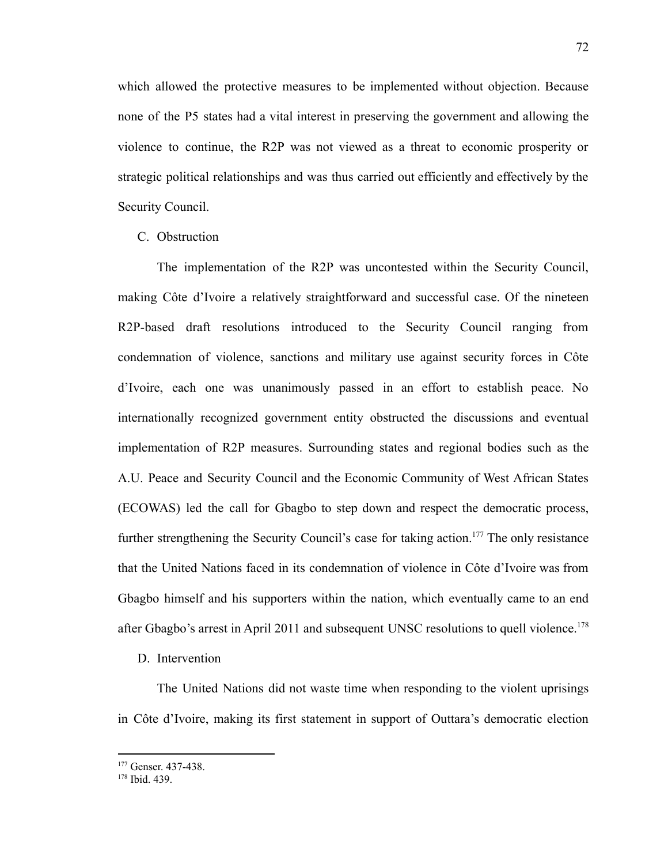which allowed the protective measures to be implemented without objection. Because none of the P5 states had a vital interest in preserving the government and allowing the violence to continue, the R2P was not viewed as a threat to economic prosperity or strategic political relationships and was thus carried out efficiently and effectively by the Security Council.

C. Obstruction

The implementation of the R2P was uncontested within the Security Council, making Côte d'Ivoire a relatively straightforward and successful case. Of the nineteen R2P-based draft resolutions introduced to the Security Council ranging from condemnation of violence, sanctions and military use against security forces in Côte d'Ivoire, each one was unanimously passed in an effort to establish peace. No internationally recognized government entity obstructed the discussions and eventual implementation of R2P measures. Surrounding states and regional bodies such as the A.U. Peace and Security Council and the Economic Community of West African States (ECOWAS) led the call for Gbagbo to step down and respect the democratic process, further strengthening the Security Council's case for taking action.<sup>177</sup> The only resistance that the United Nations faced in its condemnation of violence in Côte d'Ivoire was from Gbagbo himself and his supporters within the nation, which eventually came to an end after Gbagbo's arrest in April 2011 and subsequent UNSC resolutions to quell violence.<sup>178</sup>

# D. Intervention

The United Nations did not waste time when responding to the violent uprisings in Côte d'Ivoire, making its first statement in support of Outtara's democratic election

<sup>&</sup>lt;sup>177</sup> Genser. 437-438.

<sup>178</sup> Ibid. 439.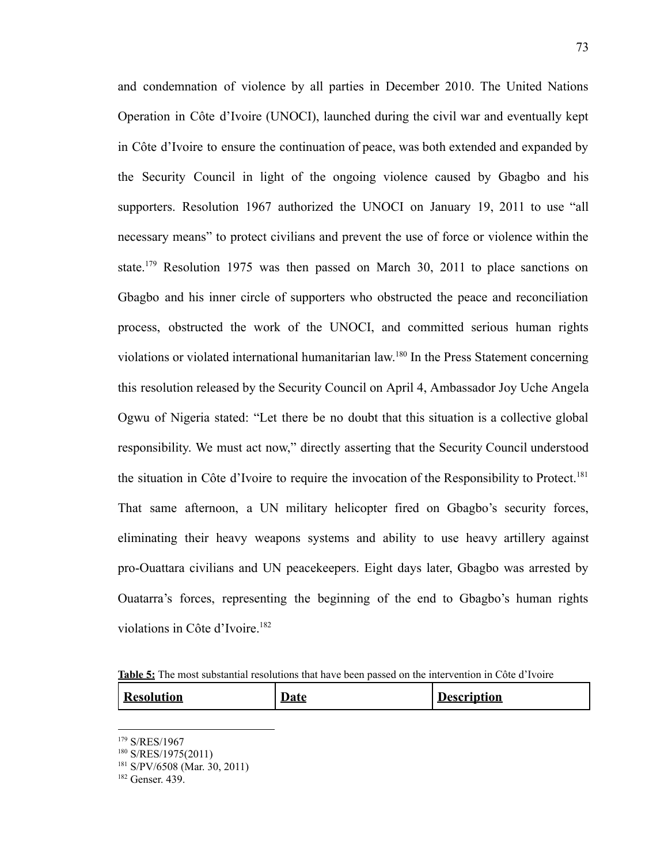and condemnation of violence by all parties in December 2010. The United Nations Operation in Côte d'Ivoire (UNOCI), launched during the civil war and eventually kept in Côte d'Ivoire to ensure the continuation of peace, was both extended and expanded by the Security Council in light of the ongoing violence caused by Gbagbo and his supporters. Resolution 1967 authorized the UNOCI on January 19, 2011 to use "all necessary means" to protect civilians and prevent the use of force or violence within the state.<sup>179</sup> Resolution 1975 was then passed on March 30, 2011 to place sanctions on Gbagbo and his inner circle of supporters who obstructed the peace and reconciliation process, obstructed the work of the UNOCI, and committed serious human rights violations or violated international humanitarian law.<sup>180</sup> In the Press Statement concerning this resolution released by the Security Council on April 4, Ambassador Joy Uche Angela Ogwu of Nigeria stated: "Let there be no doubt that this situation is a collective global responsibility. We must act now," directly asserting that the Security Council understood the situation in Côte d'Ivoire to require the invocation of the Responsibility to Protect.<sup>181</sup> That same afternoon, a UN military helicopter fired on Gbagbo's security forces, eliminating their heavy weapons systems and ability to use heavy artillery against pro-Ouattara civilians and UN peacekeepers. Eight days later, Gbagbo was arrested by Ouatarra's forces, representing the beginning of the end to Gbagbo's human rights violations in Côte d'Ivoire.<sup>182</sup>

**Table 5:** The most substantial resolutions that have been passed on the intervention in Côte d'Ivoire

| <sup>1</sup> Resolution | ∴∎af∕ | tion |
|-------------------------|-------|------|
|-------------------------|-------|------|

<sup>179</sup> S/RES/1967

<sup>180</sup> S/RES/1975(2011)

<sup>181</sup> S/PV/6508 (Mar. 30, 2011)

<sup>182</sup> Genser. 439.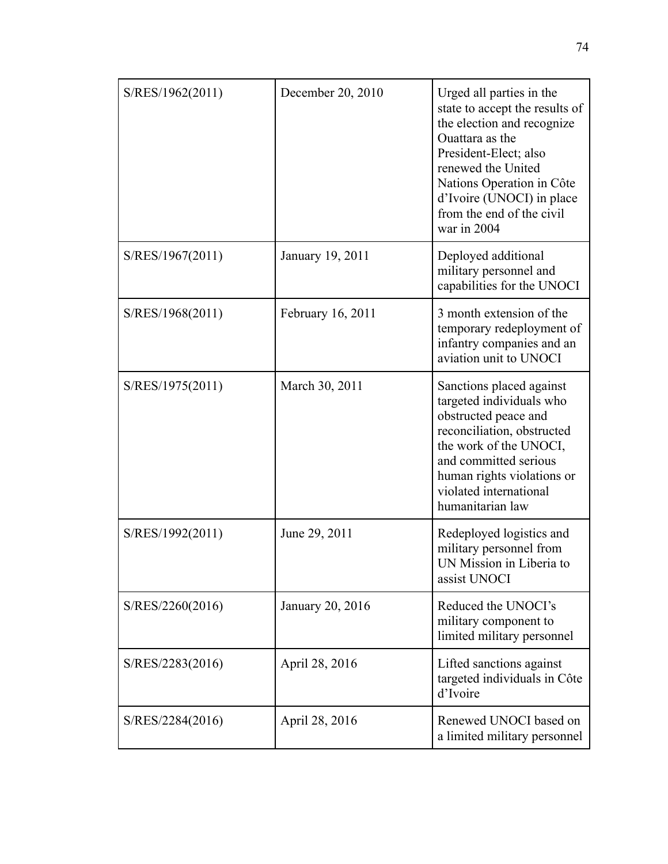| S/RES/1962(2011) | December 20, 2010 | Urged all parties in the<br>state to accept the results of<br>the election and recognize<br>Ouattara as the<br>President-Elect; also<br>renewed the United<br>Nations Operation in Côte<br>d'Ivoire (UNOCI) in place<br>from the end of the civil<br>war in 2004 |
|------------------|-------------------|------------------------------------------------------------------------------------------------------------------------------------------------------------------------------------------------------------------------------------------------------------------|
| S/RES/1967(2011) | January 19, 2011  | Deployed additional<br>military personnel and<br>capabilities for the UNOCI                                                                                                                                                                                      |
| S/RES/1968(2011) | February 16, 2011 | 3 month extension of the<br>temporary redeployment of<br>infantry companies and an<br>aviation unit to UNOCI                                                                                                                                                     |
| S/RES/1975(2011) | March 30, 2011    | Sanctions placed against<br>targeted individuals who<br>obstructed peace and<br>reconciliation, obstructed<br>the work of the UNOCI,<br>and committed serious<br>human rights violations or<br>violated international<br>humanitarian law                        |
| S/RES/1992(2011) | June 29, 2011     | Redeployed logistics and<br>military personnel from<br>UN Mission in Liberia to<br>assist UNOCI                                                                                                                                                                  |
| S/RES/2260(2016) | January 20, 2016  | Reduced the UNOCI's<br>military component to<br>limited military personnel                                                                                                                                                                                       |
| S/RES/2283(2016) | April 28, 2016    | Lifted sanctions against<br>targeted individuals in Côte<br>d'Ivoire                                                                                                                                                                                             |
| S/RES/2284(2016) | April 28, 2016    | Renewed UNOCI based on<br>a limited military personnel                                                                                                                                                                                                           |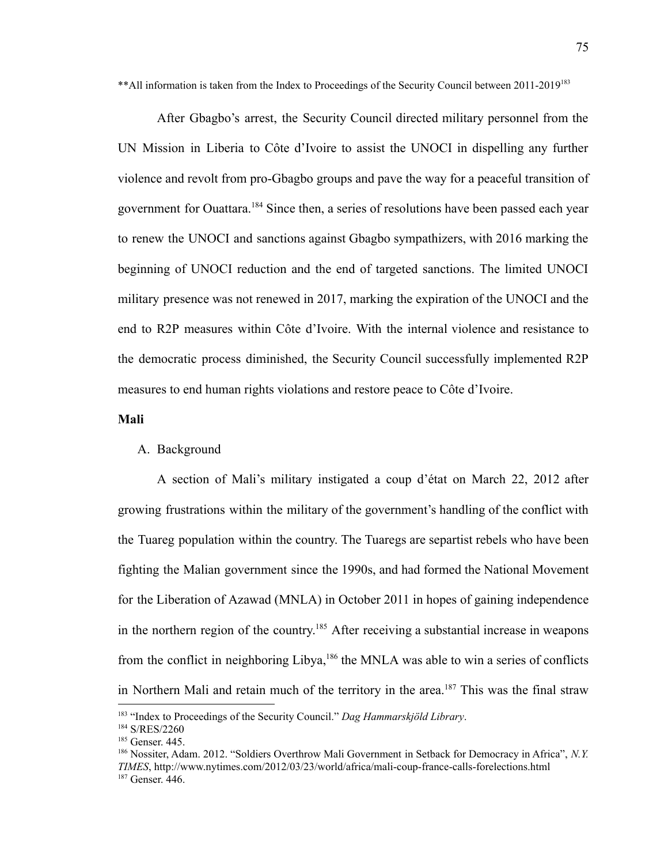\*\* All information is taken from the Index to Proceedings of the Security Council between 2011-2019<sup>183</sup>

After Gbagbo's arrest, the Security Council directed military personnel from the UN Mission in Liberia to Côte d'Ivoire to assist the UNOCI in dispelling any further violence and revolt from pro-Gbagbo groups and pave the way for a peaceful transition of government for Ouattara.<sup>184</sup> Since then, a series of resolutions have been passed each year to renew the UNOCI and sanctions against Gbagbo sympathizers, with 2016 marking the beginning of UNOCI reduction and the end of targeted sanctions. The limited UNOCI military presence was not renewed in 2017, marking the expiration of the UNOCI and the end to R2P measures within Côte d'Ivoire. With the internal violence and resistance to the democratic process diminished, the Security Council successfully implemented R2P measures to end human rights violations and restore peace to Côte d'Ivoire.

# **Mali**

## A. Background

A section of Mali's military instigated a coup d'état on March 22, 2012 after growing frustrations within the military of the government's handling of the conflict with the Tuareg population within the country. The Tuaregs are separtist rebels who have been fighting the Malian government since the 1990s, and had formed the National Movement for the Liberation of Azawad (MNLA) in October 2011 in hopes of gaining independence in the northern region of the country.<sup>185</sup> After receiving a substantial increase in weapons from the conflict in neighboring Libya,<sup>186</sup> the MNLA was able to win a series of conflicts in Northern Mali and retain much of the territory in the area.<sup>187</sup> This was the final straw

<sup>183</sup> "Index to Proceedings of the Security Council." *Dag Hammarskjöld Library*.

<sup>184</sup> S/RES/2260

<sup>185</sup> Genser. 445.

<sup>187</sup> Genser. 446. <sup>186</sup> Nossiter, Adam. 2012. "Soldiers Overthrow Mali Government in Setback for Democracy in Africa", *N.Y. TIMES*, http://www.nytimes.com/2012/03/23/world/africa/mali-coup-france-calls-forelections.html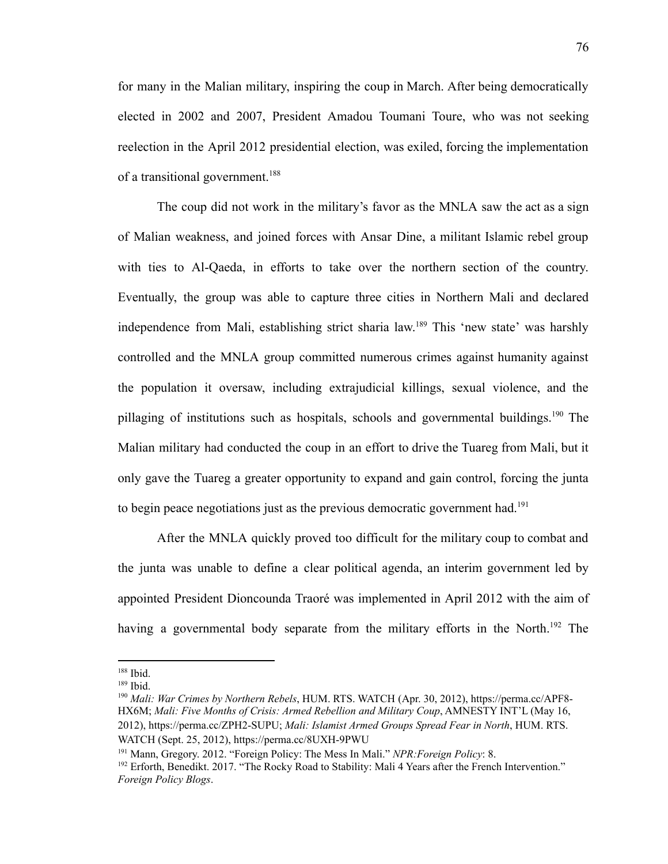for many in the Malian military, inspiring the coup in March. After being democratically elected in 2002 and 2007, President Amadou Toumani Toure, who was not seeking reelection in the April 2012 presidential election, was exiled, forcing the implementation of a transitional government.<sup>188</sup>

The coup did not work in the military's favor as the MNLA saw the act as a sign of Malian weakness, and joined forces with Ansar Dine, a militant Islamic rebel group with ties to Al-Qaeda, in efforts to take over the northern section of the country. Eventually, the group was able to capture three cities in Northern Mali and declared independence from Mali, establishing strict sharia law.<sup>189</sup> This 'new state' was harshly controlled and the MNLA group committed numerous crimes against humanity against the population it oversaw, including extrajudicial killings, sexual violence, and the pillaging of institutions such as hospitals, schools and governmental buildings.<sup>190</sup> The Malian military had conducted the coup in an effort to drive the Tuareg from Mali, but it only gave the Tuareg a greater opportunity to expand and gain control, forcing the junta to begin peace negotiations just as the previous democratic government had.<sup>191</sup>

After the MNLA quickly proved too difficult for the military coup to combat and the junta was unable to define a clear political agenda, an interim government led by appointed President Dioncounda Traoré was implemented in April 2012 with the aim of having a governmental body separate from the military efforts in the North.<sup>192</sup> The

<sup>188</sup> Ibid.

<sup>189</sup> Ibid.

<sup>190</sup> *Mali: War Crimes by Northern Rebels*, HUM. RTS. WATCH (Apr. 30, 2012), https://perma.cc/APF8- HX6M; *Mali: Five Months of Crisis: Armed Rebellion and Military Coup*, AMNESTY INT'L (May 16, 2012), https://perma.cc/ZPH2-SUPU; *Mali: Islamist Armed Groups Spread Fear in North*, HUM. RTS. WATCH (Sept. 25, 2012), https://perma.cc/8UXH-9PWU

<sup>191</sup> Mann, Gregory. 2012. "Foreign Policy: The Mess In Mali." *NPR:Foreign Policy*: 8.

<sup>&</sup>lt;sup>192</sup> Erforth, Benedikt. 2017. "The Rocky Road to Stability: Mali 4 Years after the French Intervention." *Foreign Policy Blogs*.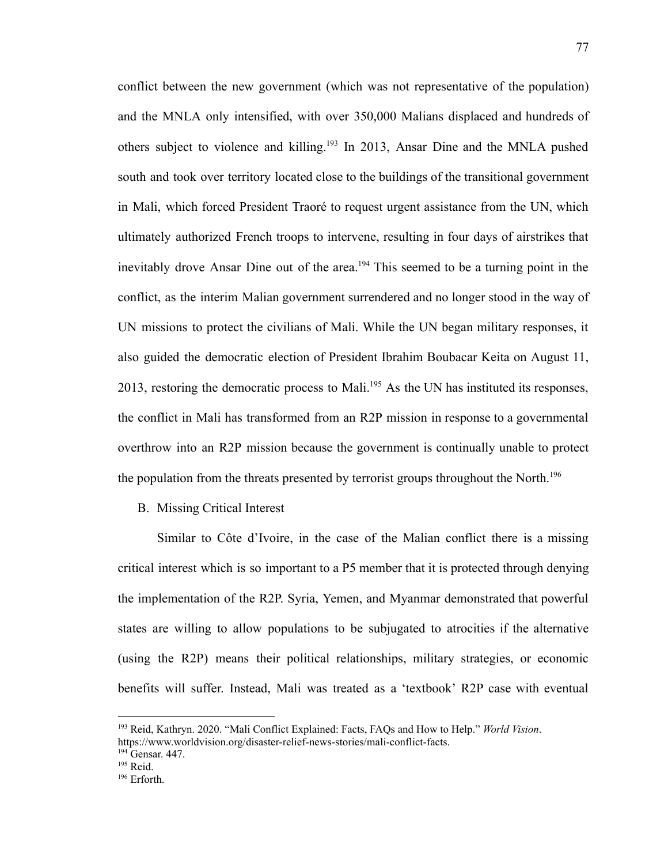conflict between the new government (which was not representative of the population) and the MNLA only intensified, with over 350,000 Malians displaced and hundreds of others subject to violence and killing.<sup>193</sup> In 2013, Ansar Dine and the MNLA pushed south and took over territory located close to the buildings of the transitional government in Mali, which forced President Traoré to request urgent assistance from the UN, which ultimately authorized French troops to intervene, resulting in four days of airstrikes that inevitably drove Ansar Dine out of the area.<sup>194</sup> This seemed to be a turning point in the conflict, as the interim Malian government surrendered and no longer stood in the way of UN missions to protect the civilians of Mali. While the UN began military responses, it also guided the democratic election of President Ibrahim Boubacar Keita on August 11, 2013, restoring the democratic process to Mali.<sup>195</sup> As the UN has instituted its responses, the conflict in Mali has transformed from an R2P mission in response to a governmental overthrow into an R2P mission because the government is continually unable to protect the population from the threats presented by terrorist groups throughout the North.<sup>196</sup>

B. Missing Critical Interest

Similar to Côte d'Ivoire, in the case of the Malian conflict there is a missing critical interest which is so important to a P5 member that it is protected through denying the implementation of the R2P. Syria, Yemen, and Myanmar demonstrated that powerful states are willing to allow populations to be subjugated to atrocities if the alternative (using the R2P) means their political relationships, military strategies, or economic benefits will suffer. Instead, Mali was treated as a 'textbook' R2P case with eventual

<sup>193</sup> Reid, Kathryn. 2020. "Mali Conflict Explained: Facts, FAQs and How to Help." *World Vision*. <https://www.worldvision.org/disaster-relief-news-stories/mali-conflict-facts>.

<sup>&</sup>lt;sup>194</sup> Gensar. 447.

 $195$  Reid.

<sup>196</sup> Erforth.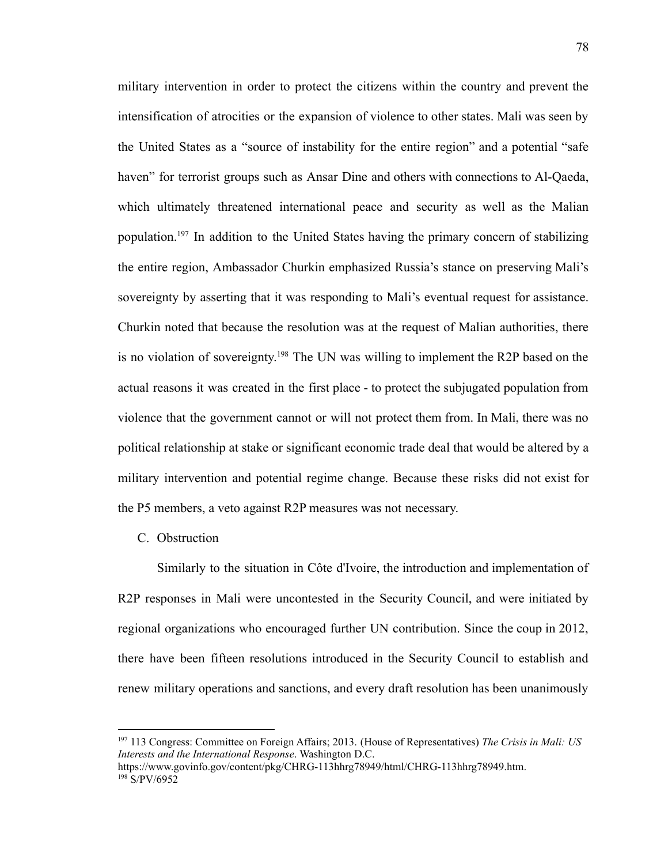military intervention in order to protect the citizens within the country and prevent the intensification of atrocities or the expansion of violence to other states. Mali was seen by the United States as a "source of instability for the entire region" and a potential "safe haven" for terrorist groups such as Ansar Dine and others with connections to Al-Qaeda, which ultimately threatened international peace and security as well as the Malian population.<sup>197</sup> In addition to the United States having the primary concern of stabilizing the entire region, Ambassador Churkin emphasized Russia's stance on preserving Mali's sovereignty by asserting that it was responding to Mali's eventual request for assistance. Churkin noted that because the resolution was at the request of Malian authorities, there is no violation of sovereignty.<sup>198</sup> The UN was willing to implement the R2P based on the actual reasons it was created in the first place - to protect the subjugated population from violence that the government cannot or will not protect them from. In Mali, there was no political relationship at stake or significant economic trade deal that would be altered by a military intervention and potential regime change. Because these risks did not exist for the P5 members, a veto against R2P measures was not necessary.

C. Obstruction

Similarly to the situation in Côte d'Ivoire, the introduction and implementation of R2P responses in Mali were uncontested in the Security Council, and were initiated by regional organizations who encouraged further UN contribution. Since the coup in 2012, there have been fifteen resolutions introduced in the Security Council to establish and renew military operations and sanctions, and every draft resolution has been unanimously

<sup>197</sup> 113 Congress: Committee on Foreign Affairs; 2013. (House of Representatives) *The Crisis in Mali: US Interests and the International Response*. Washington D.C.

 $198$  S/PV/6952 <https://www.govinfo.gov/content/pkg/CHRG-113hhrg78949/html/CHRG-113hhrg78949.htm>.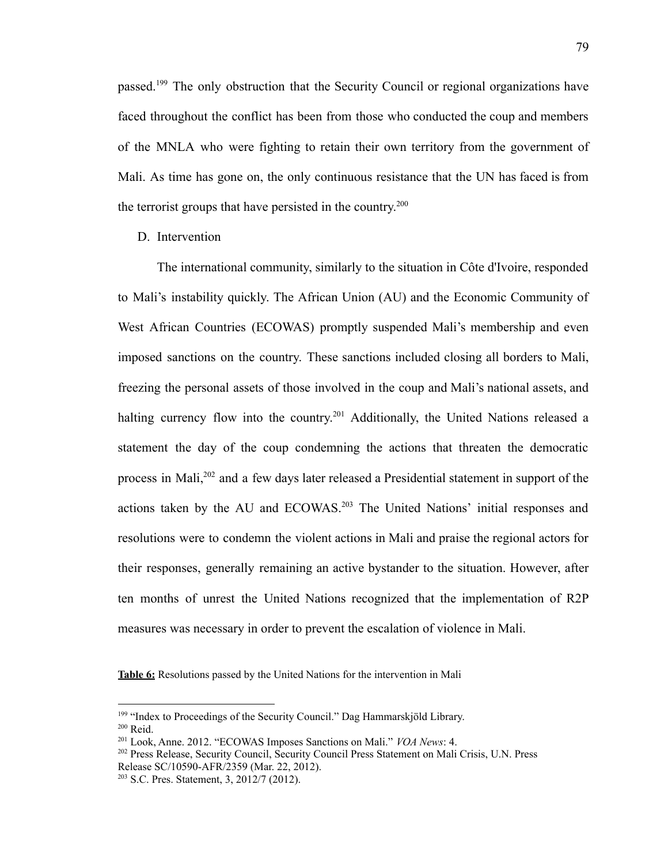passed.<sup>199</sup> The only obstruction that the Security Council or regional organizations have faced throughout the conflict has been from those who conducted the coup and members of the MNLA who were fighting to retain their own territory from the government of Mali. As time has gone on, the only continuous resistance that the UN has faced is from the terrorist groups that have persisted in the country. 200

D. Intervention

The international community, similarly to the situation in Côte d'Ivoire, responded to Mali's instability quickly. The African Union (AU) and the Economic Community of West African Countries (ECOWAS) promptly suspended Mali's membership and even imposed sanctions on the country. These sanctions included closing all borders to Mali, freezing the personal assets of those involved in the coup and Mali's national assets, and halting currency flow into the country.<sup>201</sup> Additionally, the United Nations released a statement the day of the coup condemning the actions that threaten the democratic process in Mali,<sup>202</sup> and a few days later released a Presidential statement in support of the actions taken by the AU and ECOWAS.<sup>203</sup> The United Nations' initial responses and resolutions were to condemn the violent actions in Mali and praise the regional actors for their responses, generally remaining an active bystander to the situation. However, after ten months of unrest the United Nations recognized that the implementation of R2P measures was necessary in order to prevent the escalation of violence in Mali.

**Table 6:** Resolutions passed by the United Nations for the intervention in Mali

 $200$  Reid.

<sup>199</sup> "Index to Proceedings of the Security Council." Dag Hammarskjöld Library.

<sup>201</sup> Look, Anne. 2012. "ECOWAS Imposes Sanctions on Mali." *VOA News*: 4.

<sup>202</sup> Press Release, Security Council, Security Council Press Statement on Mali Crisis, U.N. Press Release SC/10590-AFR/2359 (Mar. 22, 2012).

<sup>203</sup> S.C. Pres. Statement, 3, 2012/7 (2012).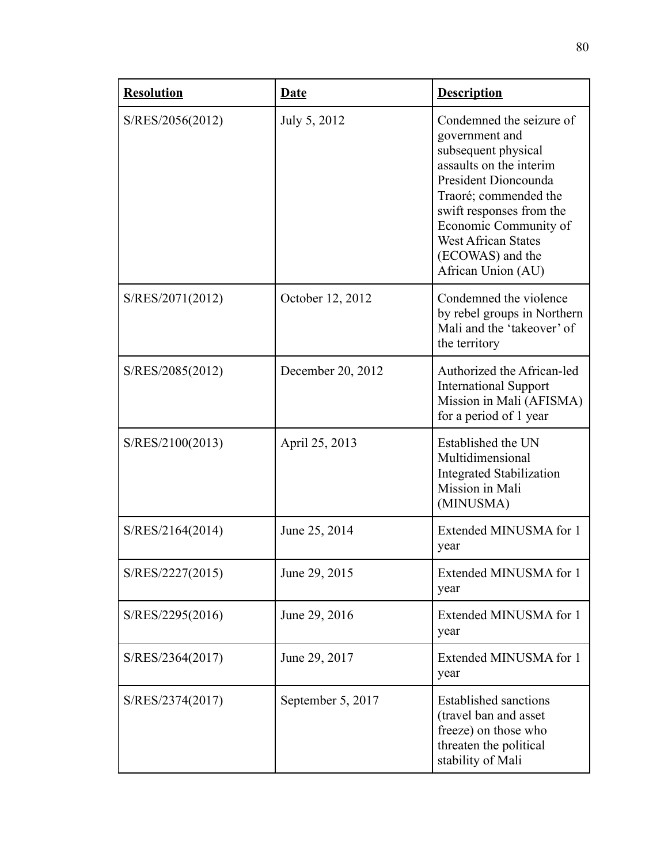| <b>Resolution</b> | <b>Date</b>       | <b>Description</b>                                                                                                                                                                                                                                                         |
|-------------------|-------------------|----------------------------------------------------------------------------------------------------------------------------------------------------------------------------------------------------------------------------------------------------------------------------|
| S/RES/2056(2012)  | July 5, 2012      | Condemned the seizure of<br>government and<br>subsequent physical<br>assaults on the interim<br>President Dioncounda<br>Traoré; commended the<br>swift responses from the<br>Economic Community of<br><b>West African States</b><br>(ECOWAS) and the<br>African Union (AU) |
| S/RES/2071(2012)  | October 12, 2012  | Condemned the violence<br>by rebel groups in Northern<br>Mali and the 'takeover' of<br>the territory                                                                                                                                                                       |
| S/RES/2085(2012)  | December 20, 2012 | Authorized the African-led<br><b>International Support</b><br>Mission in Mali (AFISMA)<br>for a period of 1 year                                                                                                                                                           |
| S/RES/2100(2013)  | April 25, 2013    | Established the UN<br>Multidimensional<br><b>Integrated Stabilization</b><br>Mission in Mali<br>(MINUSMA)                                                                                                                                                                  |
| S/RES/2164(2014)  | June 25, 2014     | Extended MINUSMA for 1<br>year                                                                                                                                                                                                                                             |
| S/RES/2227(2015)  | June 29, 2015     | Extended MINUSMA for 1<br>year                                                                                                                                                                                                                                             |
| S/RES/2295(2016)  | June 29, 2016     | Extended MINUSMA for 1<br>year                                                                                                                                                                                                                                             |
| S/RES/2364(2017)  | June 29, 2017     | Extended MINUSMA for 1<br>year                                                                                                                                                                                                                                             |
| S/RES/2374(2017)  | September 5, 2017 | <b>Established sanctions</b><br>(travel ban and asset<br>freeze) on those who<br>threaten the political<br>stability of Mali                                                                                                                                               |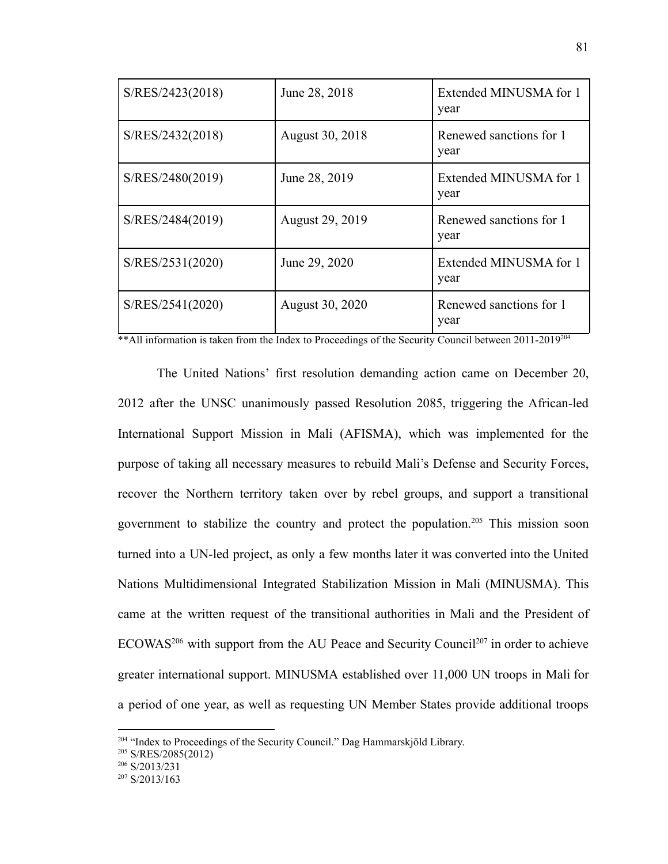| S/RES/2423(2018) | June 28, 2018   | Extended MINUSMA for 1<br>year  |
|------------------|-----------------|---------------------------------|
| S/RES/2432(2018) | August 30, 2018 | Renewed sanctions for 1<br>year |
| S/RES/2480(2019) | June 28, 2019   | Extended MINUSMA for 1<br>year  |
| S/RES/2484(2019) | August 29, 2019 | Renewed sanctions for 1<br>year |
| S/RES/2531(2020) | June 29, 2020   | Extended MINUSMA for 1<br>year  |
| S/RES/2541(2020) | August 30, 2020 | Renewed sanctions for 1<br>year |

\*\*All information is taken from the Index to Proceedings of the Security Council between 2011-2019<sup>204</sup>

The United Nations' first resolution demanding action came on December 20, 2012 after the UNSC unanimously passed Resolution 2085, triggering the African-led International Support Mission in Mali (AFISMA), which was implemented for the purpose of taking all necessary measures to rebuild Mali's Defense and Security Forces, recover the Northern territory taken over by rebel groups, and support a transitional government to stabilize the country and protect the population.<sup>205</sup> This mission soon turned into a UN-led project, as only a few months later it was converted into the United Nations Multidimensional Integrated Stabilization Mission in Mali (MINUSMA). This came at the written request of the transitional authorities in Mali and the President of  $ECOWAS<sup>206</sup>$  with support from the AU Peace and Security Council<sup>207</sup> in order to achieve greater international support. MINUSMA established over 11,000 UN troops in Mali for a period of one year, as well as requesting UN Member States provide additional troops

<sup>&</sup>lt;sup>204</sup> "Index to Proceedings of the Security Council." Dag Hammarskjöld Library.

<sup>205</sup> S/RES/2085(2012)

 $206$  S/2013/231

 $207$  S/2013/163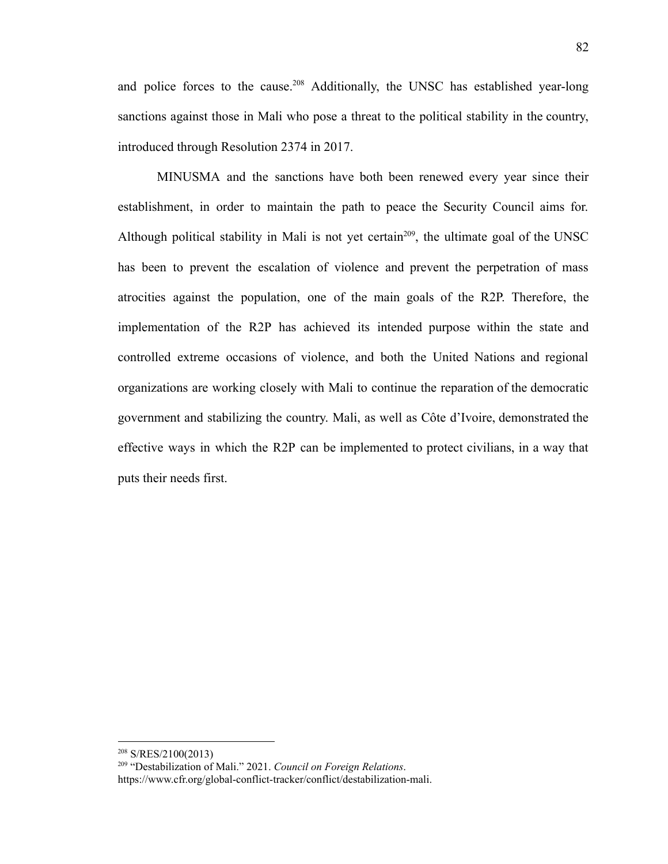and police forces to the cause.<sup>208</sup> Additionally, the UNSC has established year-long sanctions against those in Mali who pose a threat to the political stability in the country, introduced through Resolution 2374 in 2017.

MINUSMA and the sanctions have both been renewed every year since their establishment, in order to maintain the path to peace the Security Council aims for. Although political stability in Mali is not yet certain<sup>209</sup>, the ultimate goal of the UNSC has been to prevent the escalation of violence and prevent the perpetration of mass atrocities against the population, one of the main goals of the R2P. Therefore, the implementation of the R2P has achieved its intended purpose within the state and controlled extreme occasions of violence, and both the United Nations and regional organizations are working closely with Mali to continue the reparation of the democratic government and stabilizing the country. Mali, as well as Côte d'Ivoire, demonstrated the effective ways in which the R2P can be implemented to protect civilians, in a way that puts their needs first.

<sup>208</sup> S/RES/2100(2013)

<sup>209</sup> "Destabilization of Mali." 2021. *Council on Foreign Relations*[.](https://www.cfr.org/global-conflict-tracker/conflict/destabilization-mali) [https://www.cfr.org/global-conflict-tracker/conflict/destabilization-mali.](https://www.cfr.org/global-conflict-tracker/conflict/destabilization-mali)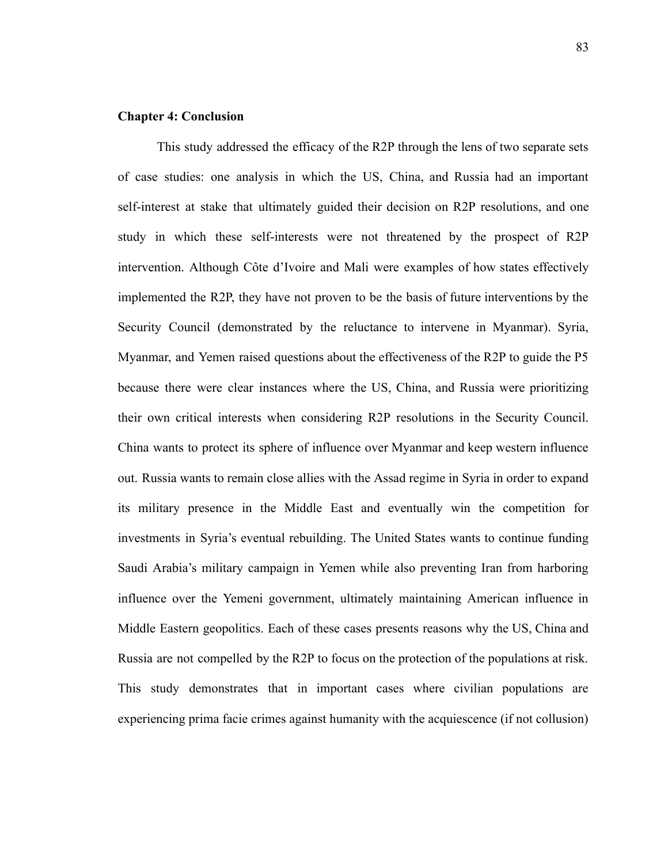# **Chapter 4: Conclusion**

This study addressed the efficacy of the R2P through the lens of two separate sets of case studies: one analysis in which the US, China, and Russia had an important self-interest at stake that ultimately guided their decision on R2P resolutions, and one study in which these self-interests were not threatened by the prospect of R2P intervention. Although Côte d'Ivoire and Mali were examples of how states effectively implemented the R2P, they have not proven to be the basis of future interventions by the Security Council (demonstrated by the reluctance to intervene in Myanmar). Syria, Myanmar, and Yemen raised questions about the effectiveness of the R2P to guide the P5 because there were clear instances where the US, China, and Russia were prioritizing their own critical interests when considering R2P resolutions in the Security Council. China wants to protect its sphere of influence over Myanmar and keep western influence out. Russia wants to remain close allies with the Assad regime in Syria in order to expand its military presence in the Middle East and eventually win the competition for investments in Syria's eventual rebuilding. The United States wants to continue funding Saudi Arabia's military campaign in Yemen while also preventing Iran from harboring influence over the Yemeni government, ultimately maintaining American influence in Middle Eastern geopolitics. Each of these cases presents reasons why the US, China and Russia are not compelled by the R2P to focus on the protection of the populations at risk. This study demonstrates that in important cases where civilian populations are experiencing prima facie crimes against humanity with the acquiescence (if not collusion)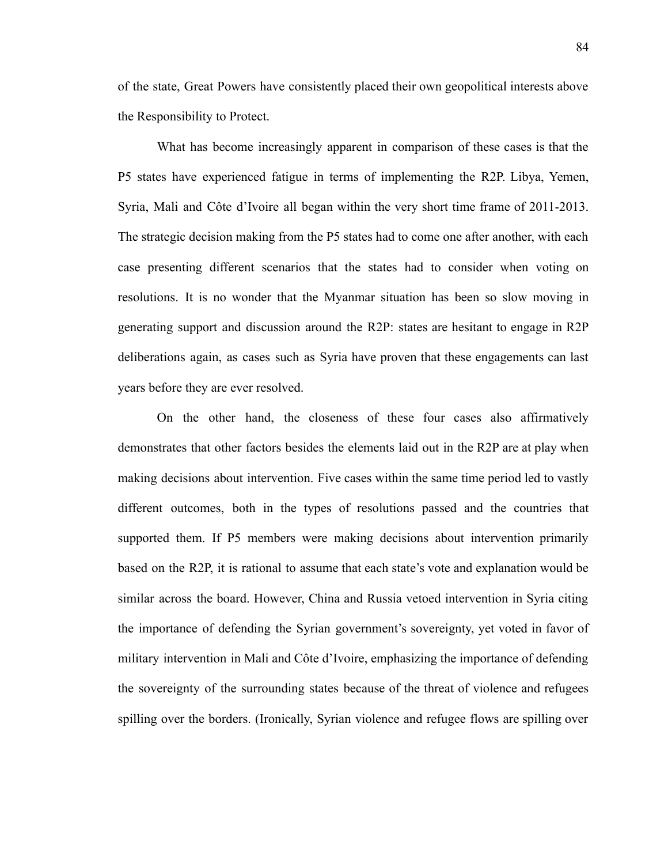of the state, Great Powers have consistently placed their own geopolitical interests above the Responsibility to Protect.

What has become increasingly apparent in comparison of these cases is that the P5 states have experienced fatigue in terms of implementing the R2P. Libya, Yemen, Syria, Mali and Côte d'Ivoire all began within the very short time frame of 2011-2013. The strategic decision making from the P5 states had to come one after another, with each case presenting different scenarios that the states had to consider when voting on resolutions. It is no wonder that the Myanmar situation has been so slow moving in generating support and discussion around the R2P: states are hesitant to engage in R2P deliberations again, as cases such as Syria have proven that these engagements can last years before they are ever resolved.

On the other hand, the closeness of these four cases also affirmatively demonstrates that other factors besides the elements laid out in the R2P are at play when making decisions about intervention. Five cases within the same time period led to vastly different outcomes, both in the types of resolutions passed and the countries that supported them. If P5 members were making decisions about intervention primarily based on the R2P, it is rational to assume that each state's vote and explanation would be similar across the board. However, China and Russia vetoed intervention in Syria citing the importance of defending the Syrian government's sovereignty, yet voted in favor of military intervention in Mali and Côte d'Ivoire, emphasizing the importance of defending the sovereignty of the surrounding states because of the threat of violence and refugees spilling over the borders. (Ironically, Syrian violence and refugee flows are spilling over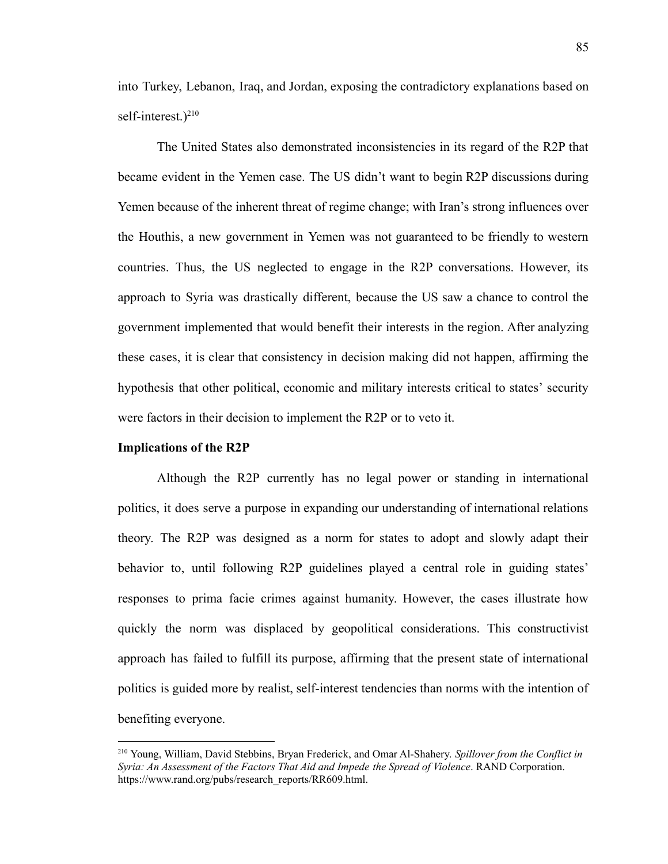into Turkey, Lebanon, Iraq, and Jordan, exposing the contradictory explanations based on self-interest.) $^{210}$ 

The United States also demonstrated inconsistencies in its regard of the R2P that became evident in the Yemen case. The US didn't want to begin R2P discussions during Yemen because of the inherent threat of regime change; with Iran's strong influences over the Houthis, a new government in Yemen was not guaranteed to be friendly to western countries. Thus, the US neglected to engage in the R2P conversations. However, its approach to Syria was drastically different, because the US saw a chance to control the government implemented that would benefit their interests in the region. After analyzing these cases, it is clear that consistency in decision making did not happen, affirming the hypothesis that other political, economic and military interests critical to states' security were factors in their decision to implement the R2P or to veto it.

#### **Implications of the R2P**

Although the R2P currently has no legal power or standing in international politics, it does serve a purpose in expanding our understanding of international relations theory. The R2P was designed as a norm for states to adopt and slowly adapt their behavior to, until following R2P guidelines played a central role in guiding states' responses to prima facie crimes against humanity. However, the cases illustrate how quickly the norm was displaced by geopolitical considerations. This constructivist approach has failed to fulfill its purpose, affirming that the present state of international politics is guided more by realist, self-interest tendencies than norms with the intention of benefiting everyone.

<sup>210</sup> Young, William, David Stebbins, Bryan Frederick, and Omar Al-Shahery. *Spillover from the Conflict in Syria: An Assessment of the Factors That Aid and Impede the Spread of Violence*. RAND Corporation[.](https://www.rand.org/pubs/research_reports/RR609.html) [https://www.rand.org/pubs/research\\_reports/RR609.html](https://www.rand.org/pubs/research_reports/RR609.html).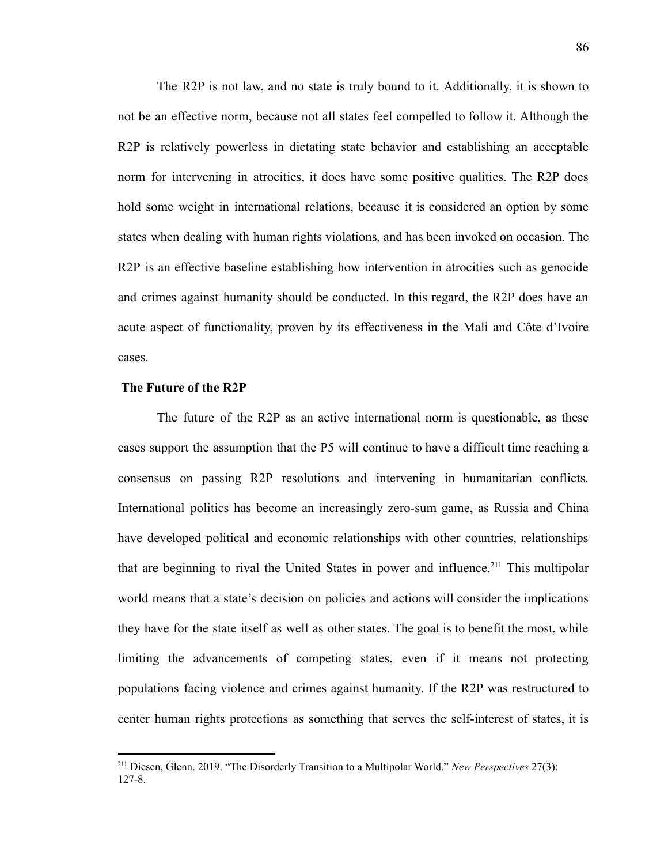The R2P is not law, and no state is truly bound to it. Additionally, it is shown to not be an effective norm, because not all states feel compelled to follow it. Although the R2P is relatively powerless in dictating state behavior and establishing an acceptable norm for intervening in atrocities, it does have some positive qualities. The R2P does hold some weight in international relations, because it is considered an option by some states when dealing with human rights violations, and has been invoked on occasion. The R2P is an effective baseline establishing how intervention in atrocities such as genocide and crimes against humanity should be conducted. In this regard, the R2P does have an acute aspect of functionality, proven by its effectiveness in the Mali and Côte d'Ivoire cases.

## **The Future of the R2P**

The future of the R2P as an active international norm is questionable, as these cases support the assumption that the P5 will continue to have a difficult time reaching a consensus on passing R2P resolutions and intervening in humanitarian conflicts. International politics has become an increasingly zero-sum game, as Russia and China have developed political and economic relationships with other countries, relationships that are beginning to rival the United States in power and influence.<sup>211</sup> This multipolar world means that a state's decision on policies and actions will consider the implications they have for the state itself as well as other states. The goal is to benefit the most, while limiting the advancements of competing states, even if it means not protecting populations facing violence and crimes against humanity. If the R2P was restructured to center human rights protections as something that serves the self-interest of states, it is

<sup>211</sup> Diesen, Glenn. 2019. "The Disorderly Transition to a Multipolar World." *New Perspectives* 27(3): 127-8.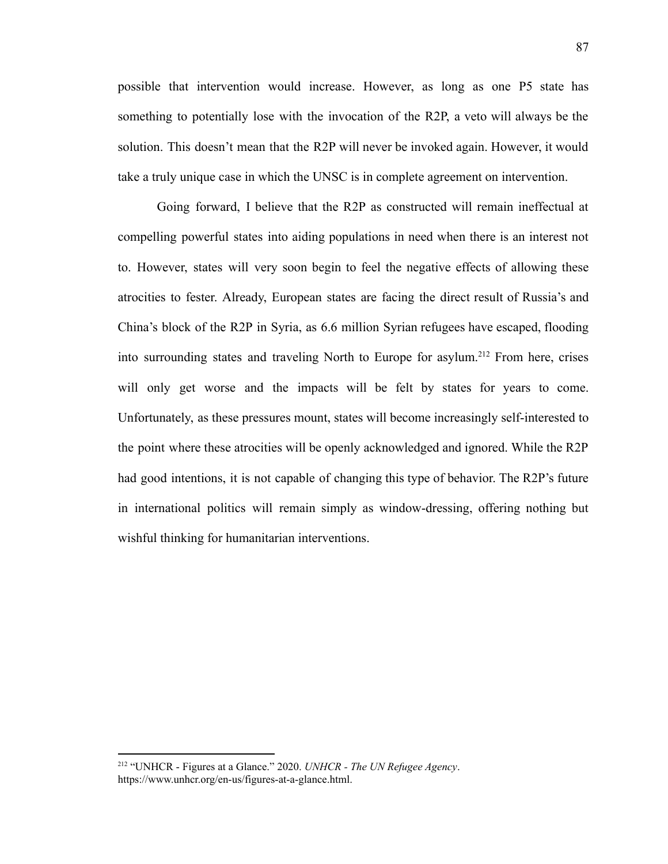possible that intervention would increase. However, as long as one P5 state has something to potentially lose with the invocation of the R2P, a veto will always be the solution. This doesn't mean that the R2P will never be invoked again. However, it would take a truly unique case in which the UNSC is in complete agreement on intervention.

Going forward, I believe that the R2P as constructed will remain ineffectual at compelling powerful states into aiding populations in need when there is an interest not to. However, states will very soon begin to feel the negative effects of allowing these atrocities to fester. Already, European states are facing the direct result of Russia's and China's block of the R2P in Syria, as 6.6 million Syrian refugees have escaped, flooding into surrounding states and traveling North to Europe for asylum.<sup>212</sup> From here, crises will only get worse and the impacts will be felt by states for years to come. Unfortunately, as these pressures mount, states will become increasingly self-interested to the point where these atrocities will be openly acknowledged and ignored. While the R2P had good intentions, it is not capable of changing this type of behavior. The R2P's future in international politics will remain simply as window-dressing, offering nothing but wishful thinking for humanitarian interventions.

<sup>212</sup> "UNHCR - Figures at a Glance." 2020. *UNHCR - The UN Refugee Agency*. [https://www.unhcr.org/en-us/figures-at-a-glance.html.](https://www.unhcr.org/en-us/figures-at-a-glance.html)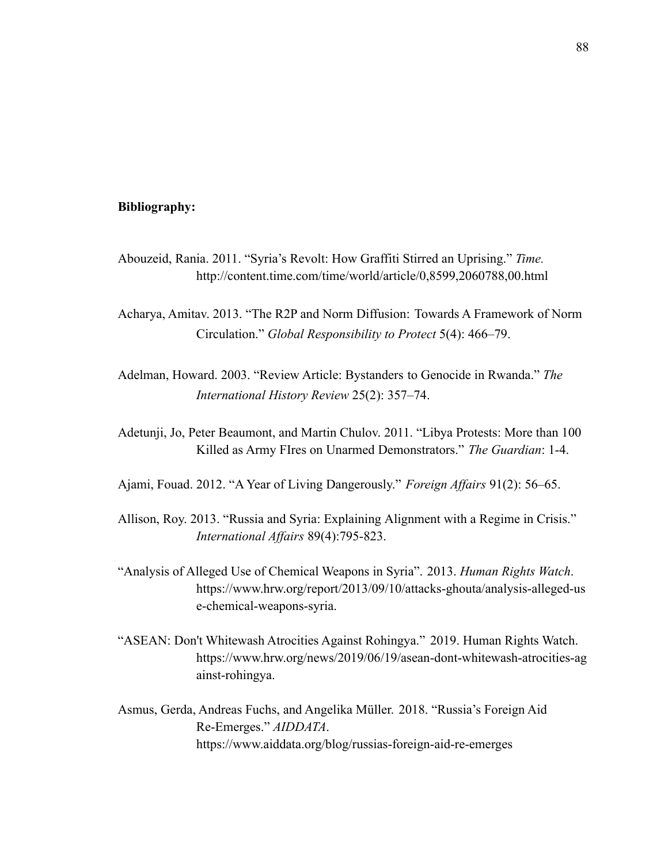## **Bibliography:**

- Abouzeid, Rania. 2011. "Syria's Revolt: How Graffiti Stirred an Uprising." *Time.* <http://content.time.com/time/world/article/0,8599,2060788,00.html>
- Acharya, Amitav. 2013. "The R2P and Norm Diffusion: Towards A Framework of Norm Circulation." *Global Responsibility to Protect* 5(4): 466–79.
- Adelman, Howard. 2003. "Review Article: Bystanders to Genocide in Rwanda." *The International History Review* 25(2): 357–74.
- Adetunji, Jo, Peter Beaumont, and Martin Chulov. 2011. "Libya Protests: More than 100 Killed as Army FIres on Unarmed Demonstrators." *The Guardian*: 1-4.
- Ajami, Fouad. 2012. "A Year of Living Dangerously." *Foreign Affairs* 91(2): 56–65.
- Allison, Roy. 2013. "Russia and Syria: Explaining Alignment with a Regime in Crisis." *International Affairs* 89(4):795-823.
- "Analysis of Alleged Use of Chemical Weapons in Syria". 2013. *Human Rights Watch*. [https://www.hrw.org/report/2013/09/10/attacks-ghouta/analysis-alleged-us](https://www.hrw.org/report/2013/09/10/attacks-ghouta/analysis-alleged-use-chemical-weapons-syria) [e-chemical-weapons-syria.](https://www.hrw.org/report/2013/09/10/attacks-ghouta/analysis-alleged-use-chemical-weapons-syria)
- "ASEAN: Don't Whitewash Atrocities Against Rohingya." 2019. Human Rights Watch. https://www.hrw.org/news/2019/06/19/asean-dont-whitewash-atrocities-ag ainst-rohingya.
- Asmus, Gerda, Andreas Fuchs, and Angelika Müller. 2018. "Russia's Foreign Aid Re-Emerges." *AIDDATA*. https://www.aiddata.org/blog/russias-foreign-aid-re-emerges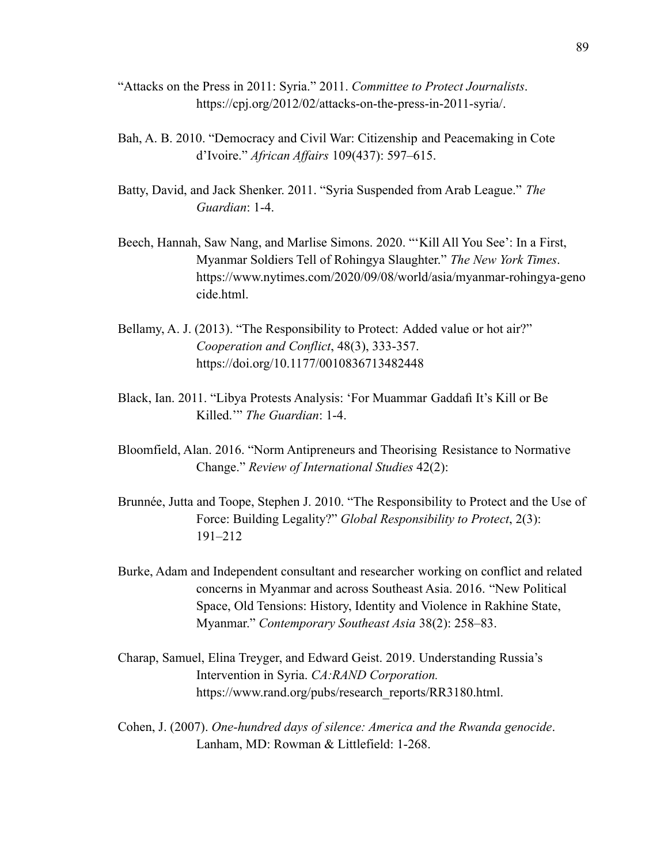- "Attacks on the Press in 2011: Syria." 2011. *Committee to Protect Journalists*. https://cpj.org/2012/02/attacks-on-the-press-in-2011-syria/.
- Bah, A. B. 2010. "Democracy and Civil War: Citizenship and Peacemaking in Cote d'Ivoire." *African Affairs* 109(437): 597–615.
- Batty, David, and Jack Shenker. 2011. "Syria Suspended from Arab League." *The Guardian*: 1-4.
- Beech, Hannah, Saw Nang, and Marlise Simons. 2020. "'Kill All You See': In a First, Myanmar Soldiers Tell of Rohingya Slaughter." *The New York Times*. https://www.nytimes.com/2020/09/08/world/asia/myanmar-rohingya-geno cide.html.
- Bellamy, A. J. (2013). "The Responsibility to Protect: Added value or hot air?" *Cooperation and Conflict*, 48(3), 333-357. https://doi.org/10.1177/0010836713482448
- Black, Ian. 2011. "Libya Protests Analysis: 'For Muammar Gaddafi It's Kill or Be Killed.'" *The Guardian*: 1-4.
- Bloomfield, Alan. 2016. "Norm Antipreneurs and Theorising Resistance to Normative Change." *Review of International Studies* 42(2):
- Brunnée, Jutta and Toope, Stephen J. 2010. "The Responsibility to Protect and the Use of Force: Building Legality?" *Global Responsibility to Protect*, 2(3): 191–212
- Burke, Adam and Independent consultant and researcher working on conflict and related concerns in Myanmar and across Southeast Asia. 2016. "New Political Space, Old Tensions: History, Identity and Violence in Rakhine State, Myanmar." *Contemporary Southeast Asia* 38(2): 258–83.
- Charap, Samuel, Elina Treyger, and Edward Geist. 2019. Understanding Russia's Intervention in Syria. *CA:RAND Corporation.* https://www.rand.org/pubs/research\_reports/RR3180.html.
- Cohen, J. (2007). *One-hundred days of silence: America and the Rwanda genocide*. Lanham, MD: Rowman & Littlefield: 1-268.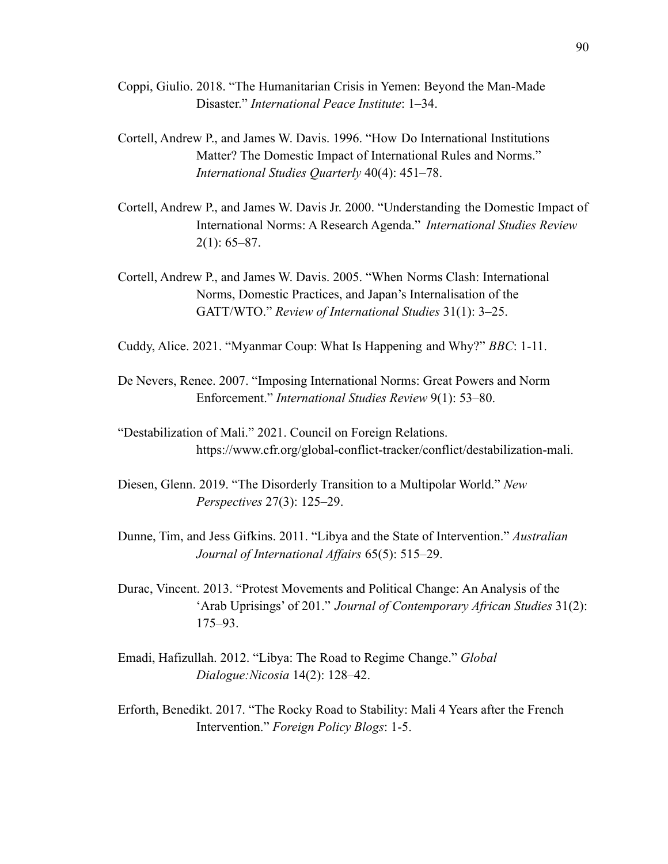- Coppi, Giulio. 2018. "The Humanitarian Crisis in Yemen: Beyond the Man-Made Disaster." *International Peace Institute*: 1–34.
- Cortell, Andrew P., and James W. Davis. 1996. "How Do International Institutions Matter? The Domestic Impact of International Rules and Norms." *International Studies Quarterly* 40(4): 451–78.
- Cortell, Andrew P., and James W. Davis Jr. 2000. "Understanding the Domestic Impact of International Norms: A Research Agenda." *International Studies Review*  $2(1): 65–87.$
- Cortell, Andrew P., and James W. Davis. 2005. "When Norms Clash: International Norms, Domestic Practices, and Japan's Internalisation of the GATT/WTO." *Review of International Studies* 31(1): 3–25.
- Cuddy, Alice. 2021. "Myanmar Coup: What Is Happening and Why?" *BBC*: 1-11.
- De Nevers, Renee. 2007. "Imposing International Norms: Great Powers and Norm Enforcement." *International Studies Review* 9(1): 53–80.
- "Destabilization of Mali." 2021. Council on Foreign Relations. https://www.cfr.org/global-conflict-tracker/conflict/destabilization-mali.
- Diesen, Glenn. 2019. "The Disorderly Transition to a Multipolar World." *New Perspectives* 27(3): 125–29.
- Dunne, Tim, and Jess Gifkins. 2011. "Libya and the State of Intervention." *Australian Journal of International Affairs* 65(5): 515–29.
- Durac, Vincent. 2013. "Protest Movements and Political Change: An Analysis of the 'Arab Uprisings' of 201." *Journal of Contemporary African Studies* 31(2): 175–93.
- Emadi, Hafizullah. 2012. "Libya: The Road to Regime Change." *Global Dialogue:Nicosia* 14(2): 128–42.
- Erforth, Benedikt. 2017. "The Rocky Road to Stability: Mali 4 Years after the French Intervention." *Foreign Policy Blogs*: 1-5.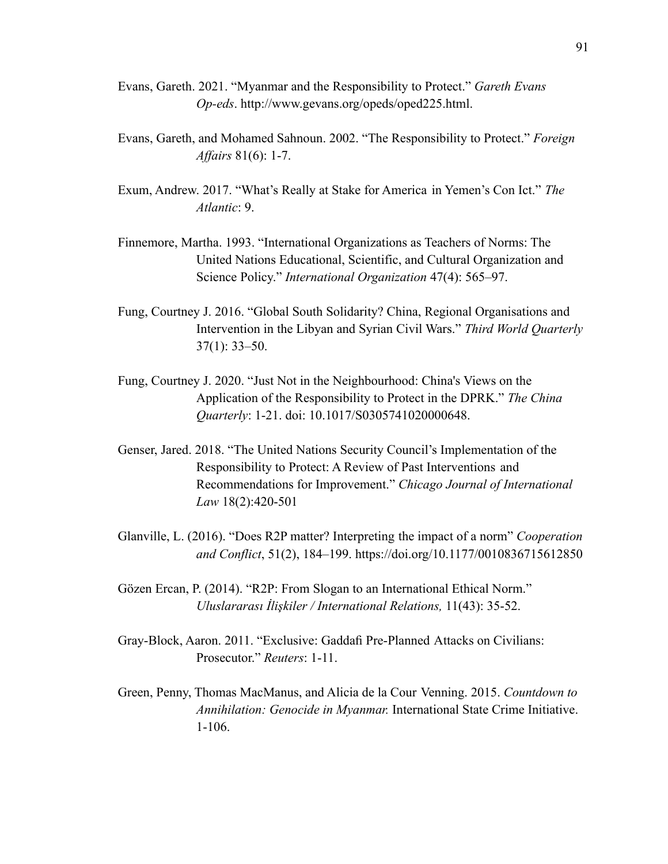- Evans, Gareth. 2021. "Myanmar and the Responsibility to Protect." *Gareth Evans Op-eds*. http://www.gevans.org/opeds/oped225.html.
- Evans, Gareth, and Mohamed Sahnoun. 2002. "The Responsibility to Protect." *Foreign Affairs* 81(6): 1-7.
- Exum, Andrew. 2017. "What's Really at Stake for America in Yemen's Con Ict." *The Atlantic*: 9.
- Finnemore, Martha. 1993. "International Organizations as Teachers of Norms: The United Nations Educational, Scientific, and Cultural Organization and Science Policy." *International Organization* 47(4): 565–97.
- Fung, Courtney J. 2016. "Global South Solidarity? China, Regional Organisations and Intervention in the Libyan and Syrian Civil Wars." *Third World Quarterly* 37(1): 33–50.
- Fung, Courtney J. 2020. "Just Not in the Neighbourhood: China's Views on the Application of the Responsibility to Protect in the DPRK." *The China Quarterly*: 1-21. doi: 10.1017/S0305741020000648.
- Genser, Jared. 2018. "The United Nations Security Council's Implementation of the Responsibility to Protect: A Review of Past Interventions and Recommendations for Improvement." *Chicago Journal of International Law* 18(2):420-501
- Glanville, L. (2016). "Does R2P matter? Interpreting the impact of a norm" *Cooperation and Conflict*, 51(2), 184–199. https://doi.org/10.1177/0010836715612850
- Gözen Ercan, P. (2014). "R2P: From Slogan to an International Ethical Norm." *Uluslararası İlişkiler / International Relations,* 11(43): 35-52.
- Gray-Block, Aaron. 2011. "Exclusive: Gaddafi Pre-Planned Attacks on Civilians: Prosecutor." *Reuters*: 1-11.
- Green, Penny, Thomas MacManus, and Alicia de la Cour Venning. 2015. *Countdown to Annihilation: Genocide in Myanmar.* International State Crime Initiative. 1-106.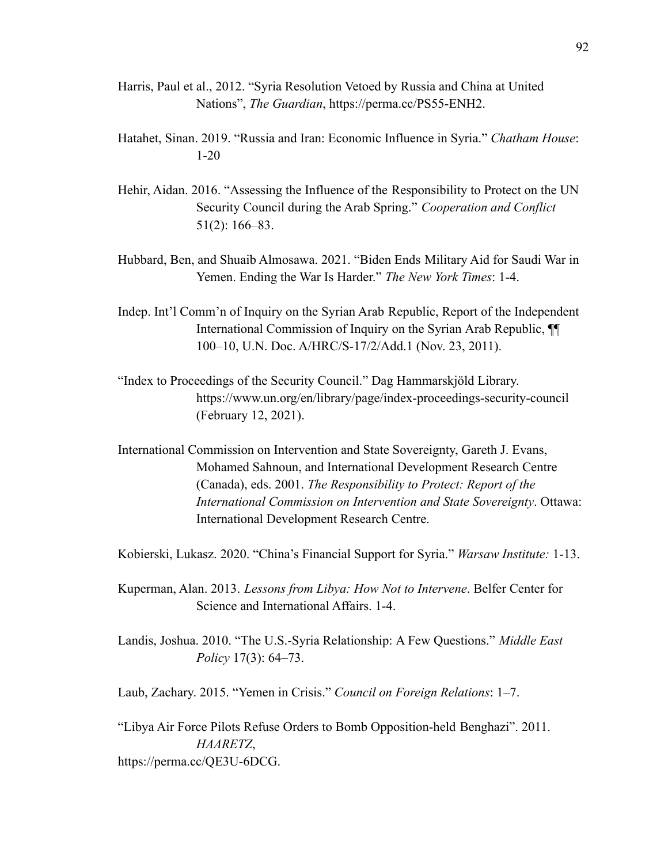- Harris, Paul et al., 2012. "Syria Resolution Vetoed by Russia and China at United Nations", *The Guardian*, https://perma.cc/PS55-ENH2.
- Hatahet, Sinan. 2019. "Russia and Iran: Economic Influence in Syria." *Chatham House*: 1-20
- Hehir, Aidan. 2016. "Assessing the Influence of the Responsibility to Protect on the UN Security Council during the Arab Spring." *Cooperation and Conflict* 51(2): 166–83.
- Hubbard, Ben, and Shuaib Almosawa. 2021. "Biden Ends Military Aid for Saudi War in Yemen. Ending the War Is Harder." *The New York Times*: 1-4.
- Indep. Int'l Comm'n of Inquiry on the Syrian Arab Republic, Report of the Independent International Commission of Inquiry on the Syrian Arab Republic, ¶¶ 100–10, U.N. Doc. A/HRC/S-17/2/Add.1 (Nov. 23, 2011).
- "Index to Proceedings of the Security Council." Dag Hammarskjöld Library. https://www.un.org/en/library/page/index-proceedings-security-council (February 12, 2021).
- International Commission on Intervention and State Sovereignty, Gareth J. Evans, Mohamed Sahnoun, and International Development Research Centre (Canada), eds. 2001. *The Responsibility to Protect: Report of the International Commission on Intervention and State Sovereignty*. Ottawa: International Development Research Centre.

Kobierski, Lukasz. 2020. "China's Financial Support for Syria." *Warsaw Institute:* 1-13.

- Kuperman, Alan. 2013. *Lessons from Libya: How Not to Intervene*. Belfer Center for Science and International Affairs. 1-4.
- Landis, Joshua. 2010. "The U.S.-Syria Relationship: A Few Questions." *Middle East Policy* 17(3): 64–73.

Laub, Zachary. 2015. "Yemen in Crisis." *Council on Foreign Relations*: 1–7.

"Libya Air Force Pilots Refuse Orders to Bomb Opposition-held Benghazi". 2011. *HAARETZ*, https://perma.cc/QE3U-6DCG.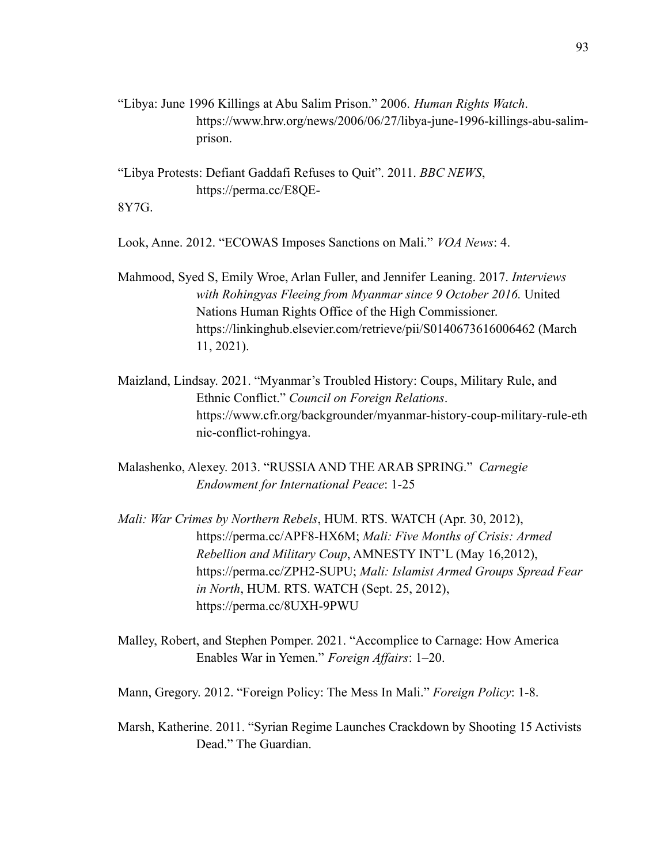"Libya: June 1996 Killings at Abu Salim Prison." 2006. *Human Rights Watch*. https://www.hrw.org/news/2006/06/27/libya-june-1996-killings-abu-salimprison.

"Libya Protests: Defiant Gaddafi Refuses to Quit". 2011. *BBC NEWS*, https://perma.cc/E8QE-

8Y7G.

Look, Anne. 2012. "ECOWAS Imposes Sanctions on Mali." *VOA News*: 4.

- Mahmood, Syed S, Emily Wroe, Arlan Fuller, and Jennifer Leaning. 2017. *Interviews with Rohingyas Fleeing from Myanmar since 9 October 2016.* United Nations Human Rights Office of the High Commissioner. https://linkinghub.elsevier.com/retrieve/pii/S0140673616006462 (March 11, 2021).
- Maizland, Lindsay. 2021. "Myanmar's Troubled History: Coups, Military Rule, and Ethnic Conflict." *Council on Foreign Relations*. https://www.cfr.org/backgrounder/myanmar-history-coup-military-rule-eth nic-conflict-rohingya.
- Malashenko, Alexey. 2013. "RUSSIAAND THE ARAB SPRING." *Carnegie Endowment for International Peace*: 1-25
- *Mali: War Crimes by Northern Rebels*, HUM. RTS. WATCH (Apr. 30, 2012), https://perma.cc/APF8-HX6M; *Mali: Five Months of Crisis: Armed Rebellion and Military Coup*, AMNESTY INT'L (May 16,2012), https://perma.cc/ZPH2-SUPU; *Mali: Islamist Armed Groups Spread Fear in North*, HUM. RTS. WATCH (Sept. 25, 2012), https://perma.cc/8UXH-9PWU
- Malley, Robert, and Stephen Pomper. 2021. "Accomplice to Carnage: How America Enables War in Yemen." *Foreign Affairs*: 1–20.

Mann, Gregory. 2012. "Foreign Policy: The Mess In Mali." *Foreign Policy*: 1-8.

Marsh, Katherine. 2011. "Syrian Regime Launches Crackdown by Shooting 15 Activists Dead." The Guardian.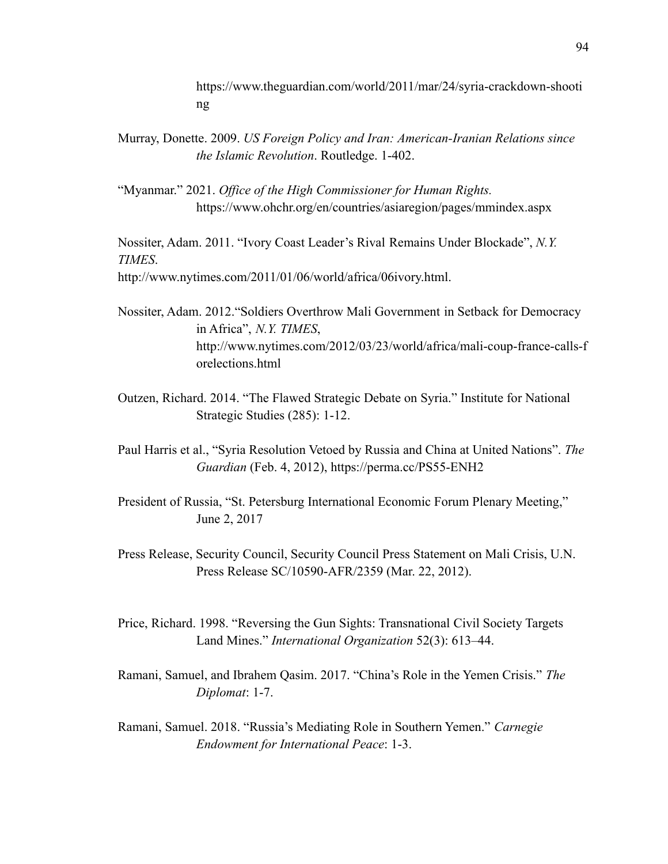https://www.theguardian.com/world/2011/mar/24/syria-crackdown-shooti ng

Murray, Donette. 2009. *US Foreign Policy and Iran: American-Iranian Relations since the Islamic Revolution*. Routledge. 1-402.

"Myanmar." 2021. *Office of the High Commissioner for Human Rights.* https://www.ohchr.org/en/countries/asiaregion/pages/mmindex.aspx

Nossiter, Adam. 2011. "Ivory Coast Leader's Rival Remains Under Blockade", *N.Y. TIMES*.

http://www.nytimes.com/2011/01/06/world/africa/06ivory.html.

- Nossiter, Adam. 2012."Soldiers Overthrow Mali Government in Setback for Democracy in Africa", *N.Y. TIMES*, http://www.nytimes.com/2012/03/23/world/africa/mali-coup-france-calls-f orelections.html
- Outzen, Richard. 2014. "The Flawed Strategic Debate on Syria." Institute for National Strategic Studies (285): 1-12.
- Paul Harris et al., "Syria Resolution Vetoed by Russia and China at United Nations". *The Guardian* (Feb. 4, 2012), https://perma.cc/PS55-ENH2
- President of Russia, "St. Petersburg International Economic Forum Plenary Meeting," June 2, 2017
- Press Release, Security Council, Security Council Press Statement on Mali Crisis, U.N. Press Release SC/10590-AFR/2359 (Mar. 22, 2012).
- Price, Richard. 1998. "Reversing the Gun Sights: Transnational Civil Society Targets Land Mines." *International Organization* 52(3): 613–44.
- Ramani, Samuel, and Ibrahem Qasim. 2017. "China's Role in the Yemen Crisis." *The Diplomat*: 1-7.
- Ramani, Samuel. 2018. "Russia's Mediating Role in Southern Yemen." *Carnegie Endowment for International Peace*: 1-3.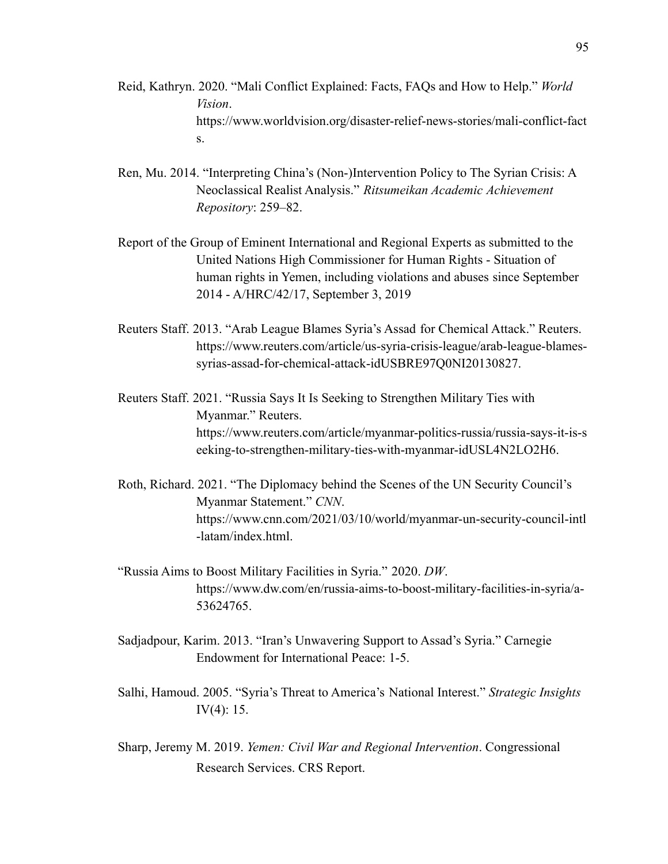- Reid, Kathryn. 2020. "Mali Conflict Explained: Facts, FAQs and How to Help." *World Vision*. https://www.worldvision.org/disaster-relief-news-stories/mali-conflict-fact s.
- Ren, Mu. 2014. "Interpreting China's (Non-)Intervention Policy to The Syrian Crisis: A Neoclassical Realist Analysis." *Ritsumeikan Academic Achievement Repository*: 259–82.
- Report of the Group of Eminent International and Regional Experts as submitted to the United Nations High Commissioner for Human Rights - Situation of human rights in Yemen, including violations and abuses since September 2014 - A/HRC/42/17, September 3, 2019
- Reuters Staff. 2013. "Arab League Blames Syria's Assad for Chemical Attack." Reuters. https://www.reuters.com/article/us-syria-crisis-league/arab-league-blamessyrias-assad-for-chemical-attack-idUSBRE97Q0NI20130827.
- Reuters Staff. 2021. "Russia Says It Is Seeking to Strengthen Military Ties with Myanmar." Reuters. https://www.reuters.com/article/myanmar-politics-russia/russia-says-it-is-s eeking-to-strengthen-military-ties-with-myanmar-idUSL4N2LO2H6.
- Roth, Richard. 2021. "The Diplomacy behind the Scenes of the UN Security Council's Myanmar Statement." *CNN*. https://www.cnn.com/2021/03/10/world/myanmar-un-security-council-intl -latam/index.html
- "Russia Aims to Boost Military Facilities in Syria." 2020. *DW*. [https://www.dw.com/en/russia-aims-to-boost-military-facilities-in-syria/a-](https://www.dw.com/en/russia-aims-to-boost-military-facilities-in-syria/a-53624765)[53624765](https://www.dw.com/en/russia-aims-to-boost-military-facilities-in-syria/a-53624765).
- Sadjadpour, Karim. 2013. "Iran's Unwavering Support to Assad's Syria." Carnegie Endowment for International Peace: 1-5.
- Salhi, Hamoud. 2005. "Syria's Threat to America's National Interest." *Strategic Insights* IV $(4)$ : 15.
- Sharp, Jeremy M. 2019. *Yemen: Civil War and Regional Intervention*. Congressional Research Services. CRS Report.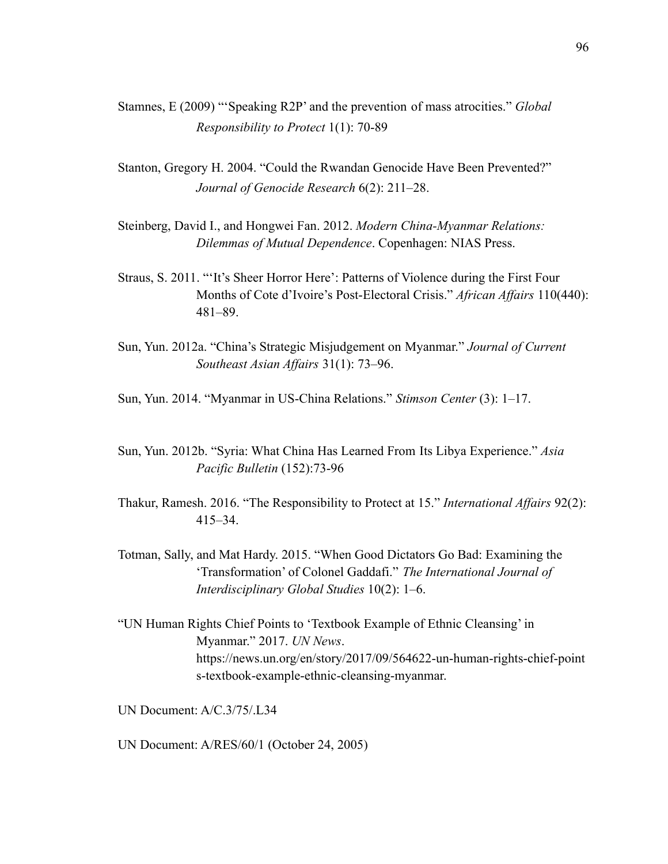- Stamnes, E (2009) "'Speaking R2P' and the prevention of mass atrocities." *Global Responsibility to Protect* 1(1): 70-89
- Stanton, Gregory H. 2004. "Could the Rwandan Genocide Have Been Prevented?" *Journal of Genocide Research* 6(2): 211–28.
- Steinberg, David I., and Hongwei Fan. 2012. *Modern China-Myanmar Relations: Dilemmas of Mutual Dependence*. Copenhagen: NIAS Press.
- Straus, S. 2011. "'It's Sheer Horror Here': Patterns of Violence during the First Four Months of Cote d'Ivoire's Post-Electoral Crisis." *African Affairs* 110(440): 481–89.
- Sun, Yun. 2012a. "China's Strategic Misjudgement on Myanmar." *Journal of Current Southeast Asian Affairs* 31(1): 73–96.
- Sun, Yun. 2014. "Myanmar in US-China Relations." *Stimson Center* (3): 1–17.
- Sun, Yun. 2012b. "Syria: What China Has Learned From Its Libya Experience." *Asia Pacific Bulletin* (152):73-96
- Thakur, Ramesh. 2016. "The Responsibility to Protect at 15." *International Affairs* 92(2): 415–34.
- Totman, Sally, and Mat Hardy. 2015. "When Good Dictators Go Bad: Examining the 'Transformation' of Colonel Gaddafi." *The International Journal of Interdisciplinary Global Studies* 10(2): 1–6.
- "UN Human Rights Chief Points to 'Textbook Example of Ethnic Cleansing' in Myanmar." 2017. *UN News*. https://news.un.org/en/story/2017/09/564622-un-human-rights-chief-point s-textbook-example-ethnic-cleansing-myanmar.

UN Document: A/C.3/75/.L34

UN Document: A/RES/60/1 (October 24, 2005)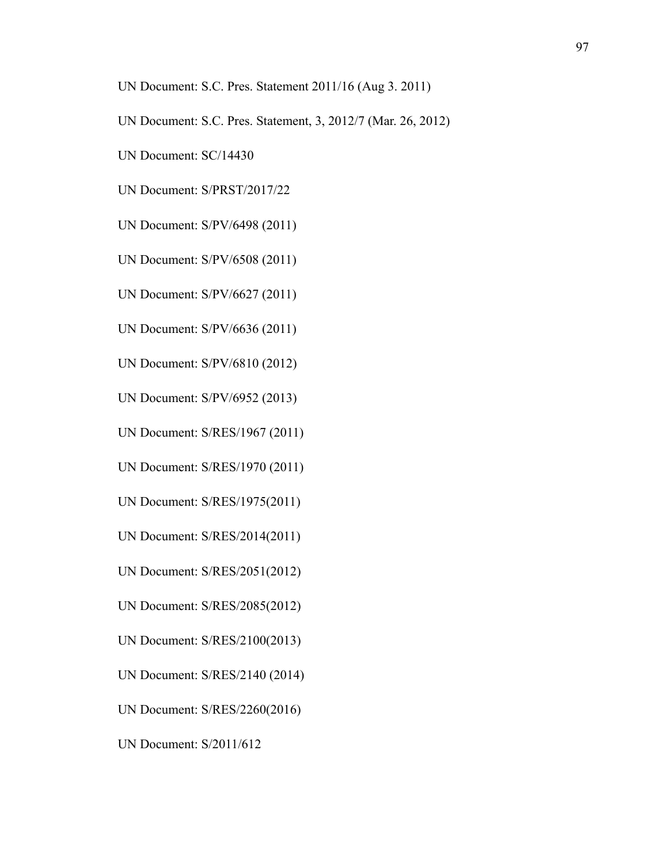- UN Document: S.C. Pres. Statement 2011/16 (Aug 3. 2011)
- UN Document: S.C. Pres. Statement, 3, 2012/7 (Mar. 26, 2012)
- UN Document: SC/14430
- UN Document: S/PRST/2017/22
- UN Document: S/PV/6498 (2011)
- UN Document: S/PV/6508 (2011)
- UN Document: S/PV/6627 (2011)
- UN Document: S/PV/6636 (2011)
- UN Document: S/PV/6810 (2012)
- UN Document: S/PV/6952 (2013)
- UN Document: S/RES/1967 (2011)
- UN Document: S/RES/1970 (2011)
- UN Document: S/RES/1975(2011)
- UN Document: S/RES/2014(2011)
- UN Document: S/RES/2051(2012)
- UN Document: S/RES/2085(2012)
- UN Document: S/RES/2100(2013)
- UN Document: S/RES/2140 (2014)
- UN Document: S/RES/2260(2016)
- UN Document: S/2011/612